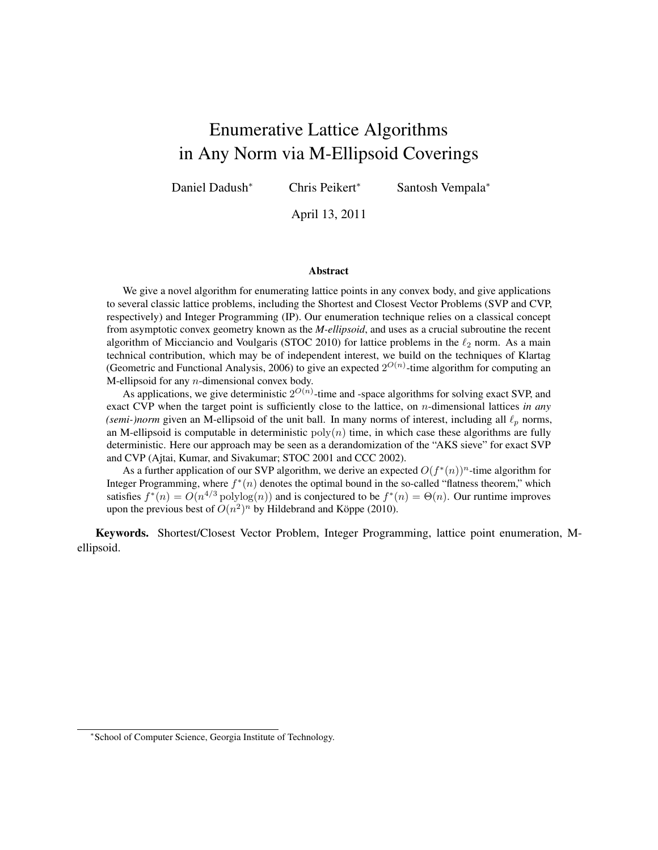# Enumerative Lattice Algorithms in Any Norm via M-Ellipsoid Coverings

Daniel Dadush<sup>∗</sup> Chris Peikert<sup>∗</sup> Santosh Vempala<sup>∗</sup>

April 13, 2011

#### Abstract

We give a novel algorithm for enumerating lattice points in any convex body, and give applications to several classic lattice problems, including the Shortest and Closest Vector Problems (SVP and CVP, respectively) and Integer Programming (IP). Our enumeration technique relies on a classical concept from asymptotic convex geometry known as the *M-ellipsoid*, and uses as a crucial subroutine the recent algorithm of Micciancio and Voulgaris (STOC 2010) for lattice problems in the  $\ell_2$  norm. As a main technical contribution, which may be of independent interest, we build on the techniques of Klartag (Geometric and Functional Analysis, 2006) to give an expected  $2^{O(n)}$ -time algorithm for computing an M-ellipsoid for any n-dimensional convex body.

As applications, we give deterministic  $2^{O(n)}$ -time and -space algorithms for solving exact SVP, and exact CVP when the target point is sufficiently close to the lattice, on n-dimensional lattices *in any (semi-)norm* given an M-ellipsoid of the unit ball. In many norms of interest, including all  $\ell_p$  norms, an M-ellipsoid is computable in deterministic  $poly(n)$  time, in which case these algorithms are fully deterministic. Here our approach may be seen as a derandomization of the "AKS sieve" for exact SVP and CVP (Ajtai, Kumar, and Sivakumar; STOC 2001 and CCC 2002).

As a further application of our SVP algorithm, we derive an expected  $O(f^*(n))^n$ -time algorithm for Integer Programming, where  $f^*(n)$  denotes the optimal bound in the so-called "flatness theorem," which satisfies  $f^*(n) = O(n^{4/3} \text{polylog}(n))$  and is conjectured to be  $f^*(n) = \Theta(n)$ . Our runtime improves upon the previous best of  $O(n^2)^n$  by Hildebrand and Köppe (2010).

Keywords. Shortest/Closest Vector Problem, Integer Programming, lattice point enumeration, Mellipsoid.

<sup>∗</sup> School of Computer Science, Georgia Institute of Technology.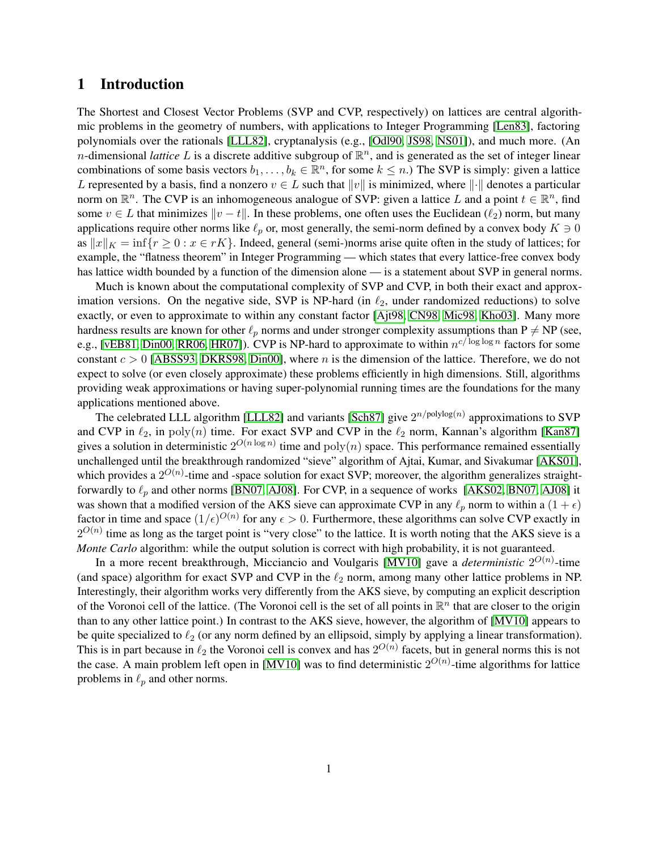# 1 Introduction

The Shortest and Closest Vector Problems (SVP and CVP, respectively) on lattices are central algorithmic problems in the geometry of numbers, with applications to Integer Programming [\[Len83\]](#page-23-0), factoring polynomials over the rationals [\[LLL82\]](#page-23-1), cryptanalysis (e.g., [\[Odl90,](#page-24-0) [JS98,](#page-23-2) [NS01\]](#page-24-1)), and much more. (An *n*-dimensional *lattice* L is a discrete additive subgroup of  $\mathbb{R}^n$ , and is generated as the set of integer linear combinations of some basis vectors  $b_1, \ldots, b_k \in \mathbb{R}^n$ , for some  $k \leq n$ .) The SVP is simply: given a lattice L represented by a basis, find a nonzero  $v \in L$  such that  $||v||$  is minimized, where  $||\cdot||$  denotes a particular norm on  $\mathbb{R}^n$ . The CVP is an inhomogeneous analogue of SVP: given a lattice L and a point  $t \in \mathbb{R}^n$ , find some  $v \in L$  that minimizes  $\|v - t\|$ . In these problems, one often uses the Euclidean  $(\ell_2)$  norm, but many applications require other norms like  $\ell_p$  or, most generally, the semi-norm defined by a convex body  $K \ni 0$ as  $||x||_K = inf{r \ge 0 : x \in rK}$ . Indeed, general (semi-)norms arise quite often in the study of lattices; for example, the "flatness theorem" in Integer Programming — which states that every lattice-free convex body has lattice width bounded by a function of the dimension alone — is a statement about SVP in general norms.

Much is known about the computational complexity of SVP and CVP, in both their exact and approximation versions. On the negative side, SVP is NP-hard (in  $\ell_2$ , under randomized reductions) to solve exactly, or even to approximate to within any constant factor [\[Ajt98,](#page-22-0) [CN98,](#page-22-1) [Mic98,](#page-24-2) [Kho03\]](#page-23-3). Many more hardness results are known for other  $\ell_p$  norms and under stronger complexity assumptions than P  $\neq$  NP (see, e.g., [\[vEB81,](#page-24-3) [Din00,](#page-23-4) [RR06,](#page-24-4) [HR07\]](#page-23-5)). CVP is NP-hard to approximate to within  $n^{c/\log \log n}$  factors for some constant  $c > 0$  [\[ABSS93,](#page-22-2) [DKRS98,](#page-23-6) [Din00\]](#page-23-4), where n is the dimension of the lattice. Therefore, we do not expect to solve (or even closely approximate) these problems efficiently in high dimensions. Still, algorithms providing weak approximations or having super-polynomial running times are the foundations for the many applications mentioned above.

The celebrated LLL algorithm [\[LLL82\]](#page-23-1) and variants [\[Sch87\]](#page-24-5) give  $2^{n/polylog(n)}$  approximations to SVP and CVP in  $\ell_2$ , in poly(n) time. For exact SVP and CVP in the  $\ell_2$  norm, Kannan's algorithm [\[Kan87\]](#page-23-7) gives a solution in deterministic  $2^{O(n \log n)}$  time and  $\text{poly}(n)$  space. This performance remained essentially unchallenged until the breakthrough randomized "sieve" algorithm of Ajtai, Kumar, and Sivakumar [\[AKS01\]](#page-22-3), which provides a  $2^{O(n)}$ -time and -space solution for exact SVP; moreover, the algorithm generalizes straightforwardly to  $\ell_p$  and other norms [\[BN07,](#page-22-4) [AJ08\]](#page-22-5). For CVP, in a sequence of works [\[AKS02,](#page-22-6) [BN07,](#page-22-4) AJ08] it was shown that a modified version of the AKS sieve can approximate CVP in any  $\ell_p$  norm to within a  $(1 + \epsilon)$ factor in time and space  $(1/\epsilon)^{O(n)}$  for any  $\epsilon > 0$ . Furthermore, these algorithms can solve CVP exactly in  $2^{O(n)}$  time as long as the target point is "very close" to the lattice. It is worth noting that the AKS sieve is a *Monte Carlo* algorithm: while the output solution is correct with high probability, it is not guaranteed.

In a more recent breakthrough, Micciancio and Voulgaris [\[MV10\]](#page-24-6) gave a *deterministic*  $2^{O(n)}$ -time (and space) algorithm for exact SVP and CVP in the  $\ell_2$  norm, among many other lattice problems in NP. Interestingly, their algorithm works very differently from the AKS sieve, by computing an explicit description of the Voronoi cell of the lattice. (The Voronoi cell is the set of all points in  $\mathbb{R}^n$  that are closer to the origin than to any other lattice point.) In contrast to the AKS sieve, however, the algorithm of [\[MV10\]](#page-24-6) appears to be quite specialized to  $\ell_2$  (or any norm defined by an ellipsoid, simply by applying a linear transformation). This is in part because in  $\ell_2$  the Voronoi cell is convex and has  $2^{O(n)}$  facets, but in general norms this is not the case. A main problem left open in [\[MV10\]](#page-24-6) was to find deterministic  $2^{O(n)}$ -time algorithms for lattice problems in  $\ell_p$  and other norms.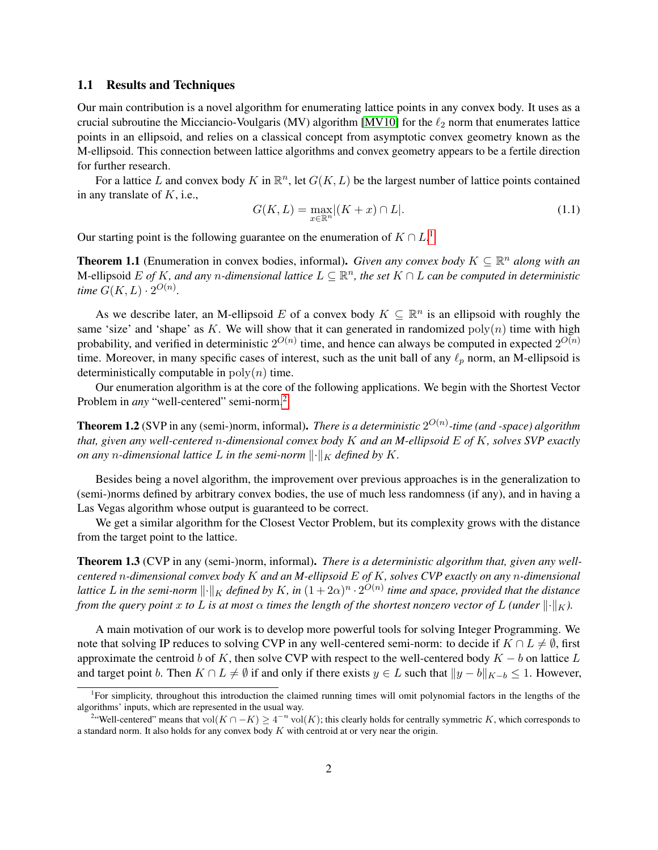#### 1.1 Results and Techniques

Our main contribution is a novel algorithm for enumerating lattice points in any convex body. It uses as a crucial subroutine the Micciancio-Voulgaris (MV) algorithm [\[MV10\]](#page-24-6) for the  $\ell_2$  norm that enumerates lattice points in an ellipsoid, and relies on a classical concept from asymptotic convex geometry known as the M-ellipsoid. This connection between lattice algorithms and convex geometry appears to be a fertile direction for further research.

For a lattice L and convex body K in  $\mathbb{R}^n$ , let  $G(K, L)$  be the largest number of lattice points contained in any translate of  $K$ , i.e.,

$$
G(K,L) = \max_{x \in \mathbb{R}^n} |(K+x) \cap L|.
$$
\n(1.1)

Our starting point is the following guarantee on the enumeration of  $K \cap L$ <sup>[1](#page-2-0)</sup>

<span id="page-2-2"></span>**Theorem 1.1** (Enumeration in convex bodies, informal). *Given any convex body*  $K \subseteq \mathbb{R}^n$  *along with an* M-ellipsoid E of K, and any *n*-dimensional lattice  $L \subseteq \mathbb{R}^n$ , the set  $K \cap L$  can be computed in deterministic *time*  $G(K, L) \cdot 2^{O(n)}$ .

As we describe later, an M-ellipsoid E of a convex body  $K \subseteq \mathbb{R}^n$  is an ellipsoid with roughly the same 'size' and 'shape' as K. We will show that it can generated in randomized  $poly(n)$  time with high probability, and verified in deterministic  $2^{O(n)}$  time, and hence can always be computed in expected  $2^{O(n)}$ time. Moreover, in many specific cases of interest, such as the unit ball of any  $\ell_p$  norm, an M-ellipsoid is deterministically computable in  $poly(n)$  time.

Our enumeration algorithm is at the core of the following applications. We begin with the Shortest Vector Problem in *any* "well-centered" semi-norm.<sup>[2](#page-2-1)</sup>

**Theorem 1.2** (SVP in any (semi-)norm, informal). *There is a deterministic*  $2^{O(n)}$ -time (and -space) algorithm *that, given any well-centered* n*-dimensional convex body* K *and an M-ellipsoid* E *of* K*, solves SVP exactly on any n*-dimensional lattice L in the semi-norm  $\|\cdot\|_K$  defined by K.

Besides being a novel algorithm, the improvement over previous approaches is in the generalization to (semi-)norms defined by arbitrary convex bodies, the use of much less randomness (if any), and in having a Las Vegas algorithm whose output is guaranteed to be correct.

We get a similar algorithm for the Closest Vector Problem, but its complexity grows with the distance from the target point to the lattice.

Theorem 1.3 (CVP in any (semi-)norm, informal). *There is a deterministic algorithm that, given any wellcentered* n*-dimensional convex body* K *and an M-ellipsoid* E *of* K*, solves CVP exactly on any* n*-dimensional* lattice  $L$  in the semi-norm  $\lVert\cdot\lVert_K$  defined by  $K$ , in  $(1+2\alpha)^n\cdot 2^{O(n)}$  time and space, provided that the distance *from the query point* x *to* L *is at most*  $\alpha$  *times the length of the shortest nonzero vector of* L *(under*  $\|\cdot\|_K$ ).

A main motivation of our work is to develop more powerful tools for solving Integer Programming. We note that solving IP reduces to solving CVP in any well-centered semi-norm: to decide if  $K \cap L \neq \emptyset$ , first approximate the centroid b of K, then solve CVP with respect to the well-centered body  $K - b$  on lattice L and target point b. Then  $K \cap L \neq \emptyset$  if and only if there exists  $y \in L$  such that  $||y - b||_{K-b} \leq 1$ . However,

<span id="page-2-0"></span><sup>&</sup>lt;sup>1</sup>For simplicity, throughout this introduction the claimed running times will omit polynomial factors in the lengths of the algorithms' inputs, which are represented in the usual way.

<span id="page-2-1"></span><sup>&</sup>lt;sup>2</sup>"Well-centered" means that vol $(K \cap -K) \geq 4^{-n}$  vol $(K)$ ; this clearly holds for centrally symmetric K, which corresponds to a standard norm. It also holds for any convex body  $K$  with centroid at or very near the origin.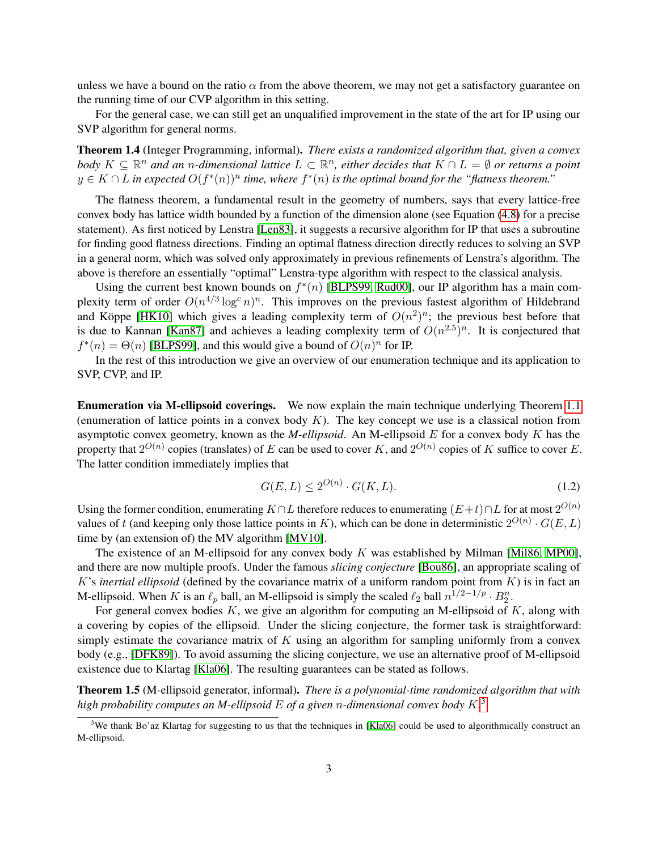unless we have a bound on the ratio  $\alpha$  from the above theorem, we may not get a satisfactory guarantee on the running time of our CVP algorithm in this setting.

For the general case, we can still get an unqualified improvement in the state of the art for IP using our SVP algorithm for general norms.

Theorem 1.4 (Integer Programming, informal). *There exists a randomized algorithm that, given a convex body*  $K \subseteq \mathbb{R}^n$  and an *n*-dimensional lattice  $L \subset \mathbb{R}^n$ , either decides that  $K \cap L = \emptyset$  or returns a point  $y \in K \cap L$  in expected  $O(f^*(n))^n$  time, where  $f^*(n)$  is the optimal bound for the "flatness theorem."

The flatness theorem, a fundamental result in the geometry of numbers, says that every lattice-free convex body has lattice width bounded by a function of the dimension alone (see Equation [\(4.8\)](#page-11-0) for a precise statement). As first noticed by Lenstra [\[Len83\]](#page-23-0), it suggests a recursive algorithm for IP that uses a subroutine for finding good flatness directions. Finding an optimal flatness direction directly reduces to solving an SVP in a general norm, which was solved only approximately in previous refinements of Lenstra's algorithm. The above is therefore an essentially "optimal" Lenstra-type algorithm with respect to the classical analysis.

Using the current best known bounds on  $f^*(n)$  [\[BLPS99,](#page-22-7) [Rud00\]](#page-24-7), our IP algorithm has a main complexity term of order  $O(n^{4/3} \log^c n)^n$ . This improves on the previous fastest algorithm of Hildebrand and Köppe [[HK10\]](#page-23-8) which gives a leading complexity term of  $O(n^2)^n$ ; the previous best before that is due to Kannan [\[Kan87\]](#page-23-7) and achieves a leading complexity term of  $O(n^{2.5})^n$ . It is conjectured that  $f^*(n) = \Theta(n)$  [\[BLPS99\]](#page-22-7), and this would give a bound of  $O(n)^n$  for IP.

In the rest of this introduction we give an overview of our enumeration technique and its application to SVP, CVP, and IP.

Enumeration via M-ellipsoid coverings. We now explain the main technique underlying Theorem [1.1](#page-2-2) (enumeration of lattice points in a convex body  $K$ ). The key concept we use is a classical notion from asymptotic convex geometry, known as the *M-ellipsoid*. An M-ellipsoid E for a convex body K has the property that  $2^{O(n)}$  copies (translates) of E can be used to cover K, and  $2^{O(n)}$  copies of K suffice to cover E. The latter condition immediately implies that

$$
G(E, L) \le 2^{O(n)} \cdot G(K, L). \tag{1.2}
$$

Using the former condition, enumerating  $K \cap L$  therefore reduces to enumerating  $(E+t) \cap L$  for at most  $2^{O(n)}$ values of t (and keeping only those lattice points in K), which can be done in deterministic  $2^{O(n)} \cdot G(E, L)$ time by (an extension of) the MV algorithm [\[MV10\]](#page-24-6).

The existence of an M-ellipsoid for any convex body  $K$  was established by Milman [\[Mil86,](#page-24-8) [MP00\]](#page-24-9), and there are now multiple proofs. Under the famous *slicing conjecture* [\[Bou86\]](#page-22-8), an appropriate scaling of K's *inertial ellipsoid* (defined by the covariance matrix of a uniform random point from  $K$ ) is in fact an M-ellipsoid. When K is an  $\ell_p$  ball, an M-ellipsoid is simply the scaled  $\ell_2$  ball  $n^{1/2-1/p} \cdot B_2^n$ .

For general convex bodies  $K$ , we give an algorithm for computing an M-ellipsoid of  $K$ , along with a covering by copies of the ellipsoid. Under the slicing conjecture, the former task is straightforward: simply estimate the covariance matrix of  $K$  using an algorithm for sampling uniformly from a convex body (e.g., [\[DFK89\]](#page-22-9)). To avoid assuming the slicing conjecture, we use an alternative proof of M-ellipsoid existence due to Klartag [\[Kla06\]](#page-23-9). The resulting guarantees can be stated as follows.

<span id="page-3-1"></span>Theorem 1.5 (M-ellipsoid generator, informal). *There is a polynomial-time randomized algorithm that with high probability computes an M-ellipsoid* E *of a given* n*-dimensional convex body* K*.* [3](#page-3-0)

<span id="page-3-0"></span> $3$ We thank Bo'az Klartag for suggesting to us that the techniques in [\[Kla06\]](#page-23-9) could be used to algorithmically construct an M-ellipsoid.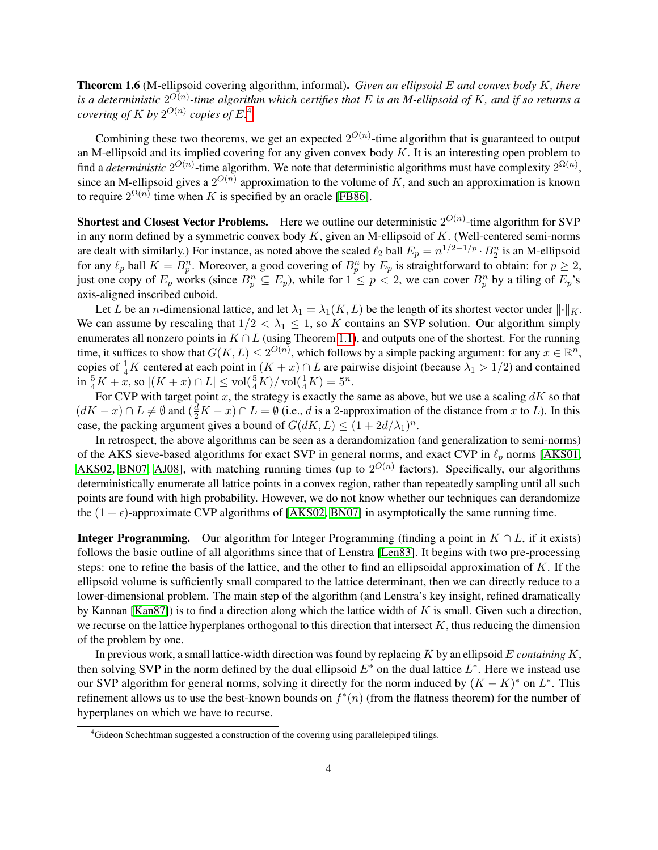<span id="page-4-1"></span>Theorem 1.6 (M-ellipsoid covering algorithm, informal). *Given an ellipsoid* E *and convex body* K*, there is a deterministic* 2 O(n) *-time algorithm which certifies that* E *is an M-ellipsoid of* K*, and if so returns a* covering of  $K$  by  $2^{O(n)}$  copies of  $E^A$ 

Combining these two theorems, we get an expected  $2^{O(n)}$ -time algorithm that is guaranteed to output an M-ellipsoid and its implied covering for any given convex body  $K$ . It is an interesting open problem to find a *deterministic*  $2^{O(n)}$ -time algorithm. We note that deterministic algorithms must have complexity  $2^{\Omega(n)}$ , since an M-ellipsoid gives a  $2^{O(n)}$  approximation to the volume of K, and such an approximation is known to require  $2^{\Omega(n)}$  time when K is specified by an oracle [\[FB86\]](#page-23-10).

**Shortest and Closest Vector Problems.** Here we outline our deterministic  $2^{O(n)}$ -time algorithm for SVP in any norm defined by a symmetric convex body  $K$ , given an M-ellipsoid of  $K$ . (Well-centered semi-norms are dealt with similarly.) For instance, as noted above the scaled  $\ell_2$  ball  $E_p = n^{1/2-1/p} \cdot B_2^n$  is an M-ellipsoid for any  $\ell_p$  ball  $K = B_p^n$ . Moreover, a good covering of  $B_p^n$  by  $E_p$  is straightforward to obtain: for  $p \ge 2$ , just one copy of  $E_p$  works (since  $B_p^n \subseteq E_p$ ), while for  $1 \leq p < 2$ , we can cover  $B_p^n$  by a tiling of  $E_p$ 's axis-aligned inscribed cuboid.

Let L be an *n*-dimensional lattice, and let  $\lambda_1 = \lambda_1(K, L)$  be the length of its shortest vector under  $\|\cdot\|_K$ . We can assume by rescaling that  $1/2 < \lambda_1 \leq 1$ , so K contains an SVP solution. Our algorithm simply enumerates all nonzero points in  $K \cap L$  (using Theorem [1.1\)](#page-2-2), and outputs one of the shortest. For the running time, it suffices to show that  $G(K, L) \leq 2^{O(n)}$ , which follows by a simple packing argument: for any  $x \in \mathbb{R}^n$ , copies of  $\frac{1}{4}K$  centered at each point in  $(K + x) \cap L$  are pairwise disjoint (because  $\lambda_1 > 1/2$ ) and contained  $\inf \frac{5}{4}K + x$ , so  $|(K + x) \cap L| \leq \text{vol}(\frac{5}{4}K)/\text{vol}(\frac{1}{4}K) = 5^{n}$ .

For CVP with target point x, the strategy is exactly the same as above, but we use a scaling  $dK$  so that  $(dK - x) \cap L \neq \emptyset$  and  $(\frac{d}{2}K - x) \cap L = \emptyset$  (i.e., d is a 2-approximation of the distance from x to L). In this case, the packing argument gives a bound of  $G(dK, L) \leq (1 + 2d/\lambda_1)^n$ .

In retrospect, the above algorithms can be seen as a derandomization (and generalization to semi-norms) of the AKS sieve-based algorithms for exact SVP in general norms, and exact CVP in  $\ell_p$  norms [\[AKS01,](#page-22-3) [AKS02,](#page-22-6) [BN07,](#page-22-4) [AJ08\]](#page-22-5), with matching running times (up to  $2^{O(n)}$  factors). Specifically, our algorithms deterministically enumerate all lattice points in a convex region, rather than repeatedly sampling until all such points are found with high probability. However, we do not know whether our techniques can derandomize the  $(1 + \epsilon)$ -approximate CVP algorithms of [\[AKS02,](#page-22-6) [BN07\]](#page-22-4) in asymptotically the same running time.

**Integer Programming.** Our algorithm for Integer Programming (finding a point in  $K \cap L$ , if it exists) follows the basic outline of all algorithms since that of Lenstra [\[Len83\]](#page-23-0). It begins with two pre-processing steps: one to refine the basis of the lattice, and the other to find an ellipsoidal approximation of  $K$ . If the ellipsoid volume is sufficiently small compared to the lattice determinant, then we can directly reduce to a lower-dimensional problem. The main step of the algorithm (and Lenstra's key insight, refined dramatically by Kannan  $[Kan87]$ ) is to find a direction along which the lattice width of K is small. Given such a direction, we recurse on the lattice hyperplanes orthogonal to this direction that intersect  $K$ , thus reducing the dimension of the problem by one.

In previous work, a small lattice-width direction was found by replacing K by an ellipsoid E *containing* K, then solving SVP in the norm defined by the dual ellipsoid  $E^*$  on the dual lattice  $L^*$ . Here we instead use our SVP algorithm for general norms, solving it directly for the norm induced by  $(K - K)^*$  on  $L^*$ . This refinement allows us to use the best-known bounds on  $f^*(n)$  (from the flatness theorem) for the number of hyperplanes on which we have to recurse.

<span id="page-4-0"></span><sup>&</sup>lt;sup>4</sup>Gideon Schechtman suggested a construction of the covering using parallelepiped tilings.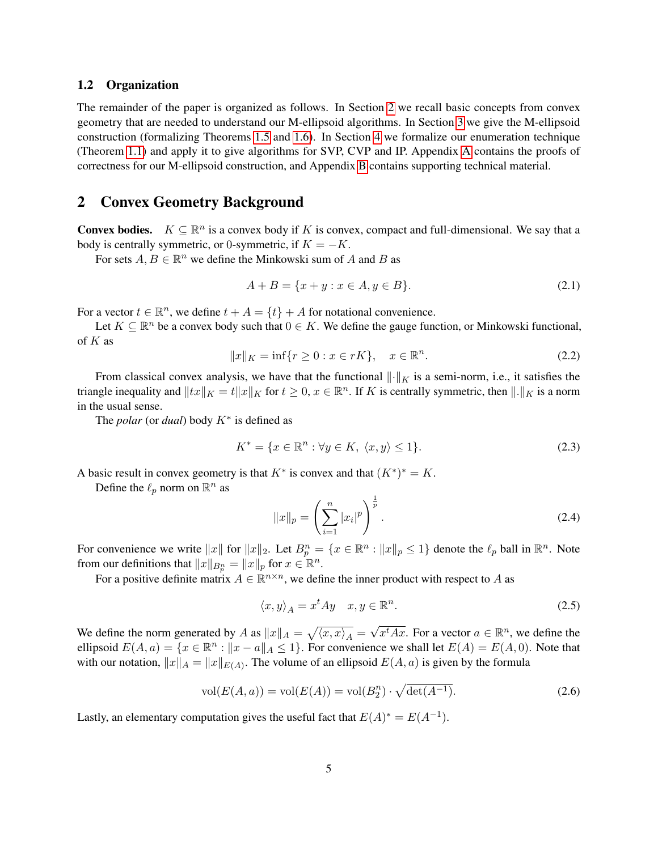#### 1.2 Organization

The remainder of the paper is organized as follows. In Section [2](#page-5-0) we recall basic concepts from convex geometry that are needed to understand our M-ellipsoid algorithms. In Section [3](#page-6-0) we give the M-ellipsoid construction (formalizing Theorems [1.5](#page-3-1) and [1.6\)](#page-4-1). In Section [4](#page-10-0) we formalize our enumeration technique (Theorem [1.1\)](#page-2-2) and apply it to give algorithms for SVP, CVP and IP. Appendix [A](#page-25-0) contains the proofs of correctness for our M-ellipsoid construction, and Appendix [B](#page-35-0) contains supporting technical material.

# <span id="page-5-0"></span>2 Convex Geometry Background

**Convex bodies.**  $K \subseteq \mathbb{R}^n$  is a convex body if K is convex, compact and full-dimensional. We say that a body is centrally symmetric, or 0-symmetric, if  $K = -K$ .

For sets  $A, B \in \mathbb{R}^n$  we define the Minkowski sum of A and B as

$$
A + B = \{x + y : x \in A, y \in B\}.
$$
\n(2.1)

For a vector  $t \in \mathbb{R}^n$ , we define  $t + A = \{t\} + A$  for notational convenience.

Let  $K \subseteq \mathbb{R}^n$  be a convex body such that  $0 \in K$ . We define the gauge function, or Minkowski functional, of  $K$  as

$$
||x||_K = \inf\{r \ge 0 : x \in rK\}, \quad x \in \mathbb{R}^n. \tag{2.2}
$$

From classical convex analysis, we have that the functional  $\|\cdot\|_K$  is a semi-norm, i.e., it satisfies the triangle inequality and  $||tx||_K = t||x||_K$  for  $t \geq 0, x \in \mathbb{R}^n$ . If K is centrally symmetric, then  $||.||_K$  is a norm in the usual sense.

The *polar* (or *dual*) body K<sup>∗</sup> is defined as

$$
K^* = \{ x \in \mathbb{R}^n : \forall y \in K, \ \langle x, y \rangle \le 1 \}. \tag{2.3}
$$

A basic result in convex geometry is that  $K^*$  is convex and that  $(K^*)^* = K$ .

Define the  $\ell_p$  norm on  $\mathbb{R}^n$  as

$$
||x||_p = \left(\sum_{i=1}^n |x_i|^p\right)^{\frac{1}{p}}.
$$
\n(2.4)

For convenience we write  $||x||$  for  $||x||_2$ . Let  $B_p^n = \{x \in \mathbb{R}^n : ||x||_p \le 1\}$  denote the  $\ell_p$  ball in  $\mathbb{R}^n$ . Note from our definitions that  $||x||_{B_p^n} = ||x||_p$  for  $x \in \mathbb{R}^n$ .

For a positive definite matrix  $A \in \mathbb{R}^{n \times n}$ , we define the inner product with respect to A as

<span id="page-5-1"></span>
$$
\langle x, y \rangle_A = x^t A y \quad x, y \in \mathbb{R}^n. \tag{2.5}
$$

We define the norm generated by A as  $||x||_A = \sqrt{\langle x, x \rangle_A} =$ √  $\overline{x^t A x}$ . For a vector  $a \in \mathbb{R}^n$ , we define the ellipsoid  $E(A, a) = \{x \in \mathbb{R}^n : ||x - a||_A \le 1\}$ . For convenience we shall let  $E(A) = E(A, 0)$ . Note that with our notation,  $||x||_A = ||x||_{E(A)}$ . The volume of an ellipsoid  $E(A, a)$  is given by the formula

$$
vol(E(A, a)) = vol(E(A)) = vol(B_2^n) \cdot \sqrt{\det(A^{-1})}.
$$
 (2.6)

Lastly, an elementary computation gives the useful fact that  $E(A)^* = E(A^{-1})$ .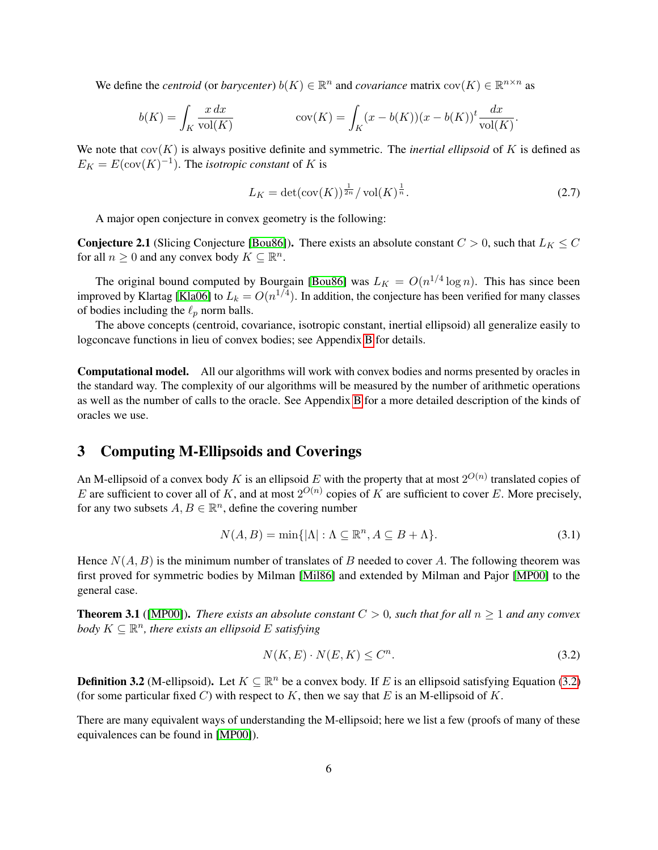We define the *centroid* (or *barycenter*)  $b(K) \in \mathbb{R}^n$  and *covariance* matrix  $cov(K) \in \mathbb{R}^{n \times n}$  as

$$
b(K) = \int_K \frac{x \, dx}{\text{vol}(K)} \qquad \text{cov}(K) = \int_K (x - b(K))(x - b(K))^t \frac{dx}{\text{vol}(K)}.
$$

We note that  $cov(K)$  is always positive definite and symmetric. The *inertial ellipsoid* of K is defined as  $E_K = E(\text{cov}(K)^{-1})$ . The *isotropic constant* of K is

$$
L_K = \det(\text{cov}(K))^{\frac{1}{2n}} / \text{vol}(K)^{\frac{1}{n}}.
$$
\n(2.7)

A major open conjecture in convex geometry is the following:

<span id="page-6-4"></span>**Conjecture 2.1** (Slicing Conjecture [\[Bou86\]](#page-22-8)). There exists an absolute constant  $C > 0$ , such that  $L_K \leq C$ for all  $n \geq 0$  and any convex body  $K \subseteq \mathbb{R}^n$ .

The original bound computed by Bourgain [\[Bou86\]](#page-22-8) was  $L_K = O(n^{1/4} \log n)$ . This has since been improved by Klartag [\[Kla06\]](#page-23-9) to  $L_k = O(n^{1/4})$ . In addition, the conjecture has been verified for many classes of bodies including the  $\ell_p$  norm balls.

The above concepts (centroid, covariance, isotropic constant, inertial ellipsoid) all generalize easily to logconcave functions in lieu of convex bodies; see Appendix [B](#page-35-0) for details.

Computational model. All our algorithms will work with convex bodies and norms presented by oracles in the standard way. The complexity of our algorithms will be measured by the number of arithmetic operations as well as the number of calls to the oracle. See Appendix [B](#page-35-0) for a more detailed description of the kinds of oracles we use.

# <span id="page-6-0"></span>3 Computing M-Ellipsoids and Coverings

An M-ellipsoid of a convex body K is an ellipsoid E with the property that at most  $2^{O(n)}$  translated copies of E are sufficient to cover all of K, and at most  $2^{O(n)}$  copies of K are sufficient to cover E. More precisely, for any two subsets  $A, B \in \mathbb{R}^n$ , define the covering number

$$
N(A, B) = \min\{|\Lambda| : \Lambda \subseteq \mathbb{R}^n, A \subseteq B + \Lambda\}.
$$
\n(3.1)

Hence  $N(A, B)$  is the minimum number of translates of B needed to cover A. The following theorem was first proved for symmetric bodies by Milman [\[Mil86\]](#page-24-8) and extended by Milman and Pajor [\[MP00\]](#page-24-9) to the general case.

<span id="page-6-3"></span>**Theorem 3.1** ([\[MP00\]](#page-24-9)). *There exists an absolute constant*  $C > 0$ , such that for all  $n \ge 1$  and any convex *body*  $K \subseteq \mathbb{R}^n$ , there exists an ellipsoid E satisfying

<span id="page-6-1"></span>
$$
N(K, E) \cdot N(E, K) \le C^n. \tag{3.2}
$$

**Definition 3.2** (M-ellipsoid). Let  $K \subseteq \mathbb{R}^n$  be a convex body. If E is an ellipsoid satisfying Equation [\(3.2\)](#page-6-1) (for some particular fixed C) with respect to K, then we say that E is an M-ellipsoid of K.

<span id="page-6-2"></span>There are many equivalent ways of understanding the M-ellipsoid; here we list a few (proofs of many of these equivalences can be found in [\[MP00\]](#page-24-9)).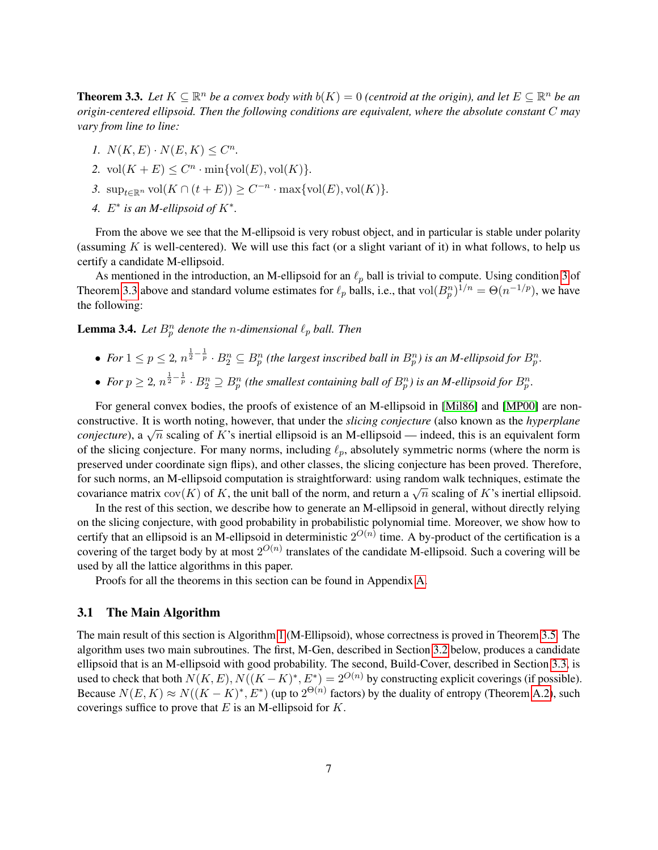**Theorem 3.3.** Let  $K \subseteq \mathbb{R}^n$  be a convex body with  $b(K) = 0$  (centroid at the origin), and let  $E \subseteq \mathbb{R}^n$  be an *origin-centered ellipsoid. Then the following conditions are equivalent, where the absolute constant* C *may vary from line to line:*

- *1.*  $N(K, E) \cdot N(E, K) \leq C^n$ .
- 2.  $vol(K + E) \leq C^n \cdot min\{vol(E), vol(K)\}.$
- <span id="page-7-0"></span>3.  $\sup_{t \in \mathbb{R}^n} \text{vol}(K \cap (t+E)) \geq C^{-n} \cdot \max\{\text{vol}(E), \text{vol}(K)\}.$
- 4.  $E^*$  is an M-ellipsoid of  $K^*$ .

From the above we see that the M-ellipsoid is very robust object, and in particular is stable under polarity (assuming  $K$  is well-centered). We will use this fact (or a slight variant of it) in what follows, to help us certify a candidate M-ellipsoid.

As mentioned in the introduction, an M-ellipsoid for an  $\ell_p$  ball is trivial to compute. Using condition [3](#page-7-0) of Theorem [3.3](#page-6-2) above and standard volume estimates for  $\ell_p$  balls, i.e., that vol $(B_p^n)^{1/n} = \Theta(n^{-1/p})$ , we have the following:

**Lemma 3.4.** Let  $B_p^n$  denote the *n*-dimensional  $\ell_p$  ball. Then

- For  $1 \leq p \leq 2$ ,  $n^{\frac{1}{2}-\frac{1}{p}} \cdot B_2^n \subseteq B_p^n$  (the largest inscribed ball in  $B_p^n$ ) is an M-ellipsoid for  $B_p^n$ .
- For  $p \geq 2$ ,  $n^{\frac{1}{2} \frac{1}{p}} \cdot B_2^n \supseteq B_p^n$  (the smallest containing ball of  $B_p^n$ ) is an M-ellipsoid for  $B_p^n$ .

For general convex bodies, the proofs of existence of an M-ellipsoid in [\[Mil86\]](#page-24-8) and [\[MP00\]](#page-24-9) are nonconstructive. It is worth noting, however, that under the *slicing conjecture* (also known as the *hyperplane consultative.* It is worth noting, nowever, that there the *sticing conjecture* (also known as the *nyperplane conjecture*), a  $\sqrt{n}$  scaling of K's inertial ellipsoid is an M-ellipsoid — indeed, this is an equivalent of the slicing conjecture. For many norms, including  $\ell_p$ , absolutely symmetric norms (where the norm is preserved under coordinate sign flips), and other classes, the slicing conjecture has been proved. Therefore, for such norms, an M-ellipsoid computation is straightforward: using random walk techniques, estimate the covariance matrix  $cov(K)$  of K, the unit ball of the norm, and return a  $\sqrt{n}$  scaling of K's inertial ellipsoid.

In the rest of this section, we describe how to generate an M-ellipsoid in general, without directly relying on the slicing conjecture, with good probability in probabilistic polynomial time. Moreover, we show how to certify that an ellipsoid is an M-ellipsoid in deterministic  $2^{O(n)}$  time. A by-product of the certification is a covering of the target body by at most  $2^{O(n)}$  translates of the candidate M-ellipsoid. Such a covering will be used by all the lattice algorithms in this paper.

Proofs for all the theorems in this section can be found in Appendix [A.](#page-25-0)

#### 3.1 The Main Algorithm

<span id="page-7-1"></span>The main result of this section is Algorithm [1](#page-8-0) (M-Ellipsoid), whose correctness is proved in Theorem [3.5.](#page-7-1) The algorithm uses two main subroutines. The first, M-Gen, described in Section [3.2](#page-8-1) below, produces a candidate ellipsoid that is an M-ellipsoid with good probability. The second, Build-Cover, described in Section [3.3,](#page-9-0) is used to check that both  $N(K, E), N((K - K)^*, E^*) = 2^{O(n)}$  by constructing explicit coverings (if possible). Because  $N(E, K) \approx N((K - K)^*, E^*)$  (up to  $2^{\Theta(n)}$  factors) by the duality of entropy (Theorem [A.2\)](#page-31-0), such coverings suffice to prove that  $E$  is an M-ellipsoid for  $K$ .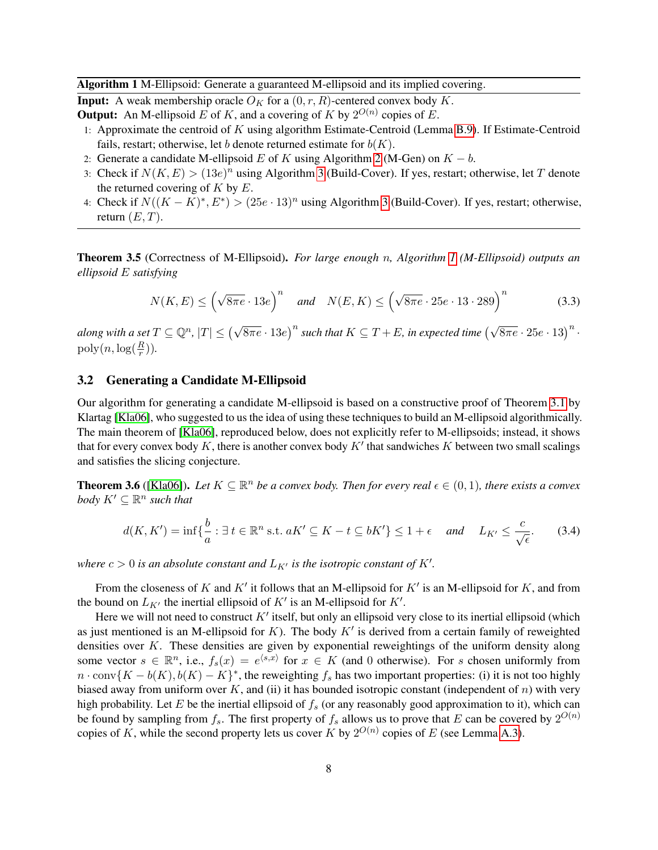Algorithm 1 M-Ellipsoid: Generate a guaranteed M-ellipsoid and its implied covering.

<span id="page-8-0"></span>**Input:** A weak membership oracle  $O_K$  for a  $(0, r, R)$ -centered convex body K.

**Output:** An M-ellipsoid E of K, and a covering of K by  $2^{O(n)}$  copies of E.

- 1: Approximate the centroid of  $K$  using algorithm Estimate-Centroid (Lemma [B.9\)](#page-39-0). If Estimate-Centroid fails, restart; otherwise, let b denote returned estimate for  $b(K)$ .
- 2: Generate a candidate M-ellipsoid E of K using Algorithm [2](#page-9-1) (M-Gen) on  $K b$ .
- 3: Check if  $N(K, E) > (13e)^n$  using Algorithm [3](#page-9-2) (Build-Cover). If yes, restart; otherwise, let T denote the returned covering of  $K$  by  $E$ .
- 4: Check if  $N((K K)^*, E^*) > (25e \cdot 13)^n$  using Algorithm [3](#page-9-2) (Build-Cover). If yes, restart; otherwise, return  $(E, T)$ .

Theorem 3.5 (Correctness of M-Ellipsoid). *For large enough* n*, Algorithm [1](#page-8-0) (M-Ellipsoid) outputs an ellipsoid* E *satisfying*

$$
N(K, E) \le \left(\sqrt{8\pi e} \cdot 13e\right)^n \quad \text{and} \quad N(E, K) \le \left(\sqrt{8\pi e} \cdot 25e \cdot 13 \cdot 289\right)^n \tag{3.3}
$$

 $a$ long with a set  $T \subseteq \mathbb{Q}^n$ ,  $|T| \leq \left(\sqrt{8\pi e} \cdot 13e \right)^n$  such that  $K \subseteq T+E$ , in expected time  $\left(\sqrt{8\pi e} \cdot 25e \cdot 13 \right)^n$  .  $\mathrm{poly}(n, \log(\frac{R}{r})).$ 

#### <span id="page-8-1"></span>3.2 Generating a Candidate M-Ellipsoid

Our algorithm for generating a candidate M-ellipsoid is based on a constructive proof of Theorem [3.1](#page-6-3) by Klartag [\[Kla06\]](#page-23-9), who suggested to us the idea of using these techniques to build an M-ellipsoid algorithmically. The main theorem of [\[Kla06\]](#page-23-9), reproduced below, does not explicitly refer to M-ellipsoids; instead, it shows that for every convex body K, there is another convex body  $K'$  that sandwiches K between two small scalings and satisfies the slicing conjecture.

<span id="page-8-2"></span>**Theorem 3.6** ([\[Kla06\]](#page-23-9)). Let  $K \subseteq \mathbb{R}^n$  be a convex body. Then for every real  $\epsilon \in (0,1)$ , there exists a convex *body*  $K' \subseteq \mathbb{R}^n$  such that

$$
d(K, K') = \inf \{ \frac{b}{a} : \exists \ t \in \mathbb{R}^n \text{ s.t. } aK' \subseteq K - t \subseteq bK' \} \le 1 + \epsilon \quad \text{and} \quad L_{K'} \le \frac{c}{\sqrt{\epsilon}}. \tag{3.4}
$$

where  $c > 0$  is an absolute constant and  $L_{K'}$  is the isotropic constant of  $K'.$ 

From the closeness of K and K' it follows that an M-ellipsoid for K' is an M-ellipsoid for K, and from the bound on  $L_{K'}$  the inertial ellipsoid of  $K'$  is an M-ellipsoid for  $K'$ .

Here we will not need to construct  $K'$  itself, but only an ellipsoid very close to its inertial ellipsoid (which as just mentioned is an M-ellipsoid for K). The body  $K'$  is derived from a certain family of reweighted densities over K. These densities are given by exponential reweightings of the uniform density along some vector  $s \in \mathbb{R}^n$ , i.e.,  $f_s(x) = e^{\langle s, x \rangle}$  for  $x \in K$  (and 0 otherwise). For s chosen uniformly from  $n \cdot \text{conv}(K - b(K), b(K) - K)^*$ , the reweighting  $f_s$  has two important properties: (i) it is not too highly biased away from uniform over  $K$ , and (ii) it has bounded isotropic constant (independent of n) with very high probability. Let E be the inertial ellipsoid of  $f_s$  (or any reasonably good approximation to it), which can be found by sampling from  $f_s$ . The first property of  $f_s$  allows us to prove that E can be covered by  $2^{O(n)}$ copies of K, while the second property lets us cover K by  $2^{O(n)}$  copies of E (see Lemma [A.3\)](#page-32-0).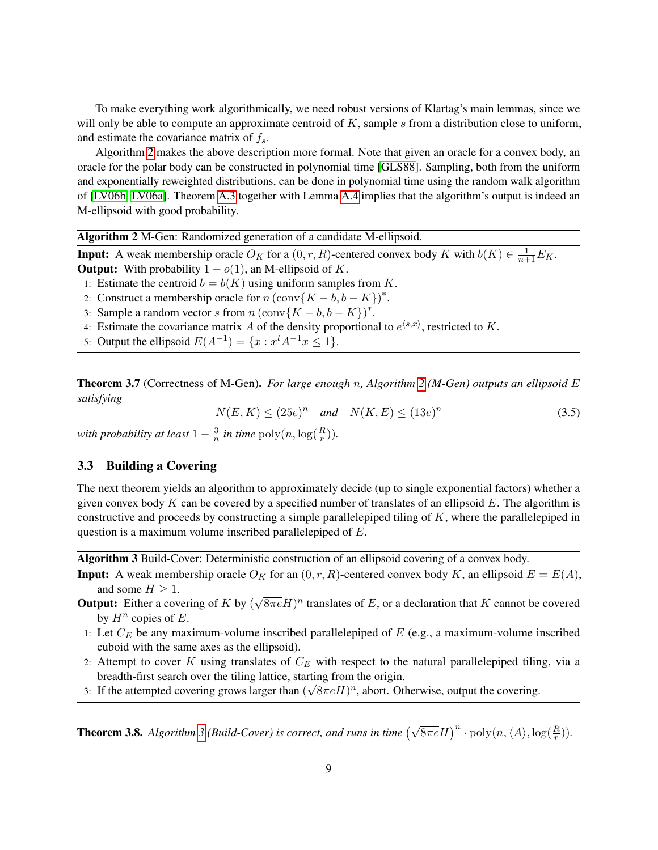To make everything work algorithmically, we need robust versions of Klartag's main lemmas, since we will only be able to compute an approximate centroid of  $K$ , sample  $s$  from a distribution close to uniform, and estimate the covariance matrix of  $f_s$ .

Algorithm [2](#page-9-1) makes the above description more formal. Note that given an oracle for a convex body, an oracle for the polar body can be constructed in polynomial time [\[GLS88\]](#page-23-11). Sampling, both from the uniform and exponentially reweighted distributions, can be done in polynomial time using the random walk algorithm of [\[LV06b,](#page-23-12) [LV06a\]](#page-23-13). Theorem [A.3](#page-32-0) together with Lemma [A.4](#page-34-0) implies that the algorithm's output is indeed an M-ellipsoid with good probability.

Algorithm 2 M-Gen: Randomized generation of a candidate M-ellipsoid.

<span id="page-9-1"></span>**Input:** A weak membership oracle  $O_K$  for a  $(0, r, R)$ -centered convex body K with  $b(K) \in \frac{1}{n+1}E_K$ .

**Output:** With probability  $1 - o(1)$ , an M-ellipsoid of K.

1: Estimate the centroid  $b = b(K)$  using uniform samples from K.

2: Construct a membership oracle for  $n (\text{conv}\{K - b, b - K\})^*$ .

- 3: Sample a random vector s from  $n (\text{conv}\{K b, b K\})^*$ .
- 4: Estimate the covariance matrix A of the density proportional to  $e^{\langle s,x\rangle}$ , restricted to K.
- 5: Output the ellipsoid  $E(A^{-1}) = \{x : x^t A^{-1} x \le 1\}.$

<span id="page-9-3"></span>Theorem 3.7 (Correctness of M-Gen). *For large enough* n*, Algorithm [2](#page-9-1) (M-Gen) outputs an ellipsoid* E *satisfying*

> $N(E, K) \le (25e)^n$  and  $N(K, E) \le (13e)^n$ (3.5)

with probability at least  $1-\frac{3}{n}$  $\frac{3}{n}$  in time  $\mathrm{poly}(n, \log(\frac{R}{r})).$ 

### <span id="page-9-0"></span>3.3 Building a Covering

The next theorem yields an algorithm to approximately decide (up to single exponential factors) whether a given convex body K can be covered by a specified number of translates of an ellipsoid  $E$ . The algorithm is constructive and proceeds by constructing a simple parallelepiped tiling of  $K$ , where the parallelepiped in question is a maximum volume inscribed parallelepiped of E.

Algorithm 3 Build-Cover: Deterministic construction of an ellipsoid covering of a convex body.

- <span id="page-9-2"></span>**Input:** A weak membership oracle  $O_K$  for an  $(0, r, R)$ -centered convex body K, an ellipsoid  $E = E(A)$ , and some  $H \geq 1$ . √
- **Output:** Either a covering of  $K$  by (  $\sqrt{8\pi e}H$ <sup>n</sup> translates of E, or a declaration that K cannot be covered by  $H^n$  copies of E.
- 1: Let  $C_E$  be any maximum-volume inscribed parallelepiped of E (e.g., a maximum-volume inscribed cuboid with the same axes as the ellipsoid).
- 2: Attempt to cover K using translates of  $C_E$  with respect to the natural parallelepiped tiling, via a breadth-first search over the tiling lattice, starting from the origin.
- 3: If the attempted covering grows larger than  $(\sqrt{8\pi e}H)^n$ , abort. Otherwise, output the covering.

<span id="page-9-4"></span>**Theorem [3](#page-9-2).8.** Algorithm 3 (Build-Cover) is correct, and runs in time  $(\sqrt{8\pi e}H)^n \cdot \text{poly}(n,\langle A \rangle,\log(\frac{R}{r}))$ .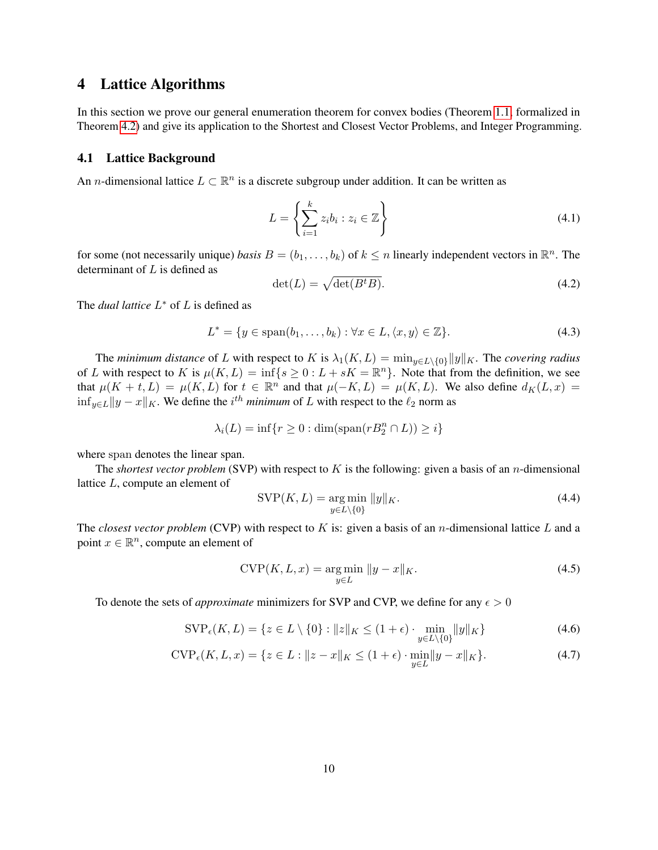# <span id="page-10-0"></span>4 Lattice Algorithms

In this section we prove our general enumeration theorem for convex bodies (Theorem [1.1,](#page-2-2) formalized in Theorem [4.2\)](#page-11-1) and give its application to the Shortest and Closest Vector Problems, and Integer Programming.

#### 4.1 Lattice Background

An *n*-dimensional lattice  $L \subset \mathbb{R}^n$  is a discrete subgroup under addition. It can be written as

$$
L = \left\{ \sum_{i=1}^{k} z_i b_i : z_i \in \mathbb{Z} \right\}
$$
\n
$$
(4.1)
$$

for some (not necessarily unique) *basis*  $B = (b_1, \ldots, b_k)$  of  $k \leq n$  linearly independent vectors in  $\mathbb{R}^n$ . The determinant of  $L$  is defined as

$$
\det(L) = \sqrt{\det(B^t B)}.
$$
\n(4.2)

The *dual lattice*  $L^*$  of  $L$  is defined as

$$
L^* = \{ y \in \text{span}(b_1, \dots, b_k) : \forall x \in L, \langle x, y \rangle \in \mathbb{Z} \}. \tag{4.3}
$$

The *minimum distance* of L with respect to K is  $\lambda_1(K, L) = \min_{y \in L \setminus \{0\}} \|y\|_K$ . The *covering radius* of L with respect to K is  $\mu(K, L) = \inf\{s \geq 0 : L + sK = \mathbb{R}^n\}$ . Note that from the definition, we see that  $\mu(K + t, L) = \mu(K, L)$  for  $t \in \mathbb{R}^n$  and that  $\mu(-K, L) = \mu(K, L)$ . We also define  $d_K(L, x) =$  $\inf_{y \in L} \|y - x\|_{K}$ . We define the  $i^{th}$  *minimum* of L with respect to the  $\ell_2$  norm as

$$
\lambda_i(L) = \inf\{r \ge 0 : \dim(\text{span}(rB_2^n \cap L)) \ge i\}
$$

where span denotes the linear span.

The *shortest vector problem* (SVP) with respect to K is the following: given a basis of an n-dimensional lattice L, compute an element of

$$
SVP(K, L) = \underset{y \in L \setminus \{0\}}{\arg \min} \|y\|_K. \tag{4.4}
$$

The *closest vector problem* (CVP) with respect to K is: given a basis of an *n*-dimensional lattice L and a point  $x \in \mathbb{R}^n$ , compute an element of

$$
CVP(K, L, x) = \underset{y \in L}{\arg \min} \|y - x\|_{K}.
$$
\n(4.5)

To denote the sets of *approximate* minimizers for SVP and CVP, we define for any  $\epsilon > 0$ 

$$
\text{SVP}_{\epsilon}(K, L) = \{ z \in L \setminus \{0\} : ||z||_K \le (1 + \epsilon) \cdot \min_{y \in L \setminus \{0\}} ||y||_K \} \tag{4.6}
$$

$$
CVP_{\epsilon}(K, L, x) = \{ z \in L : ||z - x||_K \le (1 + \epsilon) \cdot \min_{y \in L} ||y - x||_K \}. \tag{4.7}
$$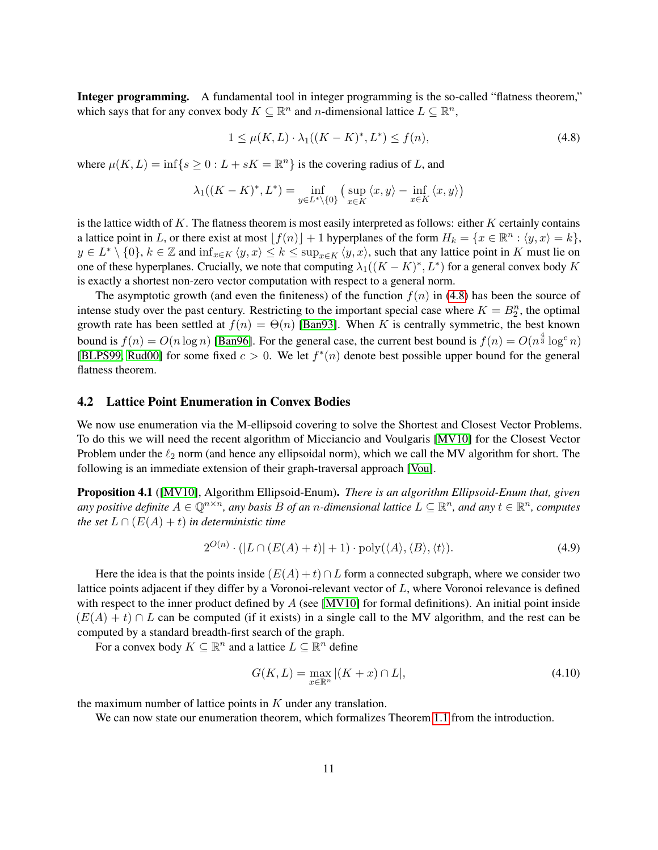Integer programming. A fundamental tool in integer programming is the so-called "flatness theorem," which says that for any convex body  $K \subseteq \mathbb{R}^n$  and *n*-dimensional lattice  $L \subseteq \mathbb{R}^n$ ,

<span id="page-11-0"></span>
$$
1 \le \mu(K, L) \cdot \lambda_1((K - K)^*, L^*) \le f(n),\tag{4.8}
$$

where  $\mu(K, L) = \inf \{ s \ge 0 : L + sK = \mathbb{R}^n \}$  is the covering radius of L, and

$$
\lambda_1((K - K)^*, L^*) = \inf_{y \in L^* \backslash \{0\}} \left( \sup_{x \in K} \langle x, y \rangle - \inf_{x \in K} \langle x, y \rangle \right)
$$

is the lattice width of  $K$ . The flatness theorem is most easily interpreted as follows: either  $K$  certainly contains a lattice point in L, or there exist at most  $[f(n)] + 1$  hyperplanes of the form  $H_k = \{x \in \mathbb{R}^n : \langle y, x \rangle = k\},\$  $y \in L^* \setminus \{0\}, k \in \mathbb{Z}$  and  $\inf_{x \in K} \langle y, x \rangle \leq k \leq \sup_{x \in K} \langle y, x \rangle$ , such that any lattice point in K must lie on one of these hyperplanes. Crucially, we note that computing  $\lambda_1((K - K)^*, L^*)$  for a general convex body K is exactly a shortest non-zero vector computation with respect to a general norm.

The asymptotic growth (and even the finiteness) of the function  $f(n)$  in [\(4.8\)](#page-11-0) has been the source of intense study over the past century. Restricting to the important special case where  $K = B_2^n$ , the optimal growth rate has been settled at  $f(n) = \Theta(n)$  [\[Ban93\]](#page-22-10). When K is centrally symmetric, the best known bound is  $f(n) = O(n \log n)$  [\[Ban96\]](#page-22-11). For the general case, the current best bound is  $f(n) = O(n^{\frac{4}{3}} \log^c n)$ [\[BLPS99,](#page-22-7) [Rud00\]](#page-24-7) for some fixed  $c > 0$ . We let  $f^*(n)$  denote best possible upper bound for the general flatness theorem.

#### 4.2 Lattice Point Enumeration in Convex Bodies

We now use enumeration via the M-ellipsoid covering to solve the Shortest and Closest Vector Problems. To do this we will need the recent algorithm of Micciancio and Voulgaris [\[MV10\]](#page-24-6) for the Closest Vector Problem under the  $\ell_2$  norm (and hence any ellipsoidal norm), which we call the MV algorithm for short. The following is an immediate extension of their graph-traversal approach [\[Vou\]](#page-24-10).

Proposition 4.1 ([\[MV10\]](#page-24-6), Algorithm Ellipsoid-Enum). *There is an algorithm Ellipsoid-Enum that, given* any positive definite  $A \in \mathbb{Q}^{n \times n}$ , any basis B of an *n*-dimensional lattice  $L \subseteq \mathbb{R}^n$ , and any  $t \in \mathbb{R}^n$ , computes *the set*  $L \cap (E(A) + t)$  *in deterministic time* 

$$
2^{O(n)} \cdot (|L \cap (E(A) + t)| + 1) \cdot \text{poly}(\langle A \rangle, \langle B \rangle, \langle t \rangle).
$$
 (4.9)

Here the idea is that the points inside  $(E(A) + t) \cap L$  form a connected subgraph, where we consider two lattice points adjacent if they differ by a Voronoi-relevant vector of L, where Voronoi relevance is defined with respect to the inner product defined by  $A$  (see [\[MV10\]](#page-24-6) for formal definitions). An initial point inside  $(E(A) + t) \cap L$  can be computed (if it exists) in a single call to the MV algorithm, and the rest can be computed by a standard breadth-first search of the graph.

For a convex body  $K \subseteq \mathbb{R}^n$  and a lattice  $L \subseteq \mathbb{R}^n$  define

 $\sim$ 

$$
G(K,L) = \max_{x \in \mathbb{R}^n} |(K+x) \cap L|,
$$
\n(4.10)

the maximum number of lattice points in  $K$  under any translation.

<span id="page-11-1"></span>We can now state our enumeration theorem, which formalizes Theorem [1.1](#page-2-2) from the introduction.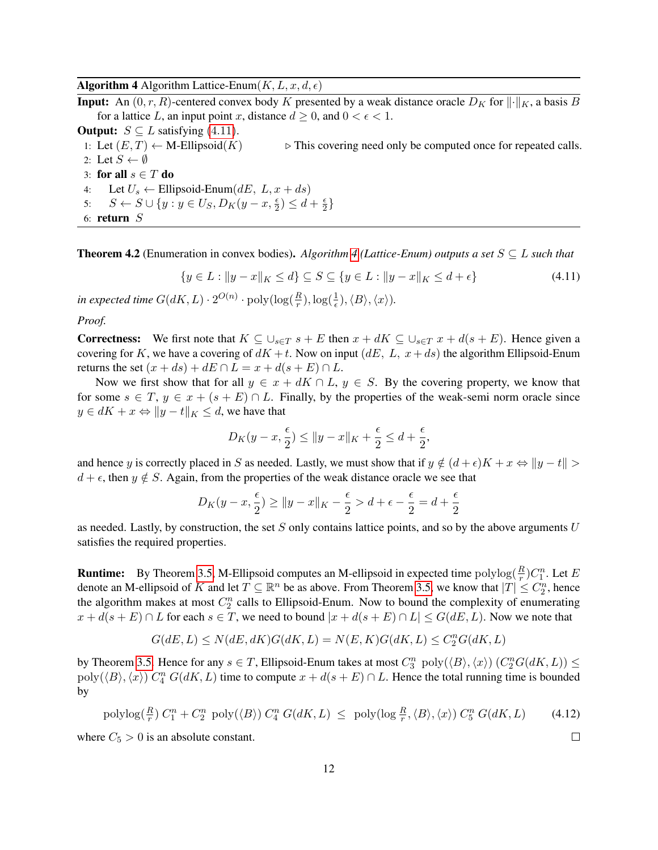**Algorithm 4** Algorithm Lattice-Enum $(K, L, x, d, \epsilon)$ 

<span id="page-12-1"></span>**Input:** An  $(0, r, R)$ -centered convex body K presented by a weak distance oracle  $D<sub>K</sub>$  for  $\|\cdot\|_K$ , a basis B for a lattice L, an input point x, distance  $d \geq 0$ , and  $0 < \epsilon < 1$ .

**Output:**  $S \subseteq L$  satisfying (4.[11\)](#page-12-0).

1: Let  $(E, T) \leftarrow$  M-Ellipsoid $(K)$   $\triangleright$  This covering need only be computed once for repeated calls. 2: Let  $S \leftarrow \emptyset$ 3: for all  $s \in T$  do

4: Let  $U_s \leftarrow$  Ellipsoid-Enum $(dE, L, x + ds)$ 

5:  $S \leftarrow S \cup \{y : y \in U_S, D_K(y - x, \frac{\epsilon}{2}) \le d + \frac{\epsilon}{2}$  $\frac{\epsilon}{2}$ 

6: return S

**Theorem [4](#page-12-1).2** (Enumeration in convex bodies). *Algorithm 4* (Lattice-Enum) outputs a set  $S \subseteq L$  such that

$$
\{y \in L : \|y - x\|_K \le d\} \subseteq S \subseteq \{y \in L : \|y - x\|_K \le d + \epsilon\}
$$
\n(4.11)

in expected time  $G(dK, L) \cdot 2^{O(n)} \cdot \text{poly}(\log(\frac{R}{r}), \log(\frac{1}{\epsilon}), \langle B \rangle, \langle x \rangle).$ 

*Proof.*

**Correctness:** We first note that  $K \subseteq \bigcup_{s \in T} s + E$  then  $x + dK \subseteq \bigcup_{s \in T} x + d(s + E)$ . Hence given a covering for K, we have a covering of  $dK + t$ . Now on input  $(dE, L, x + ds)$  the algorithm Ellipsoid-Enum returns the set  $(x + ds) + dE \cap L = x + d(s + E) \cap L$ .

Now we first show that for all  $y \in x + dK \cap L$ ,  $y \in S$ . By the covering property, we know that for some  $s \in T$ ,  $y \in x + (s + E) \cap L$ . Finally, by the properties of the weak-semi norm oracle since  $y \in dK + x \Leftrightarrow ||y - t||_K \leq d$ , we have that

<span id="page-12-0"></span>
$$
D_K(y - x, \frac{\epsilon}{2}) \le ||y - x||_K + \frac{\epsilon}{2} \le d + \frac{\epsilon}{2},
$$

and hence y is correctly placed in S as needed. Lastly, we must show that if  $y \notin (d + \epsilon)K + x \Leftrightarrow ||y - t|| >$  $d + \epsilon$ , then  $y \notin S$ . Again, from the properties of the weak distance oracle we see that

$$
D_K(y - x, \frac{\epsilon}{2}) \ge ||y - x||_K - \frac{\epsilon}{2} > d + \epsilon - \frac{\epsilon}{2} = d + \frac{\epsilon}{2}
$$

as needed. Lastly, by construction, the set  $S$  only contains lattice points, and so by the above arguments  $U$ satisfies the required properties.

**Runtime:** By Theorem [3.5,](#page-7-1) M-Ellipsoid computes an M-ellipsoid in expected time  $\text{polylog}(\frac{R}{r})C_1^n$ . Let E denote an M-ellipsoid of K and let  $T \subseteq \mathbb{R}^n$  be as above. From Theorem [3.5,](#page-7-1) we know that  $|T| \leq C_2^n$ , hence the algorithm makes at most  $C_2^n$  calls to Ellipsoid-Enum. Now to bound the complexity of enumerating  $x + d(s + E) \cap L$  for each  $s \in T$ , we need to bound  $|x + d(s + E) \cap L| \le G(dE, L)$ . Now we note that

$$
G(dE, L) \le N(dE, dK)G(dK, L) = N(E, K)G(dK, L) \le C_2^n G(dK, L)
$$

by Theorem [3.5.](#page-7-1) Hence for any  $s \in T$ , Ellipsoid-Enum takes at most  $C_3^n$   $poly(\langle B \rangle, \langle x \rangle)$   $(C_2^n G(dK, L)) \le$  $poly(\langle B \rangle, \langle x \rangle)$   $C_4^n$   $G(dK, L)$  time to compute  $x + d(s + E) \cap L$ . Hence the total running time is bounded by

$$
\text{polylog}(\frac{R}{r}) C_1^n + C_2^n \text{ poly}(\langle B \rangle) C_4^n G(dK, L) \le \text{poly}(\log \frac{R}{r}, \langle B \rangle, \langle x \rangle) C_5^n G(dK, L) \tag{4.12}
$$

where  $C_5 > 0$  is an absolute constant.

 $\Box$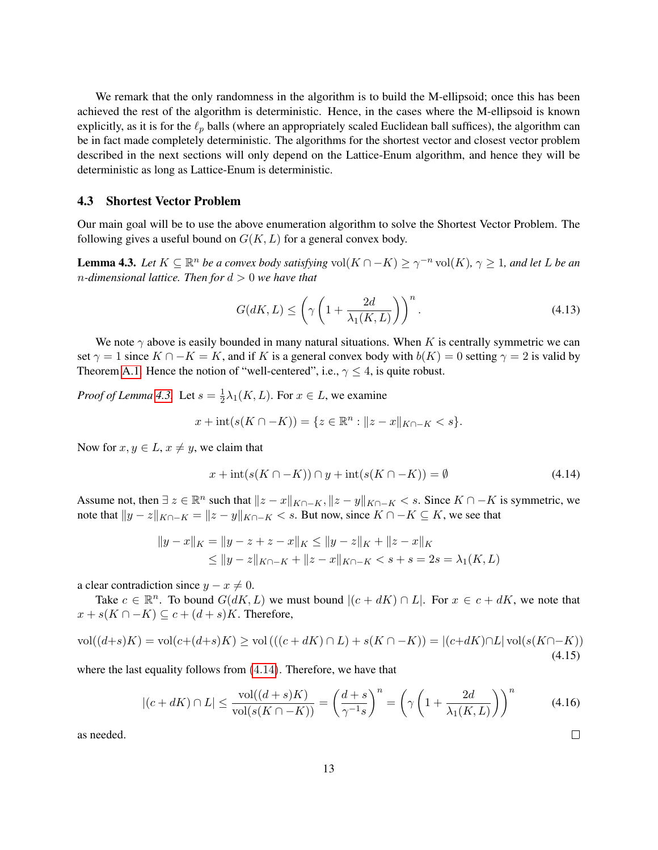We remark that the only randomness in the algorithm is to build the M-ellipsoid; once this has been achieved the rest of the algorithm is deterministic. Hence, in the cases where the M-ellipsoid is known explicitly, as it is for the  $\ell_p$  balls (where an appropriately scaled Euclidean ball suffices), the algorithm can be in fact made completely deterministic. The algorithms for the shortest vector and closest vector problem described in the next sections will only depend on the Lattice-Enum algorithm, and hence they will be deterministic as long as Lattice-Enum is deterministic.

#### 4.3 Shortest Vector Problem

Our main goal will be to use the above enumeration algorithm to solve the Shortest Vector Problem. The following gives a useful bound on  $G(K, L)$  for a general convex body.

<span id="page-13-0"></span>**Lemma 4.3.** Let  $K \subseteq \mathbb{R}^n$  be a convex body satisfying  $vol(K \cap -K) \geq \gamma^{-n} vol(K)$ ,  $\gamma \geq 1$ , and let L be an n*-dimensional lattice. Then for* d > 0 *we have that*

$$
G(dK, L) \le \left(\gamma \left(1 + \frac{2d}{\lambda_1(K, L)}\right)\right)^n.
$$
\n(4.13)

We note  $\gamma$  above is easily bounded in many natural situations. When K is centrally symmetric we can set  $\gamma = 1$  since  $K \cap -K = K$ , and if K is a general convex body with  $b(K) = 0$  setting  $\gamma = 2$  is valid by Theorem [A.1.](#page-31-1) Hence the notion of "well-centered", i.e.,  $\gamma \leq 4$ , is quite robust.

*Proof of Lemma [4.3.](#page-13-0)* Let  $s = \frac{1}{2}$  $\frac{1}{2}\lambda_1(K,L)$ . For  $x \in L$ , we examine

$$
x + \text{int}(s(K \cap -K)) = \{ z \in \mathbb{R}^n : ||z - x||_{K \cap -K} < s \}.
$$

Now for  $x, y \in L$ ,  $x \neq y$ , we claim that

<span id="page-13-1"></span>
$$
x + \operatorname{int}(s(K \cap -K)) \cap y + \operatorname{int}(s(K \cap -K)) = \emptyset \tag{4.14}
$$

Assume not, then  $\exists z \in \mathbb{R}^n$  such that  $||z - x||_{K\cap -K}$ ,  $||z - y||_{K\cap -K} < s$ . Since  $K \cap -K$  is symmetric, we note that  $||y - z||_{K∩-K} = ||z - y||_{K∩-K} < s$ . But now, since  $K ∩ - K ⊆ K$ , we see that

$$
||y - x||_K = ||y - z + z - x||_K \le ||y - z||_K + ||z - x||_K
$$
  
\n
$$
\le ||y - z||_{K \cap -K} + ||z - x||_{K \cap -K} < s + s = 2s = \lambda_1(K, L)
$$

a clear contradiction since  $y - x \neq 0$ .

Take  $c \in \mathbb{R}^n$ . To bound  $G(dK, L)$  we must bound  $|(c + dK) \cap L|$ . For  $x \in c + dK$ , we note that  $x + s(K \cap -K) \subseteq c + (d + s)K$ . Therefore,

$$
\text{vol}((d+s)K) = \text{vol}(c + (d+s)K) \ge \text{vol}((c + dK) \cap L) + s(K \cap -K)) = |(c + dK) \cap L| \text{vol}(s(K \cap -K))
$$
\n(4.15)

where the last equality follows from  $(4.14)$  $(4.14)$ . Therefore, we have that

$$
|(c+dK)\cap L| \le \frac{\text{vol}((d+s)K)}{\text{vol}(s(K\cap -K))} = \left(\frac{d+s}{\gamma^{-1}s}\right)^n = \left(\gamma\left(1 + \frac{2d}{\lambda_1(K,L)}\right)\right)^n\tag{4.16}
$$

as needed.

 $\Box$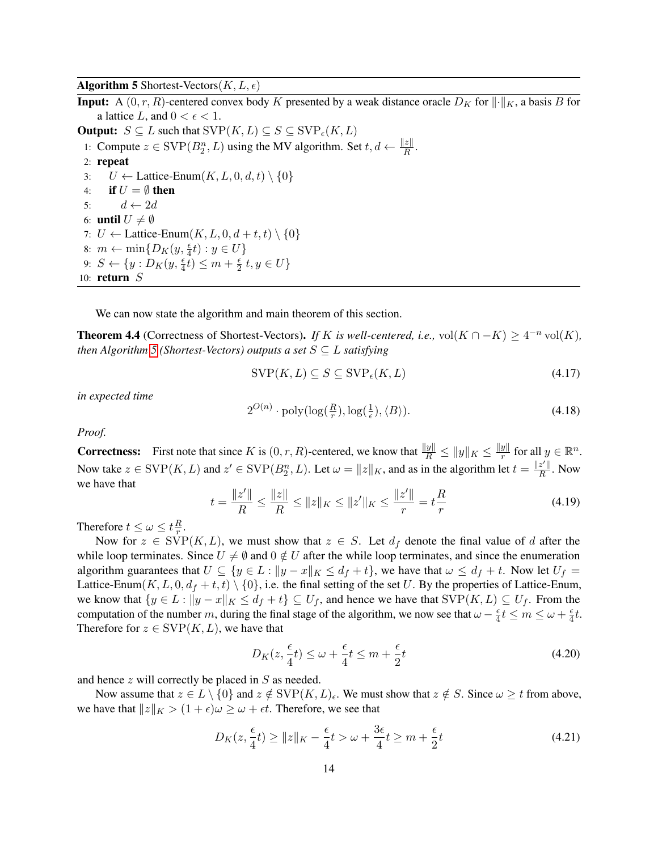**Algorithm 5** Shortest-Vectors $(K, L, \epsilon)$ 

<span id="page-14-0"></span>**Input:** A  $(0, r, R)$ -centered convex body K presented by a weak distance oracle  $D_K$  for  $\|\cdot\|_K$ , a basis B for a lattice L, and  $0 < \epsilon < 1$ . **Output:**  $S \subseteq L$  such that  $SVP(K, L) \subseteq S \subseteq SVP_{\epsilon}(K, L)$ 

1: Compute  $z \in \text{SVP}(B_2^n, L)$  using the MV algorithm. Set  $t, d \leftarrow \frac{||z||}{R}$ . 2: repeat 3:  $U \leftarrow$  Lattice-Enum $(K, L, 0, d, t) \setminus \{0\}$ 4: if  $U = \emptyset$  then 5:  $d \leftarrow 2d$ 6: **until**  $U \neq \emptyset$ 7:  $U \leftarrow$  Lattice-Enum $(K, L, 0, d + t, t) \setminus \{0\}$ 8:  $m \leftarrow \min\{D_K(y, \frac{\epsilon}{4}t) : y \in U\}$ 9:  $S \leftarrow \{y : D_K(y, \frac{\epsilon}{4}t) \leq m + \frac{\epsilon}{2}\}$  $\frac{\epsilon}{2} t, y \in U$ 10: return S

We can now state the algorithm and main theorem of this section.

<span id="page-14-1"></span>**Theorem 4.4** (Correctness of Shortest-Vectors). *If* K *is well-centered, i.e.,* vol $(K \cap -K) \geq 4^{-n}$  vol $(K)$ *, then Algorithm* [5](#page-14-0) (*Shortest-Vectors*) *outputs a set*  $S \subseteq L$  *satisfying* 

$$
SVP(K, L) \subseteq S \subseteq SVP_{\epsilon}(K, L) \tag{4.17}
$$

*in expected time*

$$
2^{O(n)} \cdot \text{poly}(\log(\frac{R}{r}), \log(\frac{1}{\epsilon}), \langle B \rangle). \tag{4.18}
$$

*Proof.*

**Correctness:** First note that since K is  $(0, r, R)$ -centered, we know that  $\frac{\|y\|}{R} \le \|y\|_K \le \frac{\|y\|}{r}$  $\frac{y\|}{r}$  for all  $y \in \mathbb{R}^n$ . Now take  $z \in \text{SVP}(K, L)$  and  $z' \in \text{SVP}(B_2^n, L)$ . Let  $\omega = ||z||_K$ , and as in the algorithm let  $t = \frac{||z'||_K}{R}$  $\frac{z}{R}$ . Now we have that

$$
t = \frac{\|z'\|}{R} \le \frac{\|z\|}{R} \le \|z\|_K \le \|z'\|_K \le \frac{\|z'\|}{r} = t\frac{R}{r}
$$
\n(4.19)

Therefore  $t \leq \omega \leq t \frac{R}{r}$  $\frac{R}{r}$ .

Now for  $z \in \text{SVP}(K, L)$ , we must show that  $z \in S$ . Let  $d_f$  denote the final value of d after the while loop terminates. Since  $U \neq \emptyset$  and  $0 \notin U$  after the while loop terminates, and since the enumeration algorithm guarantees that  $U \subseteq \{y \in L : ||y - x||_K \le d_f + t\}$ , we have that  $\omega \le d_f + t$ . Now let  $U_f =$ Lattice-Enum(K, L, 0,  $d_f + t$ , t)  $\{0\}$ , i.e. the final setting of the set U. By the properties of Lattice-Enum, we know that  $\{y \in L : ||y - x||_K \le d_f + t\} \subseteq U_f$ , and hence we have that  $SVP(K, L) \subseteq U_f$ . From the computation of the number m, during the final stage of the algorithm, we now see that  $\omega - \frac{\epsilon}{4}$  $\frac{\epsilon}{4}t \leq m \leq \omega + \frac{\epsilon}{4}$  $\frac{\epsilon}{4}t$ . Therefore for  $z \in \text{SVP}(K, L)$ , we have that

$$
D_K(z, \frac{\epsilon}{4}t) \le \omega + \frac{\epsilon}{4}t \le m + \frac{\epsilon}{2}t \tag{4.20}
$$

and hence z will correctly be placed in S as needed.

Now assume that  $z \in L \setminus \{0\}$  and  $z \notin \text{SVP}(K, L)_{\epsilon}$ . We must show that  $z \notin S$ . Since  $\omega \geq t$  from above, we have that  $||z||_K > (1 + \epsilon)\omega \ge \omega + \epsilon t$ . Therefore, we see that

$$
D_K(z, \frac{\epsilon}{4}t) \ge ||z||_K - \frac{\epsilon}{4}t > \omega + \frac{3\epsilon}{4}t \ge m + \frac{\epsilon}{2}t \tag{4.21}
$$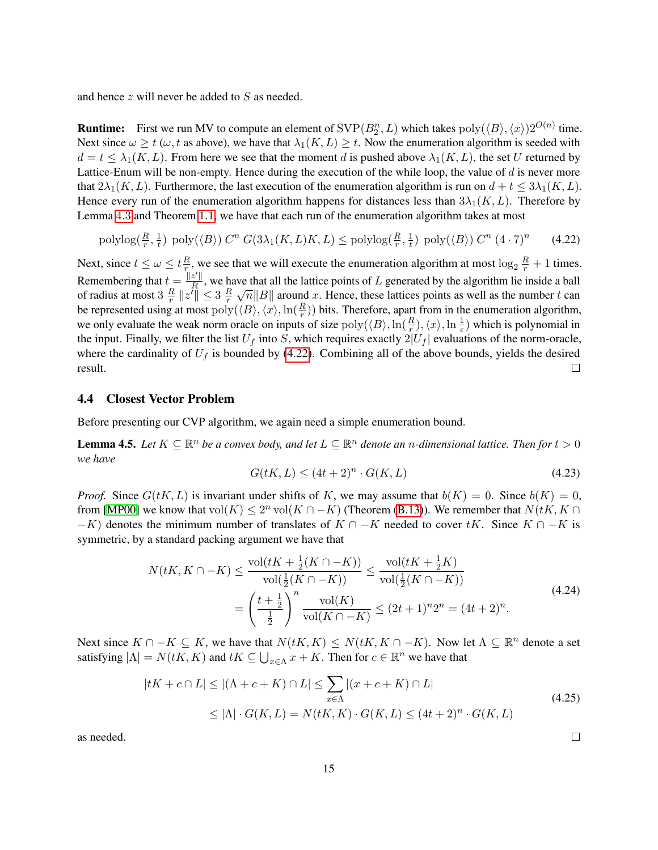and hence z will never be added to S as needed.

**Runtime:** First we run MV to compute an element of  $SVP(B_2^n, L)$  which takes  $poly(\langle B \rangle, \langle x \rangle)2^{O(n)}$  time. Next since  $\omega \geq t$  ( $\omega$ , t as above), we have that  $\lambda_1(K, L) \geq t$ . Now the enumeration algorithm is seeded with  $d = t \leq \lambda_1(K, L)$ . From here we see that the moment d is pushed above  $\lambda_1(K, L)$ , the set U returned by Lattice-Enum will be non-empty. Hence during the execution of the while loop, the value of  $d$  is never more that  $2\lambda_1(K, L)$ . Furthermore, the last execution of the enumeration algorithm is run on  $d + t \leq 3\lambda_1(K, L)$ . Hence every run of the enumeration algorithm happens for distances less than  $3\lambda_1(K, L)$ . Therefore by Lemma [4](#page-13-0).3 and Theorem [1](#page-2-2).1, we have that each run of the enumeration algorithm takes at most

$$
\text{polylog}(\frac{R}{r}, \frac{1}{t}) \text{ poly}(\langle B \rangle) C^n G(3\lambda_1(K, L)K, L) \le \text{polylog}(\frac{R}{r}, \frac{1}{t}) \text{ poly}(\langle B \rangle) C^n (4 \cdot 7)^n \tag{4.22}
$$

Next, since  $t \leq \omega \leq t \frac{R}{r}$  $\frac{R}{r}$ , we see that we will execute the enumeration algorithm at most  $\log_2 \frac{R}{r} + 1$  times. Remembering that  $t = \frac{||z'||}{R}$  $\frac{z}{R}$ , we have that all the lattice points of L generated by the algorithm lie inside a ball We that all the lattice points of L generated by the algorithm lie history at ball  $\sqrt{n}||B||$  around x. Hence, these lattices points as well as the number t can of radius at most 3  $\frac{R}{r}$  $\frac{R}{r}$   $\|z'\| \leq 3 \frac{R}{r}$ r be represented using at most  $poly(\langle B \rangle, \langle x \rangle, \ln(\frac{R}{r}))$  bits. Therefore, apart from in the enumeration algorithm, we only evaluate the weak norm oracle on inputs of size  $poly(\langle B \rangle, \ln(\frac{R}{r}), \langle x \rangle, \ln \frac{1}{\epsilon})$  which is polynomial in the input. Finally, we filter the list  $U_f$  into S, which requires exactly  $2|U_f|$  evaluations of the norm-oracle, where the cardinality of  $U_f$  is bounded by [\(4.22\)](#page-15-0). Combining all of the above bounds, yields the desired result.  $\Box$ 

#### 4.4 Closest Vector Problem

Before presenting our CVP algorithm, we again need a simple enumeration bound.

<span id="page-15-1"></span>**Lemma 4.5.** Let  $K \subseteq \mathbb{R}^n$  be a convex body, and let  $L \subseteq \mathbb{R}^n$  denote an *n*-dimensional lattice. Then for  $t > 0$ *we have*

<span id="page-15-0"></span>
$$
G(tK, L) \le (4t + 2)^n \cdot G(K, L) \tag{4.23}
$$

*Proof.* Since  $G(tK, L)$  is invariant under shifts of K, we may assume that  $b(K) = 0$ . Since  $b(K) = 0$ , from [\[MP00\]](#page-24-9) we know that vol $(K) \leq 2^n$  vol $(K \cap -K)$  (Theorem [\(B.13\)](#page-42-0)). We remember that  $N(tK, K \cap$  $-K$ ) denotes the minimum number of translates of  $K \cap -K$  needed to cover tK. Since  $K \cap -K$  is symmetric, by a standard packing argument we have that

$$
N(tK, K \cap -K) \le \frac{\text{vol}(tK + \frac{1}{2}(K \cap -K))}{\text{vol}(\frac{1}{2}(K \cap -K))} \le \frac{\text{vol}(tK + \frac{1}{2}K)}{\text{vol}(\frac{1}{2}(K \cap -K))}
$$
  
= 
$$
\left(\frac{t + \frac{1}{2}}{\frac{1}{2}}\right)^n \frac{\text{vol}(K)}{\text{vol}(K \cap -K)} \le (2t + 1)^n 2^n = (4t + 2)^n.
$$
 (4.24)

Next since  $K \cap -K \subseteq K$ , we have that  $N(tK, K) \leq N(tK, K \cap -K)$ . Now let  $\Lambda \subseteq \mathbb{R}^n$  denote a set satisfying  $|\Lambda| = N(tK, K)$  and  $tK \subseteq \bigcup_{x \in \Lambda} x + K$ . Then for  $c \in \mathbb{R}^n$  we have that

$$
|tK + c \cap L| \leq |(\Lambda + c + K) \cap L| \leq \sum_{x \in \Lambda} |(x + c + K) \cap L|
$$
  
 
$$
\leq |\Lambda| \cdot G(K, L) = N(tK, K) \cdot G(K, L) \leq (4t + 2)^n \cdot G(K, L)
$$
 (4.25)

as needed.

 $\Box$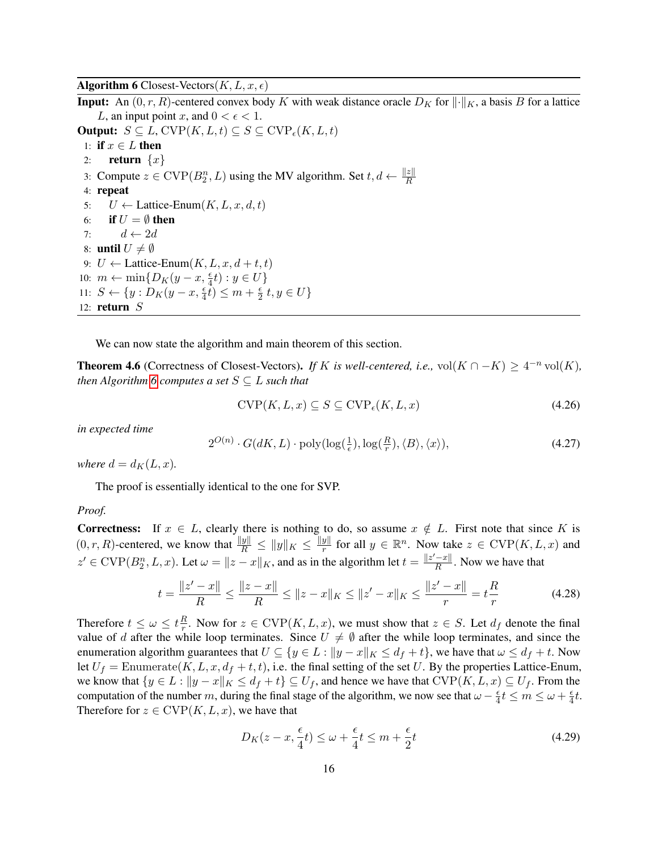Algorithm 6 Closest-Vectors $(K, L, x, \epsilon)$ 

<span id="page-16-0"></span>**Input:** An  $(0, r, R)$ -centered convex body K with weak distance oracle  $D<sub>K</sub>$  for  $\|\cdot\|_K$ , a basis B for a lattice L, an input point x, and  $0 < \epsilon < 1$ . **Output:**  $S \subseteq L$ , CVP $(K, L, t) \subseteq S \subseteq$  CVP<sub> $\epsilon$ </sub> $(K, L, t)$ 1: if  $x \in L$  then 2: **return**  $\{x\}$ 

3: Compute  $z \in \text{CVP}(B_2^n, L)$  using the MV algorithm. Set  $t, d \leftarrow \frac{\|z\|}{R}$ 

4: repeat

5:  $U \leftarrow$  Lattice-Enum $(K, L, x, d, t)$ 

6: if  $U = \emptyset$  then

7:  $d \leftarrow 2d$ 

8: until  $U \neq \emptyset$ 

9:  $U \leftarrow$  Lattice-Enum $(K, L, x, d + t, t)$ 

10:  $m \leftarrow \min\{D_K(y-x, \frac{\epsilon}{4}t) : y \in U\}$ 

11:  $S \leftarrow \{y : D_K(y - x, \frac{\epsilon}{4}t) \leq m + \frac{\epsilon}{2}\}$  $\frac{\epsilon}{2} t, y \in U$ 

12: return S

We can now state the algorithm and main theorem of this section.

**Theorem 4.6** (Correctness of Closest-Vectors). *If* K *is well-centered, i.e.,* vol $(K \cap -K) \geq 4^{-n}$  vol $(K)$ *, then Algorithm* [6](#page-16-0) *computes a set*  $S \subseteq L$  *such that* 

$$
CVP(K, L, x) \subseteq S \subseteq CVP_{\epsilon}(K, L, x)
$$
\n(4.26)

*in expected time*

$$
2^{O(n)} \cdot G(dK, L) \cdot \text{poly}(\log(\frac{1}{\epsilon}), \log(\frac{R}{r}), \langle B \rangle, \langle x \rangle),\tag{4.27}
$$

*where*  $d = d_K(L, x)$ *.* 

The proof is essentially identical to the one for SVP.

#### *Proof.*

**Correctness:** If  $x \in L$ , clearly there is nothing to do, so assume  $x \notin L$ . First note that since K is  $(0, r, R)$ -centered, we know that  $\frac{\|y\|}{R} \le \|y\|_K \le \frac{\|y\|}{r}$  $\frac{y\|}{r}$  for all  $y \in \mathbb{R}^n$ . Now take  $z \in \text{CVP}(K, L, x)$  and  $z' \in \text{CVP}(B_2^n, L, x)$ . Let  $\omega = ||z - x||_K$ , and as in the algorithm let  $t = \frac{||z' - x||}{R}$  $\frac{-x_{\parallel}}{R}$ . Now we have that

$$
t = \frac{\|z' - x\|}{R} \le \frac{\|z - x\|}{R} \le \|z - x\|_K \le \|z' - x\|_K \le \frac{\|z' - x\|}{r} = t\frac{R}{r}
$$
(4.28)

Therefore  $t \leq \omega \leq t \frac{R}{r}$  $\frac{R}{r}$ . Now for  $z \in \text{CVP}(K, L, x)$ , we must show that  $z \in S$ . Let  $d_f$  denote the final value of d after the while loop terminates. Since  $U \neq \emptyset$  after the while loop terminates, and since the enumeration algorithm guarantees that  $U \subseteq \{y \in L : ||y - x||_K \le d_f + t\}$ , we have that  $\omega \le d_f + t$ . Now let  $U_f =$  Enumerate $(K, L, x, d_f + t, t)$ , i.e. the final setting of the set U. By the properties Lattice-Enum, we know that  $\{y \in L : ||y - x||_K \le d_f + t\} \subseteq U_f$ , and hence we have that  $CVP(K, L, x) \subseteq U_f$ . From the computation of the number m, during the final stage of the algorithm, we now see that  $\omega - \frac{\epsilon}{4}$  $\frac{\epsilon}{4}t \leq m \leq \omega + \frac{\epsilon}{4}$  $\frac{\epsilon}{4}t$ . Therefore for  $z \in \text{CVP}(K, L, x)$ , we have that

$$
D_K(z - x, \frac{\epsilon}{4}t) \le \omega + \frac{\epsilon}{4}t \le m + \frac{\epsilon}{2}t \tag{4.29}
$$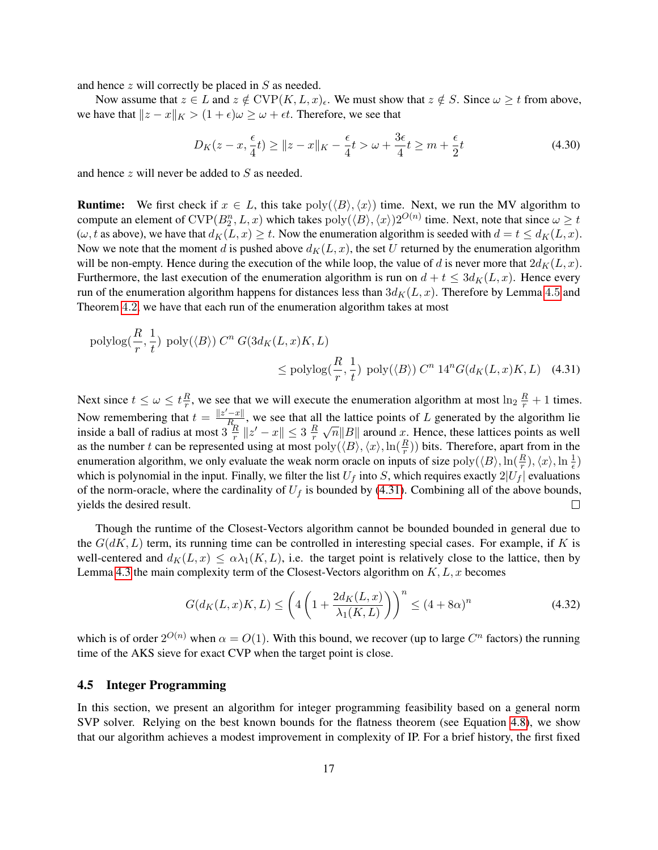and hence  $z$  will correctly be placed in  $S$  as needed.

Now assume that  $z \in L$  and  $z \notin \text{CVP}(K, L, x)_{\epsilon}$ . We must show that  $z \notin S$ . Since  $\omega \geq t$  from above, we have that  $||z - x||_K > (1 + \epsilon)\omega \ge \omega + \epsilon t$ . Therefore, we see that

<span id="page-17-0"></span>
$$
D_K(z - x, \frac{\epsilon}{4}t) \ge ||z - x||_K - \frac{\epsilon}{4}t > \omega + \frac{3\epsilon}{4}t \ge m + \frac{\epsilon}{2}t \tag{4.30}
$$

and hence z will never be added to S as needed.

**Runtime:** We first check if  $x \in L$ , this take  $poly(\langle B \rangle, \langle x \rangle)$  time. Next, we run the MV algorithm to compute an element of  $CVP(B_2^n, L, x)$  which takes  $poly(\langle B \rangle, \langle x \rangle)2^{O(n)}$  time. Next, note that since  $\omega \ge t$  $(\omega, t \text{ as above}),$  we have that  $d_K(L, x) \geq t$ . Now the enumeration algorithm is seeded with  $d = t \leq d_K(L, x)$ . Now we note that the moment d is pushed above  $d_K(L, x)$ , the set U returned by the enumeration algorithm will be non-empty. Hence during the execution of the while loop, the value of d is never more that  $2d_K(L, x)$ . Furthermore, the last execution of the enumeration algorithm is run on  $d + t \leq 3d_K(L, x)$ . Hence every run of the enumeration algorithm happens for distances less than  $3d<sub>K</sub>(L, x)$ . Therefore by Lemma [4](#page-15-1).5 and Theorem [4](#page-11-1).2, we have that each run of the enumeration algorithm takes at most

$$
\text{polylog}(\frac{R}{r}, \frac{1}{t}) \text{ poly}(\langle B \rangle) C^n G(3d_K(L, x)K, L)
$$
  
\$\leq\$ polylog(\frac{R}{r}, \frac{1}{t}) poly(\langle B \rangle) C^n 14^n G(d\_K(L, x)K, L) (4.31)

Next since  $t \leq \omega \leq t \frac{R}{r}$  $\frac{R}{r}$ , we see that we will execute the enumeration algorithm at most  $\ln_2 \frac{R}{r} + 1$  times. Now remembering that  $t = \frac{||z'-x||}{R}$  $\frac{z}{R_p}$ , we see that all the lattice points of L generated by the algorithm lie the fattice points of  $L$  generated by the algorithm he<br> $\sqrt{n}||B||$  around x. Hence, these lattices points as well inside a ball of radius at most  $3\frac{R}{r}$  $\frac{R}{r}$   $\|z' - x\| \leq 3 \frac{R}{r}$ r as the number t can be represented using at most  $\text{poly}(\langle B \rangle, \langle x \rangle, \ln(\frac{R}{r}))$  bits. Therefore, apart from in the enumeration algorithm, we only evaluate the weak norm oracle on inputs of size  $poly(\langle B \rangle, \ln(\frac{R}{r}), \langle x \rangle, \ln(\frac{1}{\epsilon})$ which is polynomial in the input. Finally, we filter the list  $U_f$  into S, which requires exactly  $2|U_f|$  evaluations of the norm-oracle, where the cardinality of  $U_f$  is bounded by [\(4.31\)](#page-17-0). Combining all of the above bounds, yields the desired result.  $\Box$ 

Though the runtime of the Closest-Vectors algorithm cannot be bounded bounded in general due to the  $G(dK, L)$  term, its running time can be controlled in interesting special cases. For example, if K is well-centered and  $d_K(L, x) \leq \alpha \lambda_1(K, L)$ , i.e. the target point is relatively close to the lattice, then by Lemma [4.3](#page-13-0) the main complexity term of the Closest-Vectors algorithm on  $K, L, x$  becomes

$$
G(d_K(L, x)K, L) \le \left(4\left(1 + \frac{2d_K(L, x)}{\lambda_1(K, L)}\right)\right)^n \le (4 + 8\alpha)^n
$$
\n(4.32)

which is of order  $2^{O(n)}$  when  $\alpha = O(1)$ . With this bound, we recover (up to large  $C^n$  factors) the running time of the AKS sieve for exact CVP when the target point is close.

#### 4.5 Integer Programming

In this section, we present an algorithm for integer programming feasibility based on a general norm SVP solver. Relying on the best known bounds for the flatness theorem (see Equation [4.8\)](#page-11-0), we show that our algorithm achieves a modest improvement in complexity of IP. For a brief history, the first fixed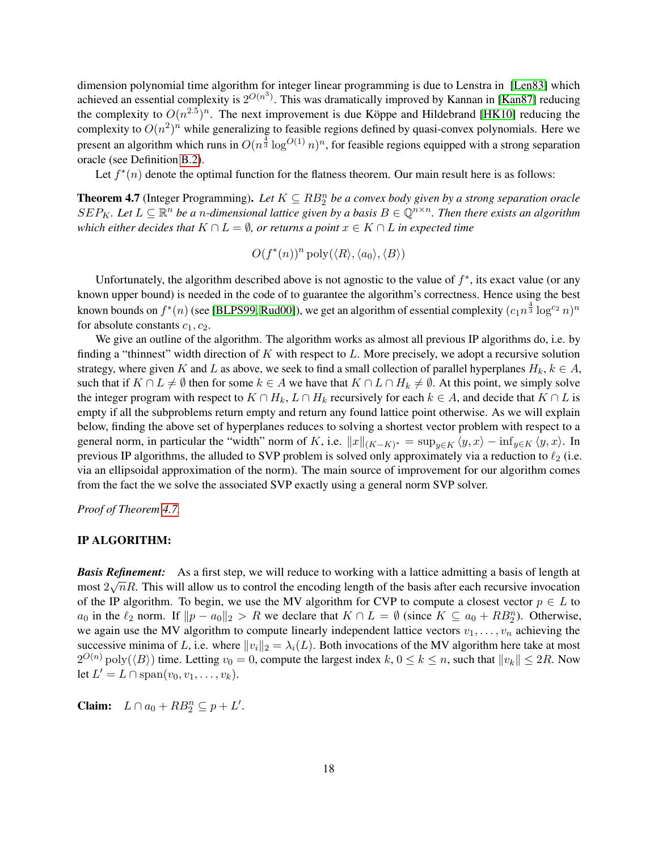dimension polynomial time algorithm for integer linear programming is due to Lenstra in [\[Len83\]](#page-23-0) which achieved an essential complexity is  $2^{O(n^3)}$ . This was dramatically improved by Kannan in [\[Kan87\]](#page-23-7) reducing the complexity to  $O(n^{2.5})^n$ . The next improvement is due Köppe and Hildebrand [[HK10\]](#page-23-8) reducing the complexity to  $O(n^2)^n$  while generalizing to feasible regions defined by quasi-convex polynomials. Here we present an algorithm which runs in  $O(n^{\frac{4}{3}} \log^{O(1)} n)^n$ , for feasible regions equipped with a strong separation oracle (see Definition [B.2\)](#page-37-0).

Let  $f^*(n)$  denote the optimal function for the flatness theorem. Our main result here is as follows:

<span id="page-18-0"></span>**Theorem 4.7** (Integer Programming). Let  $K \subseteq RB_2^n$  be a convex body given by a strong separation oracle  $SEP_K$ . Let  $L \subseteq \mathbb{R}^n$  be a n-dimensional lattice given by a basis  $B \in \mathbb{Q}^{n \times n}$ . Then there exists an algorithm *which either decides that*  $K \cap L = \emptyset$ , *or returns a point*  $x \in K \cap L$  *in expected time* 

$$
O(f^*(n))^n \operatorname{poly}(\langle R \rangle, \langle a_0 \rangle, \langle B \rangle)
$$

Unfortunately, the algorithm described above is not agnostic to the value of  $f^*$ , its exact value (or any known upper bound) is needed in the code of to guarantee the algorithm's correctness. Hence using the best known bounds on  $f^*(n)$  (see [\[BLPS99,](#page-22-7) [Rud00\]](#page-24-7)), we get an algorithm of essential complexity  $(c_1n^{\frac{4}{3}}\log^{c_2}n)^n$ for absolute constants  $c_1$ ,  $c_2$ .

We give an outline of the algorithm. The algorithm works as almost all previous IP algorithms do, i.e. by finding a "thinnest" width direction of  $K$  with respect to  $L$ . More precisely, we adopt a recursive solution strategy, where given K and L as above, we seek to find a small collection of parallel hyperplanes  $H_k, k \in A$ , such that if  $K \cap L \neq \emptyset$  then for some  $k \in A$  we have that  $K \cap L \cap H_k \neq \emptyset$ . At this point, we simply solve the integer program with respect to  $K \cap H_k$ ,  $L \cap H_k$  recursively for each  $k \in A$ , and decide that  $K \cap L$  is empty if all the subproblems return empty and return any found lattice point otherwise. As we will explain below, finding the above set of hyperplanes reduces to solving a shortest vector problem with respect to a general norm, in particular the "width" norm of K, i.e.  $||x||_{(K-K)^*} = \sup_{y \in K} \langle y, x \rangle - \inf_{y \in K} \langle y, x \rangle$ . In previous IP algorithms, the alluded to SVP problem is solved only approximately via a reduction to  $\ell_2$  (i.e. via an ellipsoidal approximation of the norm). The main source of improvement for our algorithm comes from the fact the we solve the associated SVP exactly using a general norm SVP solver.

*Proof of Theorem [4.7.](#page-18-0)*

#### IP ALGORITHM:

*Basis Refinement:* As a first step, we will reduce to working with a lattice admitting a basis of length at most  $2\sqrt{n}R$ . This will allow us to control the encoding length of the basis after each recursive invocation of the IP algorithm. To begin, we use the MV algorithm for CVP to compute a closest vector  $p \in L$  to  $a_0$  in the  $\ell_2$  norm. If  $||p - a_0||_2 > R$  we declare that  $K \cap L = \emptyset$  (since  $K \subseteq a_0 + RB_2^n$ ). Otherwise, we again use the MV algorithm to compute linearly independent lattice vectors  $v_1, \ldots, v_n$  achieving the successive minima of L, i.e. where  $||v_i||_2 = \lambda_i(L)$ . Both invocations of the MV algorithm here take at most  $2^{O(n)}$  poly $(\langle B \rangle)$  time. Letting  $v_0 = 0$ , compute the largest index  $k, 0 \le k \le n$ , such that  $||v_k|| \le 2R$ . Now let  $L' = L \cap \text{span}(v_0, v_1, \dots, v_k)$ .

Claim:  $L \cap a_0 + RB_2^n \subseteq p + L'.$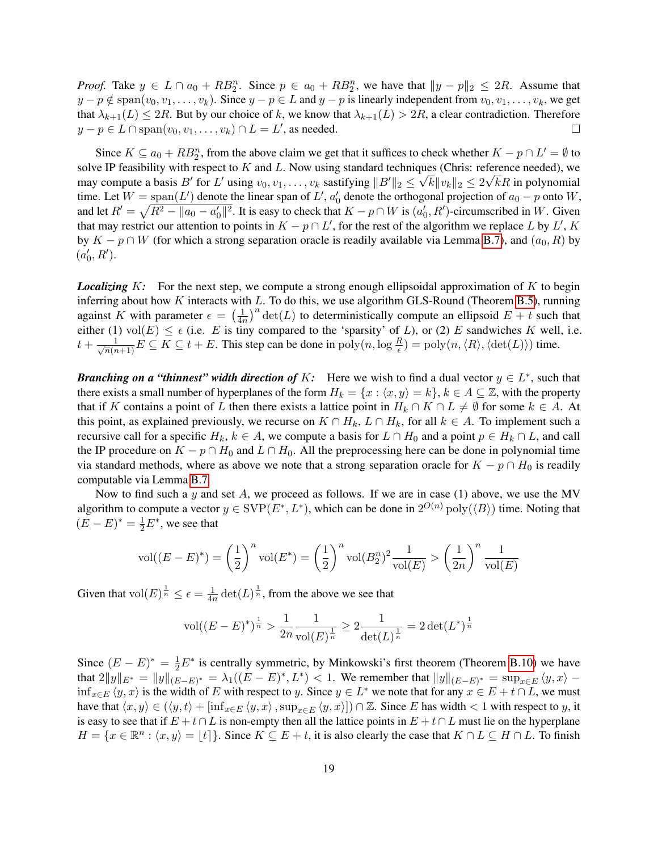*Proof.* Take  $y \in L \cap a_0 + RB_2^n$ . Since  $p \in a_0 + RB_2^n$ , we have that  $||y - p||_2 \leq 2R$ . Assume that  $y - p \notin \text{span}(v_0, v_1, \dots, v_k)$ . Since  $y - p \in L$  and  $y - p$  is linearly independent from  $v_0, v_1, \dots, v_k$ , we get that  $\lambda_{k+1}(L) \leq 2R$ . But by our choice of k, we know that  $\lambda_{k+1}(L) > 2R$ , a clear contradiction. Therefore  $y - p \in L \cap \text{span}(v_0, v_1, \dots, v_k) \cap L = L'$ , as needed.  $\Box$ 

Since  $K \subseteq a_0 + RB_2^n$ , from the above claim we get that it suffices to check whether  $K - p \cap L' = \emptyset$  to solve IP feasibility with respect to K and L. Now using standard techniques (Chris: reference needed), we may compute a basis  $B'$  for  $L'$  using  $v_0, v_1, \ldots, v_k$  sastifying  $||B'||_2 \leq \sqrt{k} ||v_k||_2 \leq 2\sqrt{k}R$  in polynomial time. Let  $W = \text{span}(L')$  denote the linear span of  $L'$ ,  $a'_0$  denote the orthogonal projection of  $a_0 - p$  onto  $W$ , and let  $R' = \sqrt{R^2 - ||a_0 - a'_0||^2}$ . It is easy to check that  $K - p \cap W$  is  $(a'_0, R')$ -circumscribed in W. Given that may restrict our attention to points in  $K - p \cap L'$ , for the rest of the algorithm we replace L by L', K by  $K - p \cap W$  (for which a strong separation oracle is readily available via Lemma [B.7\)](#page-38-0), and  $(a_0, R)$  by  $(a'_0, R').$ 

*Localizing* K: For the next step, we compute a strong enough ellipsoidal approximation of K to begin inferring about how  $K$  interacts with  $L$ . To do this, we use algorithm GLS-Round (Theorem [B.5\)](#page-37-1), running against K with parameter  $\epsilon = \left(\frac{1}{4n}\right)$  $\frac{1}{4n}$ <sup>n</sup> det(*L*) to deterministically compute an ellipsoid  $E + t$  such that either (1) vol $(E) \leq \epsilon$  (i.e. E is tiny compared to the 'sparsity' of L), or (2) E sandwiches K well, i.e.  $t + \frac{1}{\sqrt{n}(n+1)}E \subseteq K \subseteq t + E$ . This step can be done in  $\text{poly}(n,\log \frac{R}{\epsilon}) = \text{poly}(n,\langle R \rangle,\langle \det(L) \rangle)$  time.

*Branching on a "thinnest" width direction of K:* Here we wish to find a dual vector  $y \in L^*$ , such that there exists a small number of hyperplanes of the form  $H_k = \{x : \langle x, y \rangle = k\}, k \in A \subseteq \mathbb{Z}$ , with the property that if K contains a point of L then there exists a lattice point in  $H_k \cap K \cap L \neq \emptyset$  for some  $k \in A$ . At this point, as explained previously, we recurse on  $K \cap H_k$ ,  $L \cap H_k$ , for all  $k \in A$ . To implement such a recursive call for a specific  $H_k$ ,  $k \in A$ , we compute a basis for  $L \cap H_0$  and a point  $p \in H_k \cap L$ , and call the IP procedure on  $K - p \cap H_0$  and  $L \cap H_0$ . All the preprocessing here can be done in polynomial time via standard methods, where as above we note that a strong separation oracle for  $K - p \cap H_0$  is readily computable via Lemma [B.7.](#page-38-0)

Now to find such a y and set  $A$ , we proceed as follows. If we are in case (1) above, we use the MV algorithm to compute a vector  $y \in \text{SVP}(E^*, L^*)$ , which can be done in  $2^{O(n)} \text{poly}(\langle B \rangle)$  time. Noting that  $(E - E)^* = \frac{1}{2}E^*$ , we see that

$$
\text{vol}((E - E)^*) = \left(\frac{1}{2}\right)^n \text{vol}(E^*) = \left(\frac{1}{2}\right)^n \text{vol}(B_2^n)^2 \frac{1}{\text{vol}(E)} > \left(\frac{1}{2n}\right)^n \frac{1}{\text{vol}(E)}
$$

Given that  $\mathrm{vol}(E)^{\frac{1}{n}} \leq \epsilon = \frac{1}{4n}$  $\frac{1}{4n}$  det $(L)^{\frac{1}{n}}$ , from the above we see that

$$
\text{vol}((E-E)^*)^{\frac{1}{n}} > \frac{1}{2n} \frac{1}{\text{vol}(E)^{\frac{1}{n}}} \ge 2 \frac{1}{\det(L)^{\frac{1}{n}}} = 2 \det(L^*)^{\frac{1}{n}}
$$

Since  $(E - E)^* = \frac{1}{2}E^*$  is centrally symmetric, by Minkowski's first theorem (Theorem [B.10\)](#page-41-0) we have that  $2||y||_{E^*} = ||y||_{(E-E)^*} = \lambda_1((E-E)^*, L^*) < 1$ . We remember that  $||y||_{(E-E)^*} = \sup_{x \in E} \langle y, x \rangle \inf_{x \in E} \langle y, x \rangle$  is the width of E with respect to y. Since  $y \in L^*$  we note that for any  $x \in E + t \cap L$ , we must have that  $\langle x, y \rangle \in (\langle y, t \rangle + [\inf_{x \in E} \langle y, x \rangle, \sup_{x \in E} \langle y, x \rangle]) \cap \mathbb{Z}$ . Since E has width < 1 with respect to y, it is easy to see that if  $E + t \cap L$  is non-empty then all the lattice points in  $E + t \cap L$  must lie on the hyperplane  $H = \{x \in \mathbb{R}^n : \langle x, y \rangle = \lfloor t \rfloor\}.$  Since  $K \subseteq E + t$ , it is also clearly the case that  $K \cap L \subseteq H \cap L$ . To finish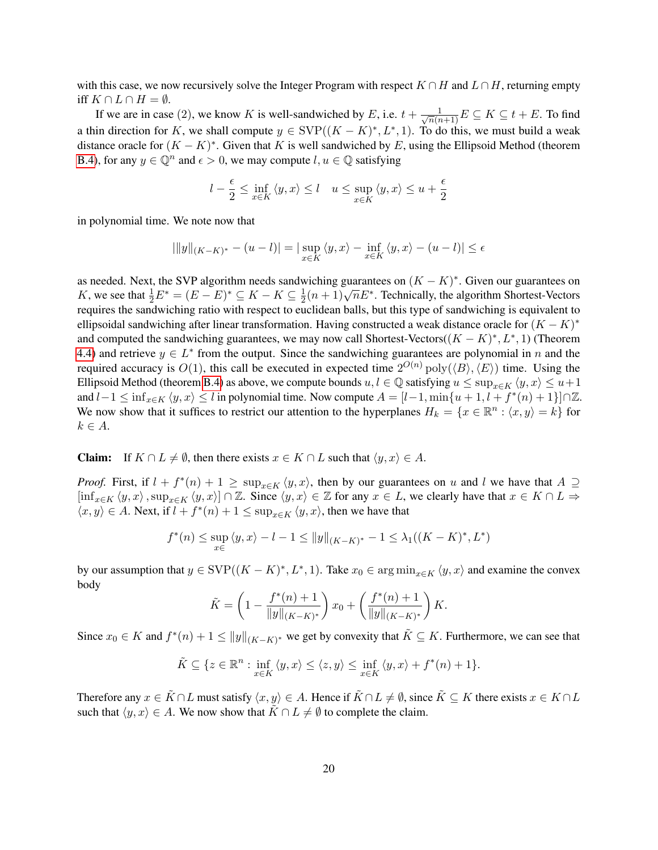with this case, we now recursively solve the Integer Program with respect  $K \cap H$  and  $L \cap H$ , returning empty iff  $K \cap L \cap H = \emptyset$ .

If we are in case (2), we know K is well-sandwiched by E, i.e.  $t + \frac{1}{\sqrt{n}(n+1)}E \subseteq K \subseteq t + E$ . To find a thin direction for K, we shall compute  $y \in \text{SVP}((K - K)^*, L^*, 1)$ . To do this, we must build a weak distance oracle for  $(K - K)^*$ . Given that K is well sandwiched by E, using the Ellipsoid Method (theorem [B.4\)](#page-37-2), for any  $y \in \mathbb{Q}^n$  and  $\epsilon > 0$ , we may compute  $l, u \in \mathbb{Q}$  satisfying

$$
l - \frac{\epsilon}{2} \le \inf_{x \in K} \langle y, x \rangle \le l \quad u \le \sup_{x \in K} \langle y, x \rangle \le u + \frac{\epsilon}{2}
$$

in polynomial time. We note now that

$$
|||y||_{(K-K)^*} - (u-l)| = |\sup_{x \in K} \langle y, x \rangle - \inf_{x \in K} \langle y, x \rangle - (u-l)| \le \epsilon
$$

as needed. Next, the SVP algorithm needs sandwiching guarantees on  $(K - K)^*$ . Given our guarantees on K, we see that  $\frac{1}{2}E^* = (E - E)^* \subseteq K - K \subseteq \frac{1}{2}$ withing guarantees on  $(X - K)$ . Siven our guarantees on  $\frac{1}{2}(n+1)\sqrt{n}E^*$ . Technically, the algorithm Shortest-Vectors requires the sandwiching ratio with respect to euclidean balls, but this type of sandwiching is equivalent to ellipsoidal sandwiching after linear transformation. Having constructed a weak distance oracle for  $(K - K)^*$ and computed the sandwiching guarantees, we may now call Shortest-Vectors( $(K - K)^*, L^*, 1$ ) (Theorem [4.4\)](#page-14-1) and retrieve  $y \in L^*$  from the output. Since the sandwiching guarantees are polynomial in n and the required accuracy is  $O(1)$ , this call be executed in expected time  $2^{O(n)}$   $poly(\langle B \rangle, \langle E \rangle)$  time. Using the Ellipsoid Method (theorem [B.4\)](#page-37-2) as above, we compute bounds  $u, l \in \mathbb{Q}$  satisfying  $u \le \sup_{x \in K} \langle y, x \rangle \le u+1$ and  $l-1 \le \inf_{x \in K} \langle y, x \rangle \le l$  in polynomial time. Now compute  $A = [l-1, \min\{u+1, l+f^*(n)+1\}] \cap \mathbb{Z}$ . We now show that it suffices to restrict our attention to the hyperplanes  $H_k = \{x \in \mathbb{R}^n : \langle x, y \rangle = k\}$  for  $k \in A$ .

**Claim:** If  $K \cap L \neq \emptyset$ , then there exists  $x \in K \cap L$  such that  $\langle y, x \rangle \in A$ .

*Proof.* First, if  $l + f^*(n) + 1 \ge \sup_{x \in K} \langle y, x \rangle$ , then by our guarantees on u and l we have that  $A \supseteq$  $[\inf_{x\in K}\langle y, x\rangle, \sup_{x\in K}\langle y, x\rangle] \cap \mathbb{Z}$ . Since  $\langle y, x\rangle \in \mathbb{Z}$  for any  $x \in L$ , we clearly have that  $x \in K \cap L \Rightarrow$  $\langle x, y \rangle \in A$ . Next, if  $l + f^*(n) + 1 \le \sup_{x \in K} \langle y, x \rangle$ , then we have that

$$
f^*(n) \le \sup_{x \in \mathbb{R}} \langle y, x \rangle - l - 1 \le ||y||_{(K - K)^*} - 1 \le \lambda_1((K - K)^*, L^*)
$$

by our assumption that  $y \in \text{SVP}((K - K)^*, L^*, 1)$ . Take  $x_0 \in \arg\min_{x \in K} \langle y, x \rangle$  and examine the convex body

$$
\tilde{K} = \left(1 - \frac{f^*(n) + 1}{\|y\|_{(K-K)^*}}\right) x_0 + \left(\frac{f^*(n) + 1}{\|y\|_{(K-K)^*}}\right) K.
$$

Since  $x_0 \in K$  and  $f^*(n) + 1 \le ||y||_{(K-K)^*}$  we get by convexity that  $\tilde{K} \subseteq K$ . Furthermore, we can see that

$$
\tilde{K} \subseteq \{ z \in \mathbb{R}^n : \inf_{x \in K} \langle y, x \rangle \le \langle z, y \rangle \le \inf_{x \in K} \langle y, x \rangle + f^*(n) + 1 \}.
$$

Therefore any  $x \in \tilde{K} \cap L$  must satisfy  $\langle x, y \rangle \in A$ . Hence if  $\tilde{K} \cap L \neq \emptyset$ , since  $\tilde{K} \subseteq K$  there exists  $x \in K \cap L$ such that  $\langle y, x \rangle \in A$ . We now show that  $\tilde{K} \cap L \neq \emptyset$  to complete the claim.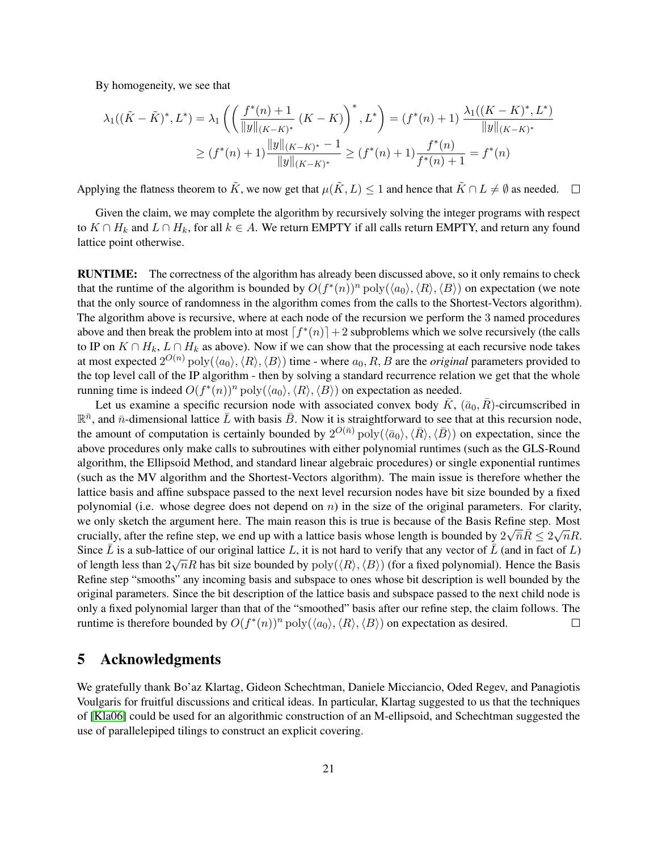By homogeneity, we see that

$$
\lambda_1((\tilde{K} - \tilde{K})^*, L^*) = \lambda_1 \left( \left( \frac{f^*(n) + 1}{\|y\|_{(K - K)^*}} (K - K) \right)^*, L^* \right) = (f^*(n) + 1) \frac{\lambda_1((K - K)^*, L^*)}{\|y\|_{(K - K)^*}}
$$

$$
\ge (f^*(n) + 1) \frac{\|y\|_{(K - K)^*} - 1}{\|y\|_{(K - K)^*}} \ge (f^*(n) + 1) \frac{f^*(n)}{f^*(n) + 1} = f^*(n)
$$

Applying the flatness theorem to  $\tilde{K}$ , we now get that  $\mu(\tilde{K}, L) \leq 1$  and hence that  $\tilde{K} \cap L \neq \emptyset$  as needed.  $\Box$ 

Given the claim, we may complete the algorithm by recursively solving the integer programs with respect to  $K \cap H_k$  and  $L \cap H_k$ , for all  $k \in A$ . We return EMPTY if all calls return EMPTY, and return any found lattice point otherwise.

RUNTIME: The correctness of the algorithm has already been discussed above, so it only remains to check that the runtime of the algorithm is bounded by  $O(f^*(n))^n \text{poly}(\langle a_0 \rangle, \langle R \rangle, \langle B \rangle)$  on expectation (we note that the only source of randomness in the algorithm comes from the calls to the Shortest-Vectors algorithm). The algorithm above is recursive, where at each node of the recursion we perform the 3 named procedures above and then break the problem into at most  $\lceil f^*(n) \rceil + 2$  subproblems which we solve recursively (the calls to IP on  $K \cap H_k$ ,  $L \cap H_k$  as above). Now if we can show that the processing at each recursive node takes at most expected  $2^{O(n)}$   $poly(\langle a_0 \rangle, \langle R \rangle, \langle B \rangle)$  time - where  $a_0, R, B$  are the *original* parameters provided to the top level call of the IP algorithm - then by solving a standard recurrence relation we get that the whole running time is indeed  $O(f^*(n))^n \text{poly}(\langle a_0 \rangle, \langle R \rangle, \langle B \rangle)$  on expectation as needed.

Let us examine a specific recursion node with associated convex body  $\bar{K}$ ,  $(\bar{a}_0, \bar{R})$ -circumscribed in  $\mathbb{R}^{\bar{n}}$ , and  $\bar{n}$ -dimensional lattice  $\bar{L}$  with basis  $\bar{B}$ . Now it is straightforward to see that at this recursion node, the amount of computation is certainly bounded by  $2^{O(\bar{n})}$  poly $(\langle \bar{a}_0 \rangle, \langle \bar{R} \rangle, \langle \bar{B} \rangle)$  on expectation, since the above procedures only make calls to subroutines with either polynomial runtimes (such as the GLS-Round algorithm, the Ellipsoid Method, and standard linear algebraic procedures) or single exponential runtimes (such as the MV algorithm and the Shortest-Vectors algorithm). The main issue is therefore whether the lattice basis and affine subspace passed to the next level recursion nodes have bit size bounded by a fixed polynomial (i.e. whose degree does not depend on  $n$ ) in the size of the original parameters. For clarity, we only sketch the argument here. The main reason this is true is because of the Basis Refine step. Most crucially, after the refine step, we end up with a lattice basis whose length is bounded by  $2\sqrt{n}\bar{R} \le 2\sqrt{n}R$ . Since  $\overline{L}$  is a sub-lattice of our original lattice L, it is not hard to verify that any vector of  $\overline{L}$  (and in fact of L) of length less than  $2\sqrt{n}R$  has bit size bounded by  $poly(\langle R \rangle, \langle B \rangle)$  (for a fixed polynomial). Hence the Basis Refine step "smooths" any incoming basis and subspace to ones whose bit description is well bounded by the original parameters. Since the bit description of the lattice basis and subspace passed to the next child node is only a fixed polynomial larger than that of the "smoothed" basis after our refine step, the claim follows. The runtime is therefore bounded by  $O(f^*(n))^n \text{poly}(\langle a_0 \rangle, \langle R \rangle, \langle B \rangle)$  on expectation as desired.  $\Box$ 

# 5 Acknowledgments

We gratefully thank Bo'az Klartag, Gideon Schechtman, Daniele Micciancio, Oded Regev, and Panagiotis Voulgaris for fruitful discussions and critical ideas. In particular, Klartag suggested to us that the techniques of [\[Kla06\]](#page-23-9) could be used for an algorithmic construction of an M-ellipsoid, and Schechtman suggested the use of parallelepiped tilings to construct an explicit covering.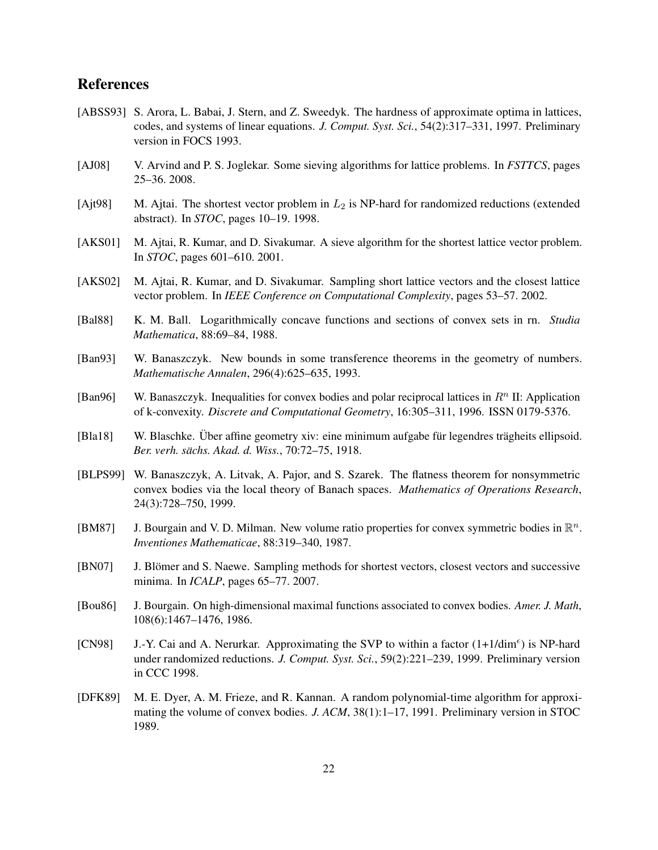# References

- <span id="page-22-2"></span>[ABSS93] S. Arora, L. Babai, J. Stern, and Z. Sweedyk. The hardness of approximate optima in lattices, codes, and systems of linear equations. *J. Comput. Syst. Sci.*, 54(2):317–331, 1997. Preliminary version in FOCS 1993.
- <span id="page-22-5"></span>[AJ08] V. Arvind and P. S. Joglekar. Some sieving algorithms for lattice problems. In *FSTTCS*, pages 25–36. 2008.
- <span id="page-22-0"></span>[Ajt98] M. Ajtai. The shortest vector problem in  $L_2$  is NP-hard for randomized reductions (extended abstract). In *STOC*, pages 10–19. 1998.
- <span id="page-22-3"></span>[AKS01] M. Ajtai, R. Kumar, and D. Sivakumar. A sieve algorithm for the shortest lattice vector problem. In *STOC*, pages 601–610. 2001.
- <span id="page-22-6"></span>[AKS02] M. Ajtai, R. Kumar, and D. Sivakumar. Sampling short lattice vectors and the closest lattice vector problem. In *IEEE Conference on Computational Complexity*, pages 53–57. 2002.
- <span id="page-22-12"></span>[Bal88] K. M. Ball. Logarithmically concave functions and sections of convex sets in rn. *Studia Mathematica*, 88:69–84, 1988.
- <span id="page-22-10"></span>[Ban93] W. Banaszczyk. New bounds in some transference theorems in the geometry of numbers. *Mathematische Annalen*, 296(4):625–635, 1993.
- <span id="page-22-11"></span>[Ban96] W. Banaszczyk. Inequalities for convex bodies and polar reciprocal lattices in  $R<sup>n</sup>$  II: Application of k-convexity. *Discrete and Computational Geometry*, 16:305–311, 1996. ISSN 0179-5376.
- <span id="page-22-13"></span>[Bla18] W. Blaschke. Über affine geometry xiv: eine minimum aufgabe für legendres trägheits ellipsoid. *Ber. verh. sachs. Akad. d. Wiss. ¨* , 70:72–75, 1918.
- <span id="page-22-7"></span>[BLPS99] W. Banaszczyk, A. Litvak, A. Pajor, and S. Szarek. The flatness theorem for nonsymmetric convex bodies via the local theory of Banach spaces. *Mathematics of Operations Research*, 24(3):728–750, 1999.
- <span id="page-22-14"></span>[BM87] J. Bourgain and V. D. Milman. New volume ratio properties for convex symmetric bodies in  $\mathbb{R}^n$ . *Inventiones Mathematicae*, 88:319–340, 1987.
- <span id="page-22-4"></span>[BN07] J. Blömer and S. Naewe. Sampling methods for shortest vectors, closest vectors and successive minima. In *ICALP*, pages 65–77. 2007.
- <span id="page-22-8"></span>[Bou86] J. Bourgain. On high-dimensional maximal functions associated to convex bodies. *Amer. J. Math*, 108(6):1467–1476, 1986.
- <span id="page-22-1"></span>[CN98] J.-Y. Cai and A. Nerurkar. Approximating the SVP to within a factor (1+1/dim<sup>e</sup>) is NP-hard under randomized reductions. *J. Comput. Syst. Sci.*, 59(2):221–239, 1999. Preliminary version in CCC 1998.
- <span id="page-22-9"></span>[DFK89] M. E. Dyer, A. M. Frieze, and R. Kannan. A random polynomial-time algorithm for approximating the volume of convex bodies. *J. ACM*, 38(1):1–17, 1991. Preliminary version in STOC 1989.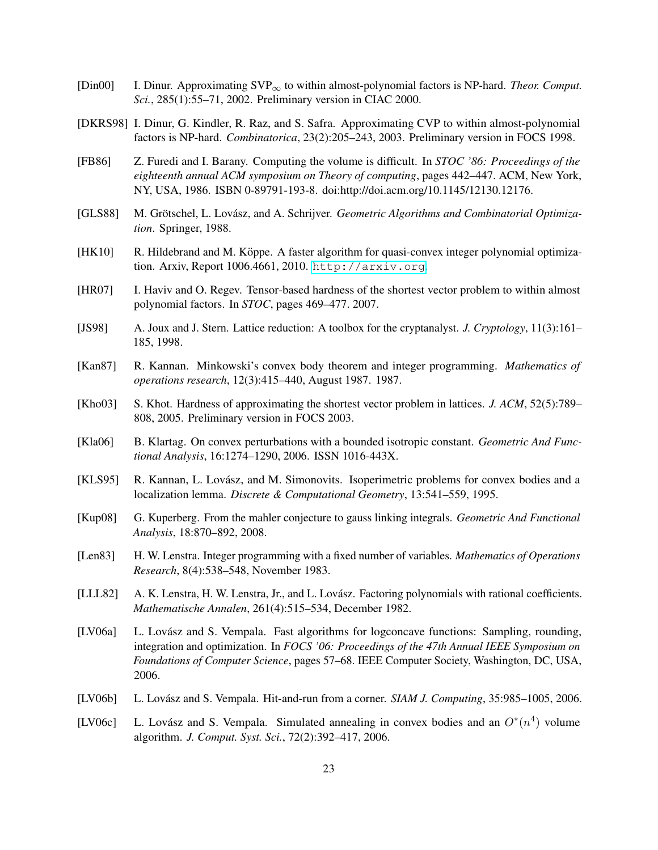- <span id="page-23-4"></span>[Din00] I. Dinur. Approximating SVP<sup>∞</sup> to within almost-polynomial factors is NP-hard. *Theor. Comput. Sci.*, 285(1):55–71, 2002. Preliminary version in CIAC 2000.
- <span id="page-23-6"></span>[DKRS98] I. Dinur, G. Kindler, R. Raz, and S. Safra. Approximating CVP to within almost-polynomial factors is NP-hard. *Combinatorica*, 23(2):205–243, 2003. Preliminary version in FOCS 1998.
- <span id="page-23-10"></span>[FB86] Z. Furedi and I. Barany. Computing the volume is difficult. In *STOC '86: Proceedings of the eighteenth annual ACM symposium on Theory of computing*, pages 442–447. ACM, New York, NY, USA, 1986. ISBN 0-89791-193-8. doi:http://doi.acm.org/10.1145/12130.12176.
- <span id="page-23-11"></span>[GLS88] M. Grötschel, L. Lovász, and A. Schrijver. *Geometric Algorithms and Combinatorial Optimization*. Springer, 1988.
- <span id="page-23-8"></span>[HK10] R. Hildebrand and M. Köppe. A faster algorithm for quasi-convex integer polynomial optimization. Arxiv, Report 1006.4661, 2010. <http://arxiv.org>.
- <span id="page-23-5"></span>[HR07] I. Haviv and O. Regev. Tensor-based hardness of the shortest vector problem to within almost polynomial factors. In *STOC*, pages 469–477. 2007.
- <span id="page-23-2"></span>[JS98] A. Joux and J. Stern. Lattice reduction: A toolbox for the cryptanalyst. *J. Cryptology*, 11(3):161– 185, 1998.
- <span id="page-23-7"></span>[Kan87] R. Kannan. Minkowski's convex body theorem and integer programming. *Mathematics of operations research*, 12(3):415–440, August 1987. 1987.
- <span id="page-23-3"></span>[Kho03] S. Khot. Hardness of approximating the shortest vector problem in lattices. *J. ACM*, 52(5):789– 808, 2005. Preliminary version in FOCS 2003.
- <span id="page-23-9"></span>[Kla06] B. Klartag. On convex perturbations with a bounded isotropic constant. *Geometric And Functional Analysis*, 16:1274–1290, 2006. ISSN 1016-443X.
- <span id="page-23-15"></span>[KLS95] R. Kannan, L. Lovász, and M. Simonovits. Isoperimetric problems for convex bodies and a localization lemma. *Discrete & Computational Geometry*, 13:541–559, 1995.
- <span id="page-23-16"></span>[Kup08] G. Kuperberg. From the mahler conjecture to gauss linking integrals. *Geometric And Functional Analysis*, 18:870–892, 2008.
- <span id="page-23-0"></span>[Len83] H. W. Lenstra. Integer programming with a fixed number of variables. *Mathematics of Operations Research*, 8(4):538–548, November 1983.
- <span id="page-23-1"></span>[LLL82] A. K. Lenstra, H. W. Lenstra, Jr., and L. Lovász. Factoring polynomials with rational coefficients. *Mathematische Annalen*, 261(4):515–534, December 1982.
- <span id="page-23-13"></span>[LV06a] L. Lovász and S. Vempala. Fast algorithms for logconcave functions: Sampling, rounding, integration and optimization. In *FOCS '06: Proceedings of the 47th Annual IEEE Symposium on Foundations of Computer Science*, pages 57–68. IEEE Computer Society, Washington, DC, USA, 2006.
- <span id="page-23-12"></span>[LV06b] L. Lovász and S. Vempala. Hit-and-run from a corner. *SIAM J. Computing*, 35:985–1005, 2006.
- <span id="page-23-14"></span>[LV06c] L. Lovász and S. Vempala. Simulated annealing in convex bodies and an  $O<sup>*</sup>(n<sup>4</sup>)$  volume algorithm. *J. Comput. Syst. Sci.*, 72(2):392–417, 2006.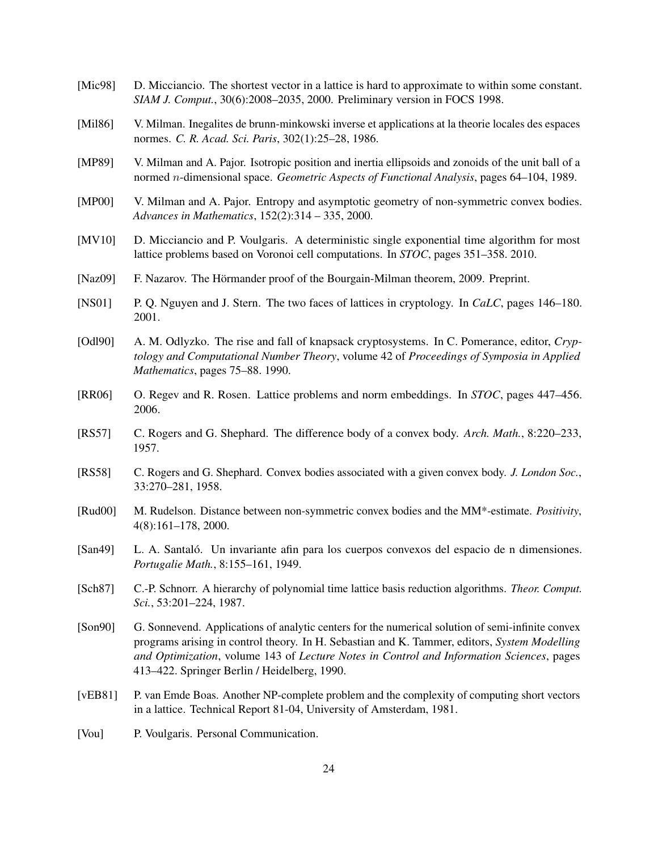- <span id="page-24-2"></span>[Mic98] D. Micciancio. The shortest vector in a lattice is hard to approximate to within some constant. *SIAM J. Comput.*, 30(6):2008–2035, 2000. Preliminary version in FOCS 1998.
- <span id="page-24-8"></span>[Mil86] V. Milman. Inegalites de brunn-minkowski inverse et applications at la theorie locales des espaces normes. *C. R. Acad. Sci. Paris*, 302(1):25–28, 1986.
- <span id="page-24-12"></span>[MP89] V. Milman and A. Pajor. Isotropic position and inertia ellipsoids and zonoids of the unit ball of a normed n-dimensional space. *Geometric Aspects of Functional Analysis*, pages 64–104, 1989.
- <span id="page-24-9"></span>[MP00] V. Milman and A. Pajor. Entropy and asymptotic geometry of non-symmetric convex bodies. *Advances in Mathematics*, 152(2):314 – 335, 2000.
- <span id="page-24-6"></span>[MV10] D. Micciancio and P. Voulgaris. A deterministic single exponential time algorithm for most lattice problems based on Voronoi cell computations. In *STOC*, pages 351–358. 2010.
- <span id="page-24-15"></span>[Naz09] F. Nazarov. The Hörmander proof of the Bourgain-Milman theorem, 2009. Preprint.
- <span id="page-24-1"></span>[NS01] P. Q. Nguyen and J. Stern. The two faces of lattices in cryptology. In *CaLC*, pages 146–180. 2001.
- <span id="page-24-0"></span>[Odl90] A. M. Odlyzko. The rise and fall of knapsack cryptosystems. In C. Pomerance, editor, *Cryptology and Computational Number Theory*, volume 42 of *Proceedings of Symposia in Applied Mathematics*, pages 75–88. 1990.
- <span id="page-24-4"></span>[RR06] O. Regev and R. Rosen. Lattice problems and norm embeddings. In *STOC*, pages 447–456. 2006.
- <span id="page-24-16"></span>[RS57] C. Rogers and G. Shephard. The difference body of a convex body. *Arch. Math.*, 8:220–233, 1957.
- <span id="page-24-11"></span>[RS58] C. Rogers and G. Shephard. Convex bodies associated with a given convex body. *J. London Soc.*, 33:270–281, 1958.
- <span id="page-24-7"></span>[Rud00] M. Rudelson. Distance between non-symmetric convex bodies and the MM\*-estimate. *Positivity*, 4(8):161–178, 2000.
- <span id="page-24-14"></span>[San49] L. A. Santaló. Un invariante afin para los cuerpos convexos del espacio de n dimensiones. *Portugalie Math.*, 8:155–161, 1949.
- <span id="page-24-5"></span>[Sch87] C.-P. Schnorr. A hierarchy of polynomial time lattice basis reduction algorithms. *Theor. Comput. Sci.*, 53:201–224, 1987.
- <span id="page-24-13"></span>[Son90] G. Sonnevend. Applications of analytic centers for the numerical solution of semi-infinite convex programs arising in control theory. In H. Sebastian and K. Tammer, editors, *System Modelling and Optimization*, volume 143 of *Lecture Notes in Control and Information Sciences*, pages 413–422. Springer Berlin / Heidelberg, 1990.
- <span id="page-24-3"></span>[vEB81] P. van Emde Boas. Another NP-complete problem and the complexity of computing short vectors in a lattice. Technical Report 81-04, University of Amsterdam, 1981.
- <span id="page-24-10"></span>[Vou] P. Voulgaris. Personal Communication.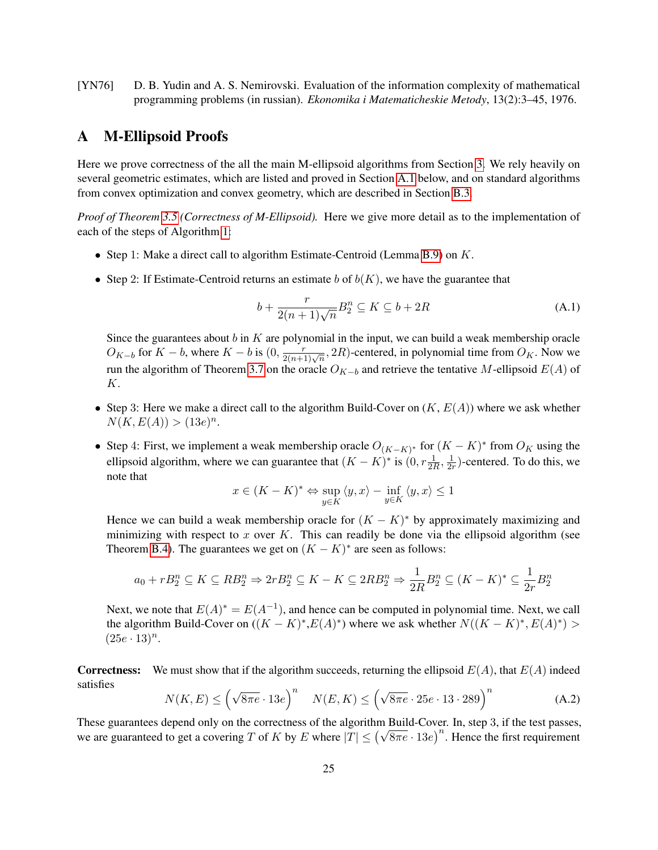<span id="page-25-1"></span>[YN76] D. B. Yudin and A. S. Nemirovski. Evaluation of the information complexity of mathematical programming problems (in russian). *Ekonomika i Matematicheskie Metody*, 13(2):3–45, 1976.

# <span id="page-25-0"></span>A M-Ellipsoid Proofs

Here we prove correctness of the all the main M-ellipsoid algorithms from Section [3.](#page-6-0) We rely heavily on several geometric estimates, which are listed and proved in Section [A.1](#page-31-2) below, and on standard algorithms from convex optimization and convex geometry, which are described in Section [B.3.](#page-37-3)

*Proof of Theorem [3.5](#page-7-1) (Correctness of M-Ellipsoid).* Here we give more detail as to the implementation of each of the steps of Algorithm [1:](#page-8-0)

- Step 1: Make a direct call to algorithm Estimate-Centroid (Lemma [B.9\)](#page-39-0) on K.
- Step 2: If Estimate-Centroid returns an estimate b of  $b(K)$ , we have the guarantee that

$$
b + \frac{r}{2(n+1)\sqrt{n}} B_2^n \subseteq K \subseteq b + 2R \tag{A.1}
$$

Since the guarantees about  $b$  in  $K$  are polynomial in the input, we can build a weak membership oracle  $O_{K-b}$  for  $K-b$ , where  $K-b$  is  $(0, \frac{r}{2(n+1)\sqrt{n}}, 2R)$ -centered, in polynomial time from  $O_K$ . Now we run the algorithm of Theorem [3.7](#page-9-3) on the oracle  $O_{K-b}$  and retrieve the tentative M-ellipsoid  $E(A)$  of K.

- Step 3: Here we make a direct call to the algorithm Build-Cover on  $(K, E(A))$  where we ask whether  $N(K, E(A)) > (13e)^n$ .
- Step 4: First, we implement a weak membership oracle  $O_{(K-K)^*}$  for  $(K K)^*$  from  $O_K$  using the ellipsoid algorithm, where we can guarantee that  $(K - K)^*$  is  $(0, r\frac{1}{2R}, \frac{1}{2R})$  $\frac{1}{2r}$ )-centered. To do this, we note that

$$
x \in (K - K)^* \Leftrightarrow \sup_{y \in K} \langle y, x \rangle - \inf_{y \in K} \langle y, x \rangle \le 1
$$

Hence we can build a weak membership oracle for  $(K - K)^*$  by approximately maximizing and minimizing with respect to x over K. This can readily be done via the ellipsoid algorithm (see Theorem [B.4\)](#page-37-2). The guarantees we get on  $(K - K)^*$  are seen as follows:

$$
a_0 + rB_2^n \subseteq K \subseteq RB_2^n \Rightarrow 2rB_2^n \subseteq K - K \subseteq 2RB_2^n \Rightarrow \frac{1}{2R}B_2^n \subseteq (K - K)^* \subseteq \frac{1}{2r}B_2^n
$$

Next, we note that  $E(A)^* = E(A^{-1})$ , and hence can be computed in polynomial time. Next, we call the algorithm Build-Cover on  $((K - K)^*, E(A)^*)$  where we ask whether  $N((K - K)^*, E(A)^*)$  $(25e \cdot 13)^n$ .

**Correctness:** We must show that if the algorithm succeeds, returning the ellipsoid  $E(A)$ , that  $E(A)$  indeed satisfies

$$
N(K, E) \le \left(\sqrt{8\pi e} \cdot 13e\right)^n \quad N(E, K) \le \left(\sqrt{8\pi e} \cdot 25e \cdot 13 \cdot 289\right)^n \tag{A.2}
$$

These guarantees depend only on the correctness of the algorithm Build-Cover. In, step 3, if the test passes, These guarantees depend only on the correctness of the algorithm Build-Cover. In, step 5, if the test passes, we are guaranteed to get a covering T of K by E where  $|T| \le (\sqrt{8\pi e} \cdot 13e)^n$ . Hence the first requirement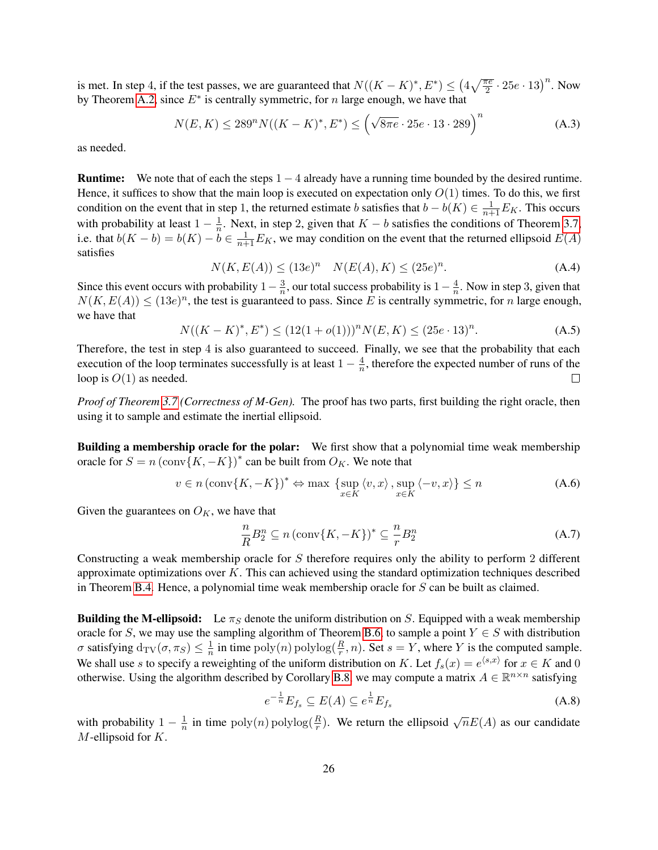is met. In step 4, if the test passes, we are guaranteed that  $N((K - K)^*, E^*) \leq (4\sqrt{\frac{\pi e}{2}} \cdot 25e \cdot 13)^n$ . Now by Theorem [A.2,](#page-31-0) since  $E^*$  is centrally symmetric, for n large enough, we have that

$$
N(E, K) \le 289^n N((K - K)^*, E^*) \le (\sqrt{8\pi e} \cdot 25e \cdot 13 \cdot 289)^n
$$
 (A.3)

as needed.

**Runtime:** We note that of each the steps  $1 - 4$  already have a running time bounded by the desired runtime. Hence, it suffices to show that the main loop is executed on expectation only  $O(1)$  times. To do this, we first condition on the event that in step 1, the returned estimate b satisfies that  $b - b(K) \in \frac{1}{n+1}E_K$ . This occurs with probability at least  $1 - \frac{1}{n}$  $\frac{1}{n}$ . Next, in step 2, given that  $K - b$  satisfies the conditions of Theorem [3.7,](#page-9-3) i.e. that  $b(K - b) = b(K) - \tilde{b} \in \frac{1}{n+1}E_K$ , we may condition on the event that the returned ellipsoid  $E(A)$ satisfies

$$
N(K, E(A)) \le (13e)^n \quad N(E(A), K) \le (25e)^n. \tag{A.4}
$$

Since this event occurs with probability  $1-\frac{3}{n}$  $\frac{3}{n}$ , our total success probability is  $1-\frac{4}{n}$  $\frac{4}{n}$ . Now in step 3, given that  $N(K, E(A)) \leq (13e)^n$ , the test is guaranteed to pass. Since E is centrally symmetric, for n large enough, we have that

$$
N((K - K)^{*}, E^{*}) \le (12(1 + o(1)))^{n} N(E, K) \le (25e \cdot 13)^{n}.
$$
 (A.5)

Therefore, the test in step 4 is also guaranteed to succeed. Finally, we see that the probability that each execution of the loop terminates successfully is at least  $1 - \frac{4}{n}$  $\frac{4}{n}$ , therefore the expected number of runs of the loop is  $O(1)$  as needed.  $\Box$ 

*Proof of Theorem [3.7](#page-9-3) (Correctness of M-Gen).* The proof has two parts, first building the right oracle, then using it to sample and estimate the inertial ellipsoid.

Building a membership oracle for the polar: We first show that a polynomial time weak membership oracle for  $S = n (\text{conv} \{K, -K\})^*$  can be built from  $O_K$ . We note that

$$
v \in n \left( \text{conv}\{K, -K\} \right)^* \Leftrightarrow \max \left\{ \sup_{x \in K} \left\langle v, x \right\rangle, \sup_{x \in K} \left\langle -v, x \right\rangle \right\} \le n \tag{A.6}
$$

Given the guarantees on  $O_K$ , we have that

$$
\frac{n}{R}B_2^n \subseteq n \left(\text{conv}\{K, -K\}\right)^* \subseteq \frac{n}{r}B_2^n \tag{A.7}
$$

Constructing a weak membership oracle for S therefore requires only the ability to perform 2 different approximate optimizations over  $K$ . This can achieved using the standard optimization techniques described in Theorem [B.4.](#page-37-2) Hence, a polynomial time weak membership oracle for  $S$  can be built as claimed.

**Building the M-ellipsoid:** Le  $\pi_S$  denote the uniform distribution on S. Equipped with a weak membership oracle for S, we may use the sampling algorithm of Theorem [B.6,](#page-38-1) to sample a point  $Y \in S$  with distribution  $\sigma$  satisfying  $d_{\text{TV}}(\sigma, \pi_S) \leq \frac{1}{n}$  $\frac{1}{n}$  in time  $\text{poly}(n)$   $\text{polylog}(\frac{R}{r}, n)$ . Set  $s = Y$ , where Y is the computed sample. We shall use s to specify a reweighting of the uniform distribution on K. Let  $f_s(x) = e^{\langle s,x \rangle}$  for  $x \in K$  and 0 otherwise. Using the algorithm described by Corollary [B.8,](#page-38-2) we may compute a matrix  $A \in \mathbb{R}^{n \times n}$  satisfying

<span id="page-26-0"></span>
$$
e^{-\frac{1}{n}}E_{f_s} \subseteq E(A) \subseteq e^{\frac{1}{n}}E_{f_s} \tag{A.8}
$$

with probability  $1 - \frac{1}{n}$  $\frac{1}{n}$  in time  $poly(n) polylog(\frac{R}{r})$ . We return the ellipsoid  $\sqrt{n}E(A)$  as our candidate  $M$ -ellipsoid for  $K$ .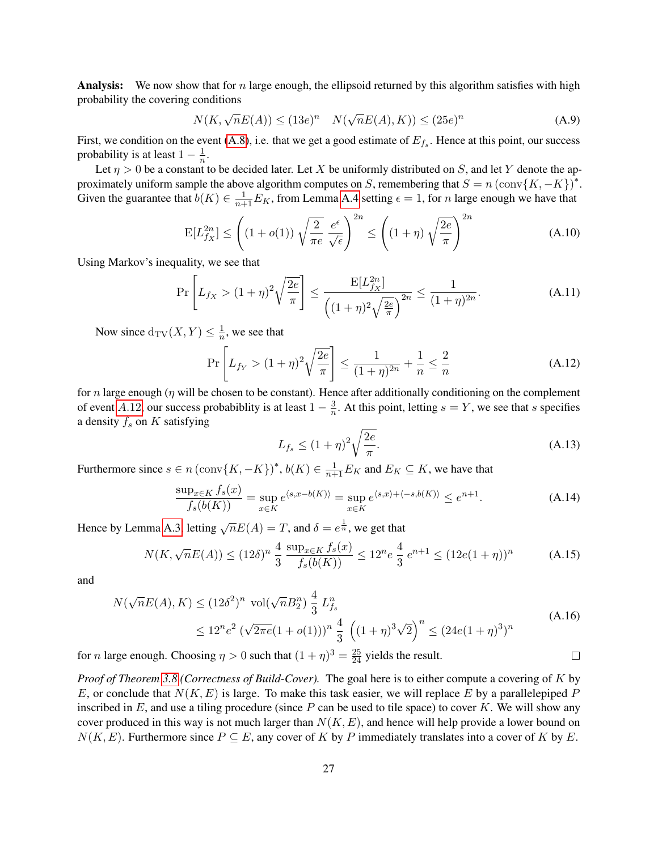**Analysis:** We now show that for n large enough, the ellipsoid returned by this algorithm satisfies with high probability the covering conditions

$$
N(K, \sqrt{n}E(A)) \le (13e)^n \quad N(\sqrt{n}E(A), K)) \le (25e)^n \tag{A.9}
$$

First, we condition on the event  $(A.8)$ , i.e. that we get a good estimate of  $E_{fs}$ . Hence at this point, our success probability is at least  $1-\frac{1}{n}$  $\frac{1}{n}$ .

Let  $\eta > 0$  be a constant to be decided later. Let X be uniformly distributed on S, and let Y denote the approximately uniform sample the above algorithm computes on S, remembering that  $S = n (\text{conv} \{K, -K\})^*$ . Given the guarantee that  $b(K) \in \frac{1}{n+1}E_K$ , from Lemma [A.4](#page-34-0) setting  $\epsilon = 1$ , for n large enough we have that

$$
\mathcal{E}[L_{f_X}^{2n}] \le \left( (1 + o(1)) \sqrt{\frac{2}{\pi e}} \frac{e^{\epsilon}}{\sqrt{\epsilon}} \right)^{2n} \le \left( (1 + \eta) \sqrt{\frac{2e}{\pi}} \right)^{2n} \tag{A.10}
$$

Using Markov's inequality, we see that

$$
\Pr\left[L_{f_X} > (1+\eta)^2 \sqrt{\frac{2e}{\pi}}\right] \le \frac{E[L_{f_X}^{2n}]}{\left((1+\eta)^2 \sqrt{\frac{2e}{\pi}}\right)^{2n}} \le \frac{1}{(1+\eta)^{2n}}.\tag{A.11}
$$

Now since  $d_{\text{TV}}(X, Y) \leq \frac{1}{n}$  $\frac{1}{n}$ , we see that

<span id="page-27-0"></span>
$$
\Pr\left[L_{f_Y} > (1+\eta)^2 \sqrt{\frac{2e}{\pi}}\right] \le \frac{1}{(1+\eta)^{2n}} + \frac{1}{n} \le \frac{2}{n} \tag{A.12}
$$

for n large enough ( $\eta$  will be chosen to be constant). Hence after additionally conditioning on the complement of event [A.](#page-27-0)12, our success probabiblity is at least  $1 - \frac{3}{n}$  $\frac{3}{n}$ . At this point, letting  $s = Y$ , we see that s specifies a density  $f_s$  on  $K$  satisfying

$$
L_{f_s} \le (1+\eta)^2 \sqrt{\frac{2e}{\pi}}.\tag{A.13}
$$

Furthermore since  $s \in n (\text{conv}\{K, -K\})^*$ ,  $b(K) \in \frac{1}{n+1}E_K$  and  $E_K \subseteq K$ , we have that

$$
\frac{\sup_{x \in K} f_s(x)}{f_s(b(K))} = \sup_{x \in K} e^{\langle s, x - b(K) \rangle} = \sup_{x \in K} e^{\langle s, x \rangle + \langle -s, b(K) \rangle} \le e^{n+1}.
$$
\n(A.14)

Hence by Lemma [A.3,](#page-32-0) letting  $\sqrt{n}E(A) = T$ , and  $\delta = e^{\frac{1}{n}}$ , we get that

$$
N(K, \sqrt{n}E(A)) \le (12\delta)^n \frac{4}{3} \frac{\sup_{x \in K} f_s(x)}{f_s(b(K))} \le 12^n e^{\frac{4}{3}} e^{n+1} \le (12e(1+\eta))^n
$$
 (A.15)

and

$$
N(\sqrt{n}E(A), K) \le (12\delta^2)^n \text{ vol}(\sqrt{n}B_2^n) \frac{4}{3} L_{fs}^n
$$
  
\n
$$
\le 12^n e^2 (\sqrt{2\pi e}(1+o(1)))^n \frac{4}{3} ((1+\eta)^3 \sqrt{2})^n \le (24e(1+\eta)^3)^n
$$
  
\n
$$
\text{rge enough. Choosing } \eta > 0 \text{ such that } (1+\eta)^3 = \frac{25}{24} \text{ yields the result.}
$$

for *n* large enough. Choosing  $\eta > 0$  such that  $(1 + \eta)^3 = \frac{25}{24}$  yields the result.

*Proof of Theorem [3.8](#page-9-4) (Correctness of Build-Cover).* The goal here is to either compute a covering of K by E, or conclude that  $N(K, E)$  is large. To make this task easier, we will replace E by a parallelepiped P inscribed in  $E$ , and use a tiling procedure (since  $P$  can be used to tile space) to cover  $K$ . We will show any cover produced in this way is not much larger than  $N(K, E)$ , and hence will help provide a lower bound on  $N(K, E)$ . Furthermore since  $P \subseteq E$ , any cover of K by P immediately translates into a cover of K by E.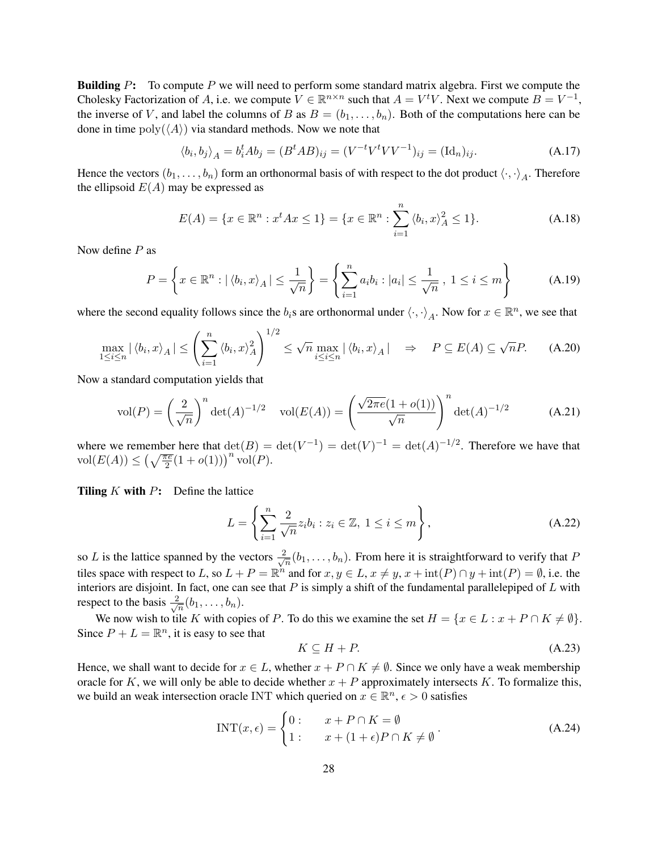**Building P:** To compute P we will need to perform some standard matrix algebra. First we compute the Cholesky Factorization of A, i.e. we compute  $V \in \mathbb{R}^{n \times n}$  such that  $A = V^t V$ . Next we compute  $B = V^{-1}$ , the inverse of V, and label the columns of B as  $B = (b_1, \ldots, b_n)$ . Both of the computations here can be done in time  $poly(\langle A \rangle)$  via standard methods. Now we note that

$$
\langle b_i, b_j \rangle_A = b_i^t A b_j = (B^t A B)_{ij} = (V^{-t} V^t V V^{-1})_{ij} = (\mathrm{Id}_n)_{ij}.
$$
\n(A.17)

Hence the vectors  $(b_1, \ldots, b_n)$  form an orthonormal basis of with respect to the dot product  $\langle \cdot, \cdot \rangle_A$ . Therefore the ellipsoid  $E(A)$  may be expressed as

$$
E(A) = \{x \in \mathbb{R}^n : x^t A x \le 1\} = \{x \in \mathbb{R}^n : \sum_{i=1}^n \langle b_i, x \rangle_A^2 \le 1\}.
$$
 (A.18)

Now define  $P$  as

$$
P = \left\{ x \in \mathbb{R}^n : |\langle b_i, x \rangle_A| \le \frac{1}{\sqrt{n}} \right\} = \left\{ \sum_{i=1}^n a_i b_i : |a_i| \le \frac{1}{\sqrt{n}}, 1 \le i \le m \right\}
$$
 (A.19)

where the second equality follows since the  $b_i$ s are orthonormal under  $\langle \cdot, \cdot \rangle_A$ . Now for  $x \in \mathbb{R}^n$ , we see that

$$
\max_{1 \le i \le n} |\langle b_i, x \rangle_A| \le \left(\sum_{i=1}^n \langle b_i, x \rangle_A^2\right)^{1/2} \le \sqrt{n} \max_{i \le i \le n} |\langle b_i, x \rangle_A| \quad \Rightarrow \quad P \subseteq E(A) \subseteq \sqrt{n}P. \tag{A.20}
$$

Now a standard computation yields that

$$
\text{vol}(P) = \left(\frac{2}{\sqrt{n}}\right)^n \det(A)^{-1/2} \quad \text{vol}(E(A)) = \left(\frac{\sqrt{2\pi e}(1+o(1))}{\sqrt{n}}\right)^n \det(A)^{-1/2} \tag{A.21}
$$

where we remember here that  $\det(B) = \det(V^{-1}) = \det(V)^{-1} = \det(A)^{-1/2}$ . Therefore we have that  $\operatorname{vol}(E(A)) \leq \left(\sqrt{\frac{\pi e}{2}}(1+o(1))\right)^n \operatorname{vol}(P).$ 

Tiling  $K$  with  $P$ : Define the lattice

$$
L = \left\{ \sum_{i=1}^{n} \frac{2}{\sqrt{n}} z_i b_i : z_i \in \mathbb{Z}, \ 1 \le i \le m \right\},\tag{A.22}
$$

so L is the lattice spanned by the vectors  $\frac{2}{\sqrt{2}}$  $\frac{n}{n}(b_1,\ldots,b_n)$ . From here it is straightforward to verify that P tiles space with respect to L, so  $L + P = \mathbb{R}^n$  and for  $x, y \in L$ ,  $x \neq y$ ,  $x + \text{int}(P) \cap y + \text{int}(P) = \emptyset$ , i.e. the interiors are disjoint. In fact, one can see that  $P$  is simply a shift of the fundamental parallelepiped of  $L$  with respect to the basis  $\frac{2}{\sqrt{2}}$  $\frac{n}{\overline{n}}(b_1,\ldots,b_n).$ 

We now wish to tile K with copies of P. To do this we examine the set  $H = \{x \in L : x + P \cap K \neq \emptyset\}.$ Since  $P + L = \mathbb{R}^n$ , it is easy to see that

$$
K \subseteq H + P. \tag{A.23}
$$

Hence, we shall want to decide for  $x \in L$ , whether  $x + P \cap K \neq \emptyset$ . Since we only have a weak membership oracle for K, we will only be able to decide whether  $x + P$  approximately intersects K. To formalize this, we build an weak intersection oracle INT which queried on  $x \in \mathbb{R}^n$ ,  $\epsilon > 0$  satisfies

$$
INT(x,\epsilon) = \begin{cases} 0: & x + P \cap K = \emptyset \\ 1: & x + (1+\epsilon)P \cap K \neq \emptyset \end{cases} (A.24)
$$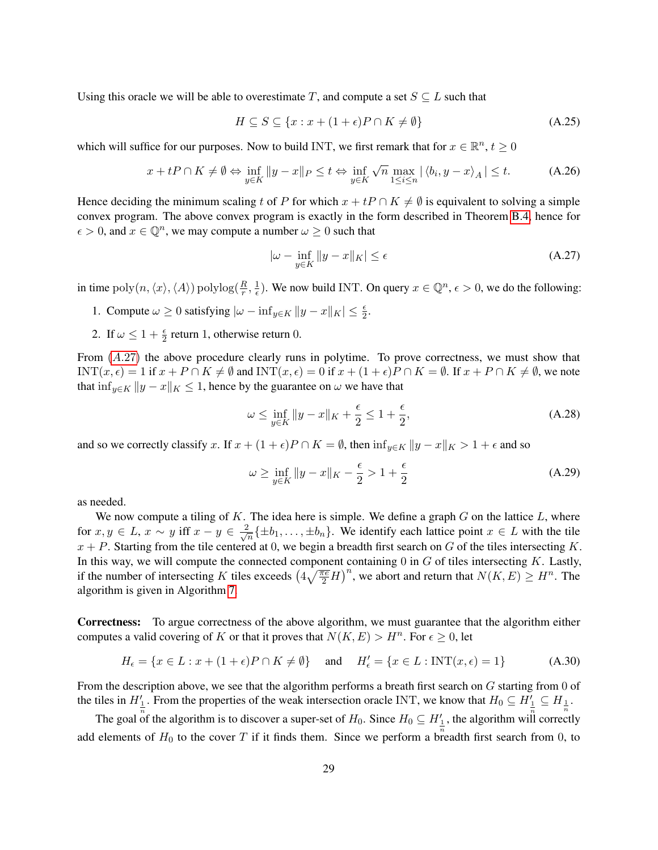Using this oracle we will be able to overestimate T, and compute a set  $S \subseteq L$  such that

$$
H \subseteq S \subseteq \{x : x + (1 + \epsilon)P \cap K \neq \emptyset\}
$$
\n(A.25)

which will suffice for our purposes. Now to build INT, we first remark that for  $x \in \mathbb{R}^n$ ,  $t \ge 0$ 

$$
x + tP \cap K \neq \emptyset \Leftrightarrow \inf_{y \in K} \|y - x\|_{P} \le t \Leftrightarrow \inf_{y \in K} \sqrt{n} \max_{1 \le i \le n} |\langle b_i, y - x \rangle_{A}| \le t.
$$
 (A.26)

Hence deciding the minimum scaling t of P for which  $x + tP \cap K \neq \emptyset$  is equivalent to solving a simple convex program. The above convex program is exactly in the form described in Theorem [B.4,](#page-37-2) hence for  $\epsilon > 0$ , and  $x \in \mathbb{Q}^n$ , we may compute a number  $\omega \geq 0$  such that

<span id="page-29-0"></span>
$$
|\omega - \inf_{y \in K} ||y - x||_K| \le \epsilon \tag{A.27}
$$

in time  $\operatorname{poly}(n,\langle x\rangle,\langle A\rangle) \operatorname{polylog}(\frac{R}{r},\frac{1}{\epsilon}$  $\frac{1}{\epsilon}$ ). We now build INT. On query  $x \in \mathbb{Q}^n$ ,  $\epsilon > 0$ , we do the following:

- 1. Compute  $\omega \ge 0$  satisfying  $|\omega \inf_{y \in K} ||y x||_K | \le \frac{\epsilon}{2}$ .
- 2. If  $\omega \leq 1 + \frac{\epsilon}{2}$  return 1, otherwise return 0.

From  $(A.27)$  $(A.27)$  the above procedure clearly runs in polytime. To prove correctness, we must show that INT $(x, \epsilon) = 1$  if  $x + P \cap K \neq \emptyset$  and INT $(x, \epsilon) = 0$  if  $x + (1 + \epsilon)P \cap K = \emptyset$ . If  $x + P \cap K \neq \emptyset$ , we note that  $\inf_{y \in K} ||y - x||_K \leq 1$ , hence by the guarantee on  $\omega$  we have that

$$
\omega \le \inf_{y \in K} \|y - x\|_K + \frac{\epsilon}{2} \le 1 + \frac{\epsilon}{2},\tag{A.28}
$$

and so we correctly classify x. If  $x + (1 + \epsilon)P \cap K = \emptyset$ , then  $\inf_{y \in K} ||y - x||_K > 1 + \epsilon$  and so

$$
\omega \ge \inf_{y \in K} \|y - x\|_K - \frac{\epsilon}{2} > 1 + \frac{\epsilon}{2}
$$
\n(A.29)

as needed.

We now compute a tiling of  $K$ . The idea here is simple. We define a graph  $G$  on the lattice  $L$ , where for  $x, y \in L$ ,  $x \sim y$  iff  $x - y \in \frac{2}{\sqrt{3}}$  $\frac{1}{n} \{\pm b_1, \ldots, \pm b_n\}.$  We identify each lattice point  $x \in L$  with the tile  $x + P$ . Starting from the tile centered at 0, we begin a breadth first search on G of the tiles intersecting K. In this way, we will compute the connected component containing  $0$  in  $G$  of tiles intersecting  $K$ . Lastly, if the number of intersecting K tiles exceeds  $\left(4\sqrt{\frac{\pi e}{2}}H\right)^n$ , we abort and return that  $N(K, E) \geq H^n$ . The algorithm is given in Algorithm [7.](#page-30-0)

Correctness: To argue correctness of the above algorithm, we must guarantee that the algorithm either computes a valid covering of K or that it proves that  $N(K, E) > H<sup>n</sup>$ . For  $\epsilon \ge 0$ , let

$$
H_{\epsilon} = \{ x \in L : x + (1 + \epsilon)P \cap K \neq \emptyset \} \quad \text{and} \quad H_{\epsilon}' = \{ x \in L : \text{INT}(x, \epsilon) = 1 \} \tag{A.30}
$$

From the description above, we see that the algorithm performs a breath first search on  $G$  starting from 0 of the tiles in  $H'_{\frac{1}{n}}$ . From the properties of the weak intersection oracle INT, we know that  $H_0 \subseteq H'_{\frac{1}{n}} \subseteq H_{\frac{1}{n}}$ .

The goal of the algorithm is to discover a super-set of  $H_0$ . Since  $H_0 \subseteq H'_1$ , the algorithm will correctly add elements of  $H_0$  to the cover T if it finds them. Since we perform a breadth first search from 0, to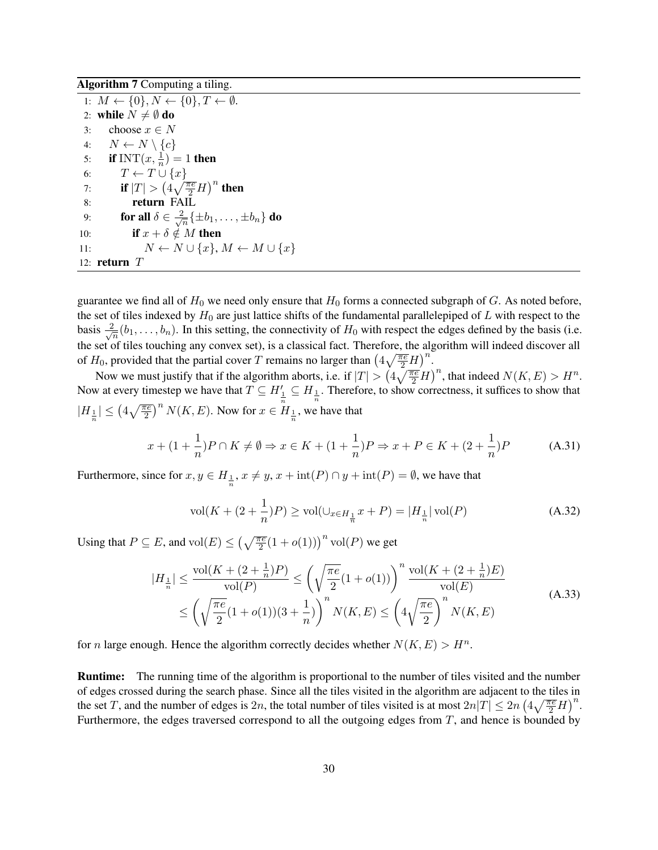Algorithm 7 Computing a tiling.

<span id="page-30-0"></span>1:  $M \leftarrow \{0\}, N \leftarrow \{0\}, T \leftarrow \emptyset$ . 2: while  $N \neq \emptyset$  do 3: choose  $x \in N$ 4:  $N \leftarrow N \setminus \{c\}$ 5: if INT $(x, \frac{1}{n}) = 1$  then 6:  $T \leftarrow T \cup \{x\}$ 7: **if**  $|T| > \left(4\sqrt{\frac{\pi e}{2}}H\right)^n$  then 8: return FAIL 9: **for all**  $\delta \in \frac{2}{\sqrt{3}}$  $\frac{2}{n}\{\pm b_1,\ldots,\pm b_n\}$  do 10: **if**  $x + \delta \notin M$  then 11:  $N \leftarrow N \cup \{x\}, M \leftarrow M \cup \{x\}$ 12: return  $T$ 

guarantee we find all of  $H_0$  we need only ensure that  $H_0$  forms a connected subgraph of G. As noted before, the set of tiles indexed by  $H_0$  are just lattice shifts of the fundamental parallelepiped of L with respect to the basis  $\frac{2}{\sqrt{2}}$  $\frac{1}{n}(b_1,\ldots,b_n)$ . In this setting, the connectivity of  $H_0$  with respect the edges defined by the basis (i.e. the set of tiles touching any convex set), is a classical fact. Therefore, the algorithm will indeed discover all of  $H_0$ , provided that the partial cover T remains no larger than  $\left(4\sqrt{\frac{\pi e}{2}}H\right)^n$ .

Now we must justify that if the algorithm aborts, i.e. if  $|T| > (4\sqrt{\frac{\pi e}{2}}H)^n$ , that indeed  $N(K, E) > H^n$ . Now at every timestep we have that  $T \subseteq H_{\frac{1}{n}} \subseteq H_{\frac{1}{n}}$ . Therefore, to show correctness, it suffices to show that  $|H_{\frac{1}{n}}| \leq (4\sqrt{\frac{\pi e}{2}})^n N(K, E)$ . Now for  $x \in H_{\frac{1}{n}}$ , we have that

$$
x + (1 + \frac{1}{n})P \cap K \neq \emptyset \Rightarrow x \in K + (1 + \frac{1}{n})P \Rightarrow x + P \in K + (2 + \frac{1}{n})P
$$
 (A.31)

Furthermore, since for  $x, y \in H_{\frac{1}{n}}$ ,  $x \neq y$ ,  $x + \text{int}(P) \cap y + \text{int}(P) = \emptyset$ , we have that

$$
\text{vol}(K + (2 + \frac{1}{n})P) \ge \text{vol}(\cup_{x \in H_{\frac{1}{n}}} x + P) = |H_{\frac{1}{n}}| \text{vol}(P) \tag{A.32}
$$

Using that  $P \subseteq E$ , and  $vol(E) \leq \left(\sqrt{\frac{\pi e}{2}}(1 + o(1))\right)^n vol(P)$  we get

$$
|H_{\frac{1}{n}}| \leq \frac{\text{vol}(K + (2 + \frac{1}{n})P)}{\text{vol}(P)} \leq \left(\sqrt{\frac{\pi e}{2}}(1 + o(1))\right)^n \frac{\text{vol}(K + (2 + \frac{1}{n})E)}{\text{vol}(E)} \leq \left(\sqrt{\frac{\pi e}{2}}(1 + o(1))(3 + \frac{1}{n})\right)^n N(K, E) \leq \left(4\sqrt{\frac{\pi e}{2}}\right)^n N(K, E)
$$
\n(A.33)

for *n* large enough. Hence the algorithm correctly decides whether  $N(K, E) > H<sup>n</sup>$ .

Runtime: The running time of the algorithm is proportional to the number of tiles visited and the number of edges crossed during the search phase. Since all the tiles visited in the algorithm are adjacent to the tiles in the set T, and the number of edges is 2n, the total number of tiles visited is at most  $2n|T| \leq 2n \left(4\sqrt{\frac{\pi e}{2}}H\right)^n$ . Furthermore, the edges traversed correspond to all the outgoing edges from  $T$ , and hence is bounded by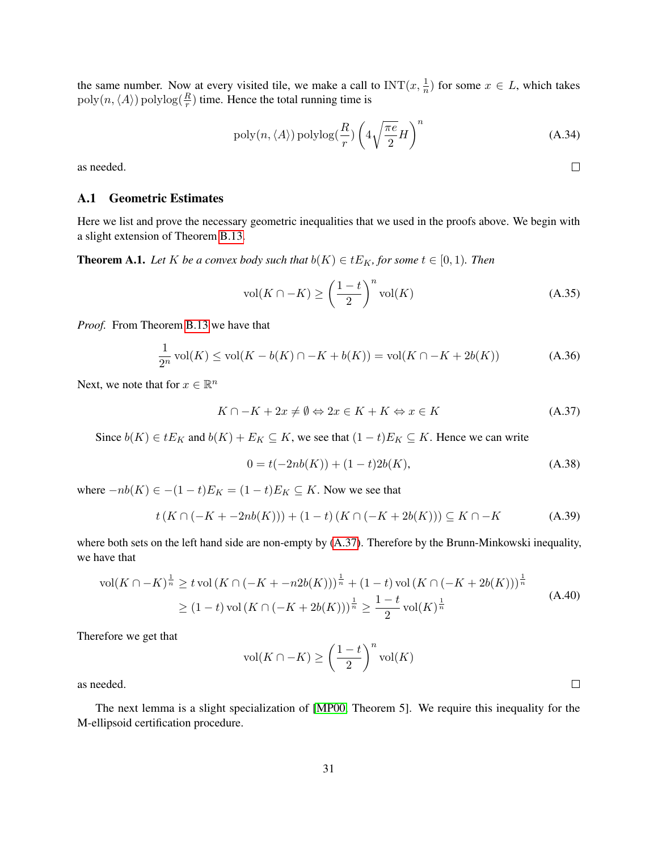the same number. Now at every visited tile, we make a call to  $INT(x, \frac{1}{n})$  for some  $x \in L$ , which takes  $poly(n, \langle A \rangle)$  polylog( $\frac{R}{r}$ ) time. Hence the total running time is

$$
poly(n, \langle A \rangle) \text{polylog}(\frac{R}{r}) \left(4\sqrt{\frac{\pi e}{2}}H\right)^n \tag{A.34}
$$

as needed.

#### <span id="page-31-2"></span>A.1 Geometric Estimates

Here we list and prove the necessary geometric inequalities that we used in the proofs above. We begin with a slight extension of Theorem [B.13.](#page-42-0)

<span id="page-31-1"></span>**Theorem A.1.** *Let* K *be a convex body such that*  $b(K) \in tE_K$ *, for some*  $t \in [0,1)$ *. Then* 

$$
\text{vol}(K \cap -K) \ge \left(\frac{1-t}{2}\right)^n \text{vol}(K) \tag{A.35}
$$

*Proof.* From Theorem [B.13](#page-42-0) we have that

$$
\frac{1}{2^n} \operatorname{vol}(K) \le \operatorname{vol}(K - b(K) \cap -K + b(K)) = \operatorname{vol}(K \cap -K + 2b(K))
$$
 (A.36)

Next, we note that for  $x \in \mathbb{R}^n$ 

<span id="page-31-3"></span>
$$
K \cap -K + 2x \neq \emptyset \Leftrightarrow 2x \in K + K \Leftrightarrow x \in K \tag{A.37}
$$

Since  $b(K) \in tE_K$  and  $b(K) + E_K \subseteq K$ , we see that  $(1-t)E_K \subseteq K$ . Hence we can write

$$
0 = t(-2nb(K)) + (1-t)2b(K),
$$
\n(A.38)

where  $-nb(K) \in -(1-t)E_K = (1-t)E_K \subseteq K$ . Now we see that

$$
t(K \cap (-K + -2nb(K))) + (1-t)(K \cap (-K + 2b(K))) \subseteq K \cap -K
$$
 (A.39)

where both sets on the left hand side are non-empty by  $(A.37)$ . Therefore by the Brunn-Minkowski inequality, we have that

$$
\text{vol}(K \cap -K)^{\frac{1}{n}} \ge t \text{ vol}(K \cap (-K + -n2b(K)))^{\frac{1}{n}} + (1-t) \text{ vol}(K \cap (-K + 2b(K)))^{\frac{1}{n}}
$$
  
 
$$
\ge (1-t) \text{ vol}(K \cap (-K + 2b(K)))^{\frac{1}{n}} \ge \frac{1-t}{2} \text{ vol}(K)^{\frac{1}{n}}
$$
(A.40)

Therefore we get that

$$
\text{vol}(K \cap -K) \ge \left(\frac{1-t}{2}\right)^n \text{vol}(K)
$$

as needed.

<span id="page-31-0"></span>The next lemma is a slight specialization of [\[MP00,](#page-24-9) Theorem 5]. We require this inequality for the M-ellipsoid certification procedure.

 $\Box$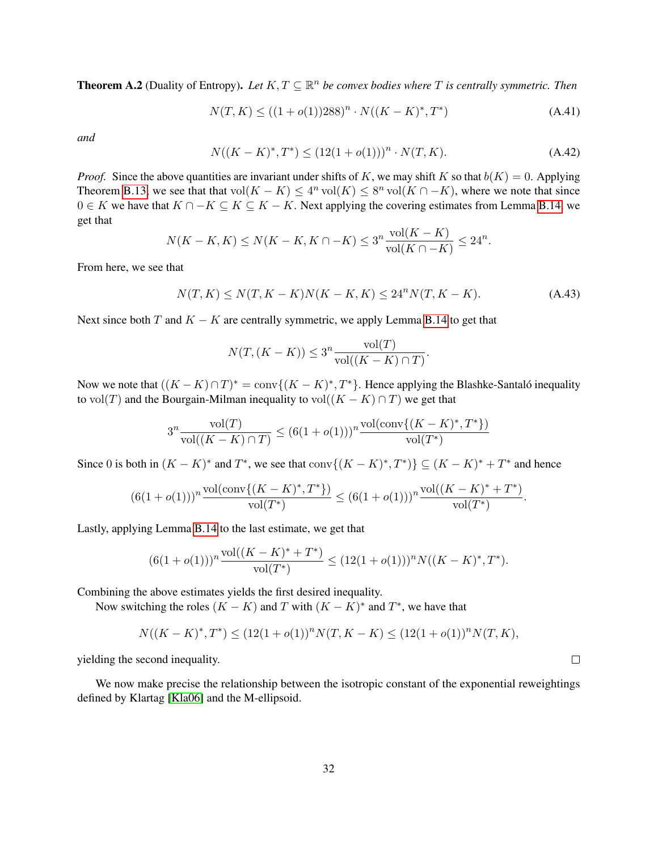**Theorem A.2** (Duality of Entropy). Let  $K, T \subseteq \mathbb{R}^n$  be convex bodies where T is centrally symmetric. Then

$$
N(T, K) \le ((1 + o(1))288)^n \cdot N((K - K)^*, T^*)
$$
\n(A.41)

*and*

$$
N((K - K)^{*}, T^{*}) \le (12(1 + o(1)))^{n} \cdot N(T, K).
$$
\n(A.42)

*Proof.* Since the above quantities are invariant under shifts of K, we may shift K so that  $b(K) = 0$ . Applying Theorem [B.13,](#page-42-0) we see that that  $vol(K - K) \leq 4^n vol(K) \leq 8^n vol(K \cap -K)$ , where we note that since  $0 \in K$  we have that  $K \cap -K \subseteq K \subseteq K -K$ . Next applying the covering estimates from Lemma [B.14,](#page-42-1) we get that

$$
N(K - K, K) \le N(K - K, K \cap -K) \le 3^{n} \frac{\text{vol}(K - K)}{\text{vol}(K \cap -K)} \le 24^{n}.
$$

From here, we see that

$$
N(T, K) \le N(T, K - K)N(K - K, K) \le 24^{n}N(T, K - K). \tag{A.43}
$$

Next since both T and  $K - K$  are centrally symmetric, we apply Lemma [B.14](#page-42-1) to get that

$$
N(T, (K - K)) \le 3^n \frac{\text{vol}(T)}{\text{vol}((K - K) \cap T)}.
$$

Now we note that  $((K - K) \cap T)^* = \text{conv}\{(K - K)^*, T^*\}$ . Hence applying the Blashke-Santaló inequality to vol(T) and the Bourgain-Milman inequality to vol( $(K - K) \cap T$ ) we get that

$$
3^{n} \frac{\text{vol}(T)}{\text{vol}((K-K) \cap T)} \le (6(1+o(1)))^{n} \frac{\text{vol}(\text{conv}\{(K-K)^{*}, T^{*}\})}{\text{vol}(T^{*})}
$$

Since 0 is both in  $(K - K)^*$  and  $T^*$ , we see that conv $\{(K - K)^*, T^*\} \subseteq (K - K)^* + T^*$  and hence

$$
(6(1+o(1)))^n \frac{\text{vol}(\mathbf{conv}\{(K-K)^*, T^*\})}{\text{vol}(T^*)} \leq (6(1+o(1)))^n \frac{\text{vol}((K-K)^* + T^*)}{\text{vol}(T^*)}.
$$

Lastly, applying Lemma [B.14](#page-42-1) to the last estimate, we get that

$$
(6(1+o(1)))^n\frac{\text{vol}((K-K)^*+T^*)}{\text{vol}(T^*)}\leq (12(1+o(1)))^nN((K-K)^*,T^*).
$$

Combining the above estimates yields the first desired inequality.

Now switching the roles  $(K - K)$  and T with  $(K - K)^*$  and T<sup>\*</sup>, we have that

$$
N((K - K)^*, T^*) \le (12(1 + o(1))^n N(T, K - K) \le (12(1 + o(1))^n N(T, K),
$$

yielding the second inequality.

<span id="page-32-0"></span>We now make precise the relationship between the isotropic constant of the exponential reweightings defined by Klartag [\[Kla06\]](#page-23-9) and the M-ellipsoid.

 $\Box$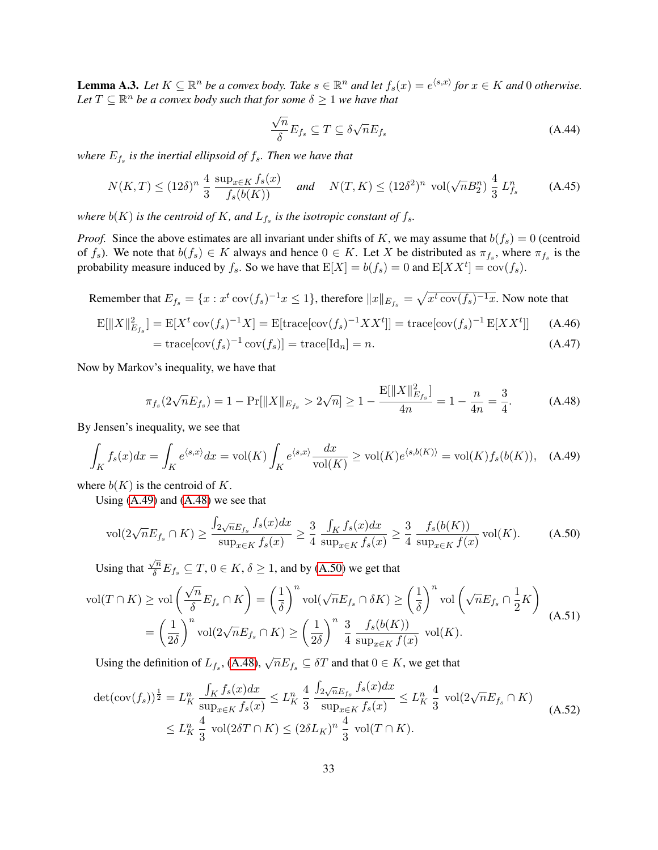**Lemma A.3.** Let  $K \subseteq \mathbb{R}^n$  be a convex body. Take  $s \in \mathbb{R}^n$  and let  $f_s(x) = e^{\langle s,x \rangle}$  for  $x \in K$  and 0 otherwise. Let  $T \subseteq \mathbb{R}^n$  be a convex body such that for some  $\delta \geq 1$  we have that

$$
\frac{\sqrt{n}}{\delta}E_{f_s} \subseteq T \subseteq \delta\sqrt{n}E_{f_s}
$$
\n(A.44)

where  $E_{f_s}$  is the inertial ellipsoid of  $f_s$ . Then we have that

$$
N(K,T) \le (12\delta)^n \frac{4}{3} \frac{\sup_{x \in K} f_s(x)}{f_s(b(K))} \quad \text{and} \quad N(T,K) \le (12\delta^2)^n \text{ vol}(\sqrt{n}B_2^n) \frac{4}{3} L_{f_s}^n \tag{A.45}
$$

where  $b(K)$  is the centroid of  $K$ , and  $L_{f_s}$  is the isotropic constant of  $f_s$ .

*Proof.* Since the above estimates are all invariant under shifts of K, we may assume that  $b(f_s) = 0$  (centroid of  $f_s$ ). We note that  $b(f_s) \in K$  always and hence  $0 \in K$ . Let X be distributed as  $\pi_{f_s}$ , where  $\pi_{f_s}$  is the probability measure induced by  $f_s$ . So we have that  $E[X] = b(f_s) = 0$  and  $E[XX^t] = cov(f_s)$ .

Remember that  $E_{f_s} = \{x : x^t \text{ cov}(f_s)^{-1} x \le 1\}$ , therefore  $||x||_{E_{f_s}} = \sqrt{x^t \text{ cov}(f_s)^{-1} x}$ . Now note that

$$
\mathcal{E}[\|X\|_{E_{fs}}^2] = \mathcal{E}[X^t \operatorname{cov}(f_s)^{-1} X] = \mathcal{E}[\operatorname{trace}[\operatorname{cov}(f_s)^{-1} X X^t]] = \operatorname{trace}[\operatorname{cov}(f_s)^{-1} \mathcal{E}[X X^t]] \tag{A.46}
$$

$$
= \operatorname{trace}[\operatorname{cov}(f_s)^{-1} \operatorname{cov}(f_s)] = \operatorname{trace}[\operatorname{Id}_n] = n. \tag{A.47}
$$

$$
= \operatorname{utace}[cov(j_s) \quad cov(j_s)] = \operatorname{utace}[i\alpha_n] = n.
$$

Now by Markov's inequality, we have that

<span id="page-33-2"></span><span id="page-33-1"></span><span id="page-33-0"></span>
$$
\pi_{f_s}(2\sqrt{n}E_{f_s}) = 1 - \Pr[||X||_{E_{f_s}} > 2\sqrt{n}] \ge 1 - \frac{\mathbb{E}[||X||_{E_{f_s}}^2]}{4n} = 1 - \frac{n}{4n} = \frac{3}{4}.
$$
 (A.48)

By Jensen's inequality, we see that

$$
\int_{K} f_s(x)dx = \int_{K} e^{\langle s,x \rangle} dx = \text{vol}(K) \int_{K} e^{\langle s,x \rangle} \frac{dx}{\text{vol}(K)} \ge \text{vol}(K) e^{\langle s,b(K) \rangle} = \text{vol}(K) f_s(b(K)), \quad \text{(A.49)}
$$

where  $b(K)$  is the centroid of K.

Using [\(A.49\)](#page-33-0) and [\(A.48\)](#page-33-1) we see that

<span id="page-33-4"></span>
$$
\text{vol}(2\sqrt{n}E_{f_s} \cap K) \ge \frac{\int_{2\sqrt{n}E_{f_s}} f_s(x)dx}{\sup_{x \in K} f_s(x)} \ge \frac{3}{4} \frac{\int_K f_s(x)dx}{\sup_{x \in K} f_s(x)} \ge \frac{3}{4} \frac{f_s(b(K))}{\sup_{x \in K} f(x)} \text{vol}(K). \tag{A.50}
$$

Using that  $\frac{\sqrt{n}}{\delta}E_{f_s} \subseteq T$ ,  $0 \in K$ ,  $\delta \ge 1$ , and by [\(A.50\)](#page-33-2) we get that

$$
\text{vol}(T \cap K) \ge \text{vol}\left(\frac{\sqrt{n}}{\delta} E_{f_s} \cap K\right) = \left(\frac{1}{\delta}\right)^n \text{vol}(\sqrt{n} E_{f_s} \cap \delta K) \ge \left(\frac{1}{\delta}\right)^n \text{vol}\left(\sqrt{n} E_{f_s} \cap \frac{1}{2} K\right)
$$

$$
= \left(\frac{1}{2\delta}\right)^n \text{vol}(2\sqrt{n} E_{f_s} \cap K) \ge \left(\frac{1}{2\delta}\right)^n \frac{3}{4} \frac{f_s(b(K))}{\sup_{x \in K} f(x)} \text{vol}(K).
$$
(A.51)

Using the definition of  $L_{f_s}$ , [\(A.48\)](#page-33-1),  $\sqrt{n}E_{f_s} \subseteq \delta T$  and that  $0 \in K$ , we get that

<span id="page-33-3"></span>
$$
\det(\text{cov}(f_s))^{\frac{1}{2}} = L_K^n \frac{\int_K f_s(x)dx}{\sup_{x \in K} f_s(x)} \le L_K^n \frac{4}{3} \frac{\int_{2\sqrt{n}E_{f_s}} f_s(x)dx}{\sup_{x \in K} f_s(x)} \le L_K^n \frac{4}{3} \text{ vol}(2\sqrt{n}E_{f_s} \cap K)
$$
\n
$$
\le L_K^n \frac{4}{3} \text{ vol}(2\delta T \cap K) \le (2\delta L_K)^n \frac{4}{3} \text{ vol}(T \cap K). \tag{A.52}
$$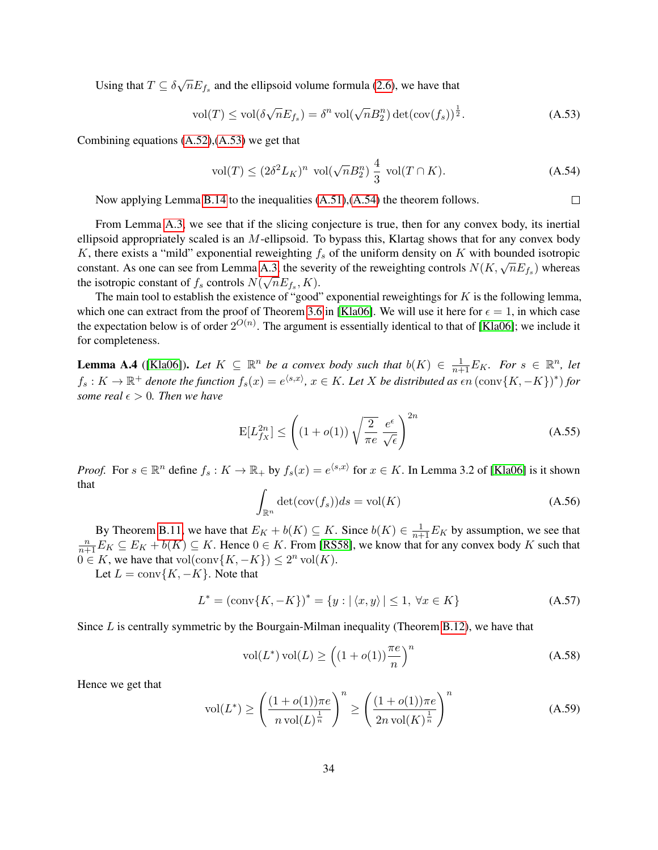Using that  $T \subseteq \delta \sqrt{n} E_{f_s}$  and the ellipsoid volume formula [\(2.6\)](#page-5-1), we have that

$$
\text{vol}(T) \le \text{vol}(\delta \sqrt{n} E_{f_s}) = \delta^n \text{ vol}(\sqrt{n} B_2^n) \det(\text{cov}(f_s))^{\frac{1}{2}}.
$$
 (A.53)

Combining equations [\(A.52\)](#page-33-3),[\(A.53\)](#page-34-1) we get that

<span id="page-34-2"></span><span id="page-34-1"></span>
$$
\text{vol}(T) \le (2\delta^2 L_K)^n \text{ vol}(\sqrt{n}B_2^n) \frac{4}{3} \text{ vol}(T \cap K). \tag{A.54}
$$

Now applying Lemma [B.14](#page-42-1) to the inequalities [\(A.51\)](#page-33-4),[\(A.54\)](#page-34-2) the theorem follows.  $\Box$ 

From Lemma [A.3,](#page-32-0) we see that if the slicing conjecture is true, then for any convex body, its inertial ellipsoid appropriately scaled is an  $M$ -ellipsoid. To bypass this, Klartag shows that for any convex body K, there exists a "mild" exponential reweighting  $f_s$  of the uniform density on K with bounded isotropic  $\kappa$ , there exists a finite exponential reweighting  $f_s$  of the uniform density on  $K$  with bounded isotropic constant. As one can see from Lemma [A.3,](#page-32-0) the severity of the reweighting controls  $N(K, \sqrt{n}E_{f_s})$  whereas the isotropic constant of  $f_s$  controls  $N(\sqrt{n}E_{f_s}, K)$ .

The main tool to establish the existence of "good" exponential reweightings for  $K$  is the following lemma, which one can extract from the proof of Theorem [3.6](#page-8-2) in [\[Kla06\]](#page-23-9). We will use it here for  $\epsilon = 1$ , in which case the expectation below is of order  $2^{O(n)}$ . The argument is essentially identical to that of [\[Kla06\]](#page-23-9); we include it for completeness.

<span id="page-34-0"></span>**Lemma A.4** ([\[Kla06\]](#page-23-9)). Let  $K \subseteq \mathbb{R}^n$  be a convex body such that  $b(K) \in \frac{1}{n+1}E_K$ . For  $s \in \mathbb{R}^n$ , let  $f_s: K \to \mathbb{R}^+$  denote the function  $f_s(x) = e^{\langle s,x\rangle}$ ,  $x \in K$ . Let X be distributed as  $\epsilon n (\text{conv}\{K,-K\})^*$  for *some real*  $\epsilon > 0$ *. Then we have* 

$$
E[L_{f_X}^{2n}] \le \left( (1 + o(1)) \sqrt{\frac{2}{\pi e}} \frac{e^{\epsilon}}{\sqrt{\epsilon}} \right)^{2n} \tag{A.55}
$$

*Proof.* For  $s \in \mathbb{R}^n$  define  $f_s: K \to \mathbb{R}_+$  by  $f_s(x) = e^{\langle s, x \rangle}$  for  $x \in K$ . In Lemma 3.2 of [\[Kla06\]](#page-23-9) is it shown that

$$
\int_{\mathbb{R}^n} \det(\text{cov}(f_s))ds = \text{vol}(K) \tag{A.56}
$$

By Theorem [B.11,](#page-41-1) we have that  $E_K + b(K) \subseteq K$ . Since  $b(K) \in \frac{1}{n+1}E_K$  by assumption, we see that  $\frac{n}{n+1}E_K \subseteq E_K + b(K) \subseteq K$ . Hence  $0 \in K$ . From [\[RS58\]](#page-24-11), we know that for any convex body K such that  $0 \in K$ , we have that vol(conv $\{K, -K\}$ )  $\leq 2^n$  vol(K).

Let  $L = \text{conv}\{K, -K\}$ . Note that

$$
L^* = (\text{conv}\{K, -K\})^* = \{y : |\langle x, y \rangle| \le 1, \ \forall x \in K\}
$$
 (A.57)

Since  $L$  is centrally symmetric by the Bourgain-Milman inequality (Theorem [B.12\)](#page-41-2), we have that

$$
\text{vol}(L^*)\,\text{vol}(L) \ge \left( (1 + o(1)) \frac{\pi e}{n} \right)^n \tag{A.58}
$$

Hence we get that

<span id="page-34-3"></span>
$$
\text{vol}(L^*) \ge \left(\frac{(1+o(1))\pi e}{n\,\text{vol}(L)^{\frac{1}{n}}}\right)^n \ge \left(\frac{(1+o(1))\pi e}{2n\,\text{vol}(K)^{\frac{1}{n}}}\right)^n\tag{A.59}
$$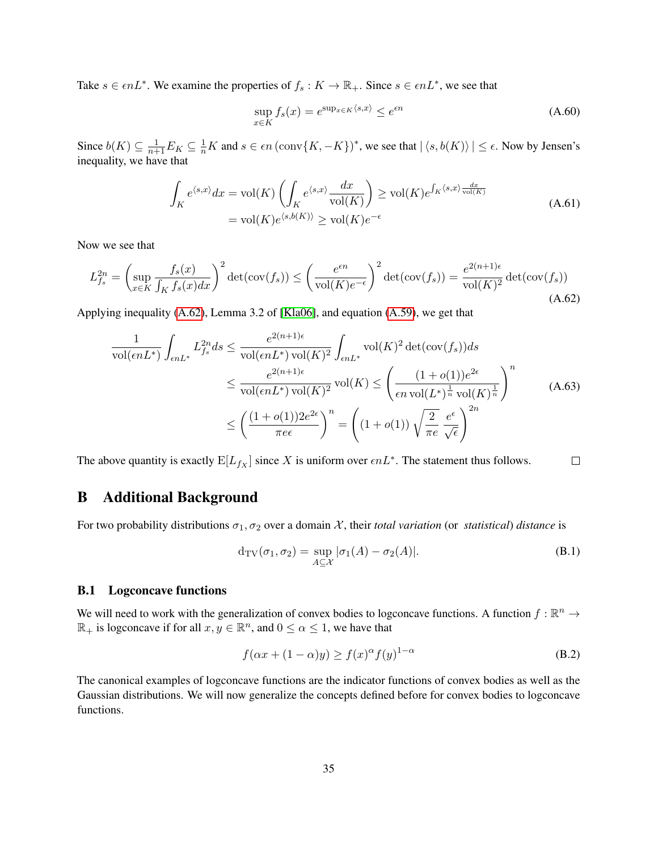Take  $s \in \epsilon nL^*$ . We examine the properties of  $f_s: K \to \mathbb{R}_+$ . Since  $s \in \epsilon nL^*$ , we see that

$$
\sup_{x \in K} f_s(x) = e^{\sup_{x \in K} \langle s, x \rangle} \le e^{\epsilon n} \tag{A.60}
$$

Since  $b(K) \subseteq \frac{1}{n+1}E_K \subseteq \frac{1}{n}K$  and  $s \in \epsilon n$  (conv $\{K, -K\}$ )<sup>\*</sup>, we see that  $|\langle s, b(K) \rangle| \leq \epsilon$ . Now by Jensen's inequality, we have that

<span id="page-35-1"></span>
$$
\int_{K} e^{\langle s,x \rangle} dx = \text{vol}(K) \left( \int_{K} e^{\langle s,x \rangle} \frac{dx}{\text{vol}(K)} \right) \ge \text{vol}(K) e^{\int_{K} \langle s,x \rangle} \frac{dx}{\text{vol}(K)}
$$
\n
$$
= \text{vol}(K) e^{\langle s,b(K) \rangle} \ge \text{vol}(K) e^{-\epsilon}
$$
\n(A.61)

Now we see that

$$
L_{f_s}^{2n} = \left(\sup_{x \in K} \frac{f_s(x)}{\int_K f_s(x)dx}\right)^2 \det(\text{cov}(f_s)) \le \left(\frac{e^{\epsilon n}}{\text{vol}(K)e^{-\epsilon}}\right)^2 \det(\text{cov}(f_s)) = \frac{e^{2(n+1)\epsilon}}{\text{vol}(K)^2} \det(\text{cov}(f_s))\tag{A.62}
$$

Applying inequality [\(A.62\)](#page-35-1), Lemma 3.2 of [\[Kla06\]](#page-23-9), and equation [\(A.59\)](#page-34-3), we get that

$$
\frac{1}{\text{vol}(\epsilon n L^*)} \int_{\epsilon n L^*} L_{fs}^{2n} ds \le \frac{e^{2(n+1)\epsilon}}{\text{vol}(\epsilon n L^*) \text{vol}(K)^2} \int_{\epsilon n L^*} \text{vol}(K)^2 \det(\text{cov}(f_s)) ds
$$

$$
\le \frac{e^{2(n+1)\epsilon}}{\text{vol}(\epsilon n L^*) \text{vol}(K)^2} \text{vol}(K) \le \left(\frac{(1+o(1))e^{2\epsilon}}{\epsilon n \text{ vol}(L^*)^{\frac{1}{n}} \text{vol}(K)^{\frac{1}{n}}}\right)^n
$$
(A.63)
$$
\le \left(\frac{(1+o(1))2e^{2\epsilon}}{\pi e\epsilon}\right)^n = \left((1+o(1))\sqrt{\frac{2}{\pi e}}\frac{e^{\epsilon}}{\sqrt{\epsilon}}\right)^{2n}
$$

The above quantity is exactly  $E[L_{fX}]$  since X is uniform over  $\epsilon nL^*$ . The statement thus follows.  $\Box$ 

# <span id="page-35-0"></span>B Additional Background

For two probability distributions  $\sigma_1, \sigma_2$  over a domain X, their *total variation* (or *statistical*) *distance* is

$$
d_{TV}(\sigma_1, \sigma_2) = \sup_{A \subseteq \mathcal{X}} |\sigma_1(A) - \sigma_2(A)|.
$$
 (B.1)

#### B.1 Logconcave functions

We will need to work with the generalization of convex bodies to logconcave functions. A function  $f : \mathbb{R}^n \to$  $\mathbb{R}_+$  is logconcave if for all  $x, y \in \mathbb{R}^n$ , and  $0 \le \alpha \le 1$ , we have that

$$
f(\alpha x + (1 - \alpha)y) \ge f(x)^{\alpha} f(y)^{1 - \alpha}
$$
 (B.2)

The canonical examples of logconcave functions are the indicator functions of convex bodies as well as the Gaussian distributions. We will now generalize the concepts defined before for convex bodies to logconcave functions.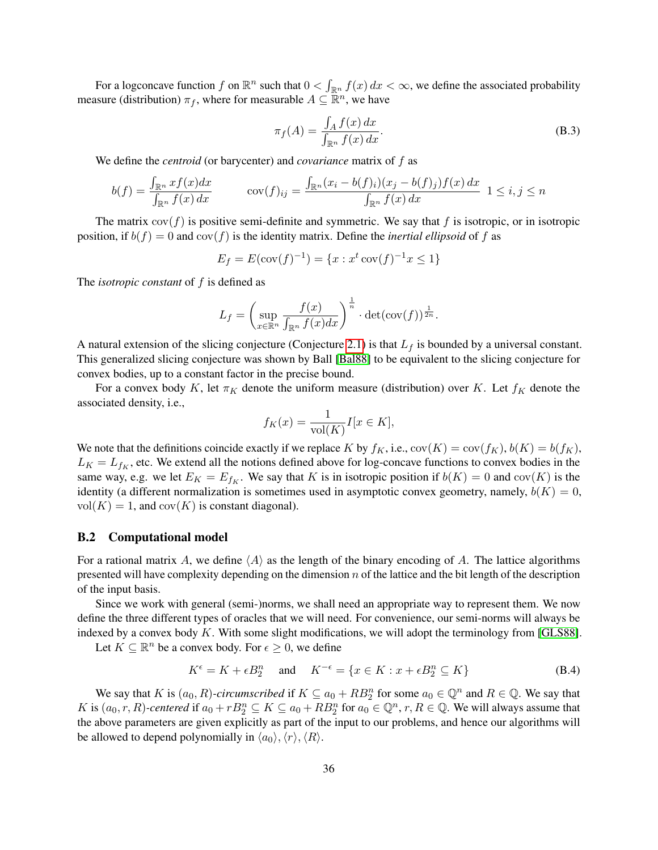For a logconcave function f on  $\mathbb{R}^n$  such that  $0 < \int_{\mathbb{R}^n} f(x) dx < \infty$ , we define the associated probability measure (distribution)  $\pi_f$ , where for measurable  $A \subseteq \mathbb{R}^n$ , we have

$$
\pi_f(A) = \frac{\int_A f(x) dx}{\int_{\mathbb{R}^n} f(x) dx}.
$$
\n(B.3)

We define the *centroid* (or barycenter) and *covariance* matrix of f as

$$
b(f) = \frac{\int_{\mathbb{R}^n} x f(x) dx}{\int_{\mathbb{R}^n} f(x) dx} \qquad \text{cov}(f)_{ij} = \frac{\int_{\mathbb{R}^n} (x_i - b(f)_i)(x_j - b(f)_j) f(x) dx}{\int_{\mathbb{R}^n} f(x) dx} \quad 1 \le i, j \le n
$$

The matrix  $cov(f)$  is positive semi-definite and symmetric. We say that f is isotropic, or in isotropic position, if  $b(f) = 0$  and  $cov(f)$  is the identity matrix. Define the *inertial ellipsoid* of f as

$$
E_f = E(\text{cov}(f)^{-1}) = \{x : x^t \text{ cov}(f)^{-1} x \le 1\}
$$

The *isotropic constant* of f is defined as

$$
L_f = \left(\sup_{x \in \mathbb{R}^n} \frac{f(x)}{\int_{\mathbb{R}^n} f(x) dx}\right)^{\frac{1}{n}} \cdot \det(\text{cov}(f))^{\frac{1}{2n}}.
$$

A natural extension of the slicing conjecture (Conjecture [2.1\)](#page-6-4) is that  $L_f$  is bounded by a universal constant. This generalized slicing conjecture was shown by Ball [\[Bal88\]](#page-22-12) to be equivalent to the slicing conjecture for convex bodies, up to a constant factor in the precise bound.

For a convex body K, let  $\pi_K$  denote the uniform measure (distribution) over K. Let  $f_K$  denote the associated density, i.e.,

$$
f_K(x) = \frac{1}{\text{vol}(K)} I[x \in K],
$$

We note that the definitions coincide exactly if we replace K by  $f_K$ , i.e.,  $cov(K) = cov(f_K)$ ,  $b(K) = b(f_K)$ ,  $L_K = L_{f_K}$ , etc. We extend all the notions defined above for log-concave functions to convex bodies in the same way, e.g. we let  $E_K = E_{f_K}$ . We say that K is in isotropic position if  $b(K) = 0$  and  $cov(K)$  is the identity (a different normalization is sometimes used in asymptotic convex geometry, namely,  $b(K) = 0$ ,  $vol(K) = 1$ , and  $cov(K)$  is constant diagonal).

#### B.2 Computational model

For a rational matrix A, we define  $\langle A \rangle$  as the length of the binary encoding of A. The lattice algorithms presented will have complexity depending on the dimension  $n$  of the lattice and the bit length of the description of the input basis.

Since we work with general (semi-)norms, we shall need an appropriate way to represent them. We now define the three different types of oracles that we will need. For convenience, our semi-norms will always be indexed by a convex body  $K$ . With some slight modifications, we will adopt the terminology from [\[GLS88\]](#page-23-11).

Let  $K \subseteq \mathbb{R}^n$  be a convex body. For  $\epsilon \geq 0$ , we define

$$
K^{\epsilon} = K + \epsilon B_2^n \quad \text{and} \quad K^{-\epsilon} = \{ x \in K : x + \epsilon B_2^n \subseteq K \}
$$
 (B.4)

We say that K is  $(a_0, R)$ -circumscribed if  $K \subseteq a_0 + RB_2^n$  for some  $a_0 \in \mathbb{Q}^n$  and  $R \in \mathbb{Q}$ . We say that K is  $(a_0, r, R)$ -centered if  $a_0 + rB_2^n \subseteq K \subseteq a_0 + RB_2^n$  for  $a_0 \in \mathbb{Q}^n$ ,  $r, R \in \mathbb{Q}$ . We will always assume that the above parameters are given explicitly as part of the input to our problems, and hence our algorithms will be allowed to depend polynomially in  $\langle a_0 \rangle$ ,  $\langle r \rangle$ ,  $\langle R \rangle$ .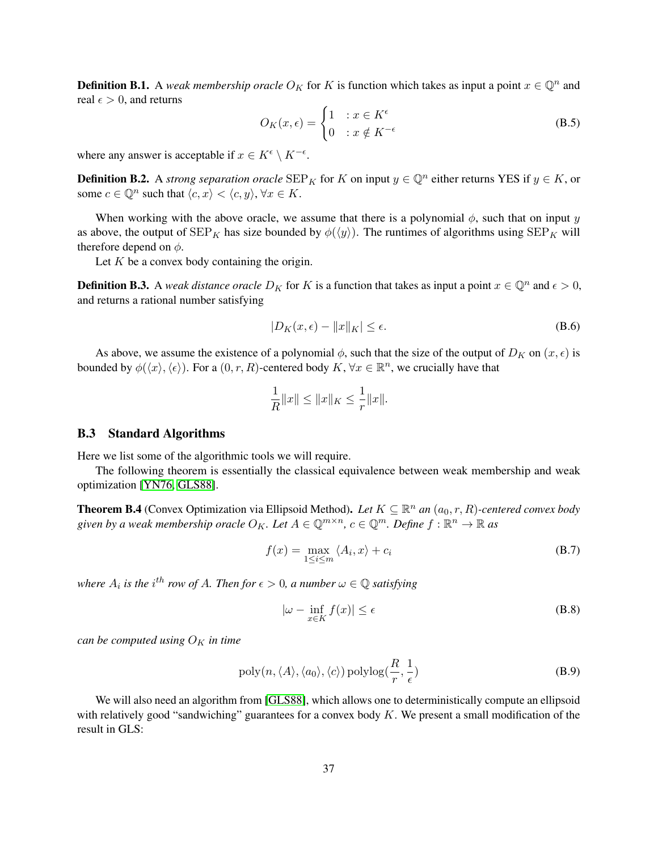**Definition B.1.** A *weak membership oracle*  $O_K$  for K is function which takes as input a point  $x \in \mathbb{Q}^n$  and real  $\epsilon > 0$ , and returns

$$
O_K(x,\epsilon) = \begin{cases} 1 & : x \in K^{\epsilon} \\ 0 & : x \notin K^{-\epsilon} \end{cases} \tag{B.5}
$$

where any answer is acceptable if  $x \in K^{\epsilon} \setminus K^{-\epsilon}$ .

<span id="page-37-0"></span>**Definition B.2.** A *strong separation oracle*  $\text{SEP}_K$  for K on input  $y \in \mathbb{Q}^n$  either returns YES if  $y \in K$ , or some  $c \in \mathbb{Q}^n$  such that  $\langle c, x \rangle < \langle c, y \rangle$ ,  $\forall x \in K$ .

When working with the above oracle, we assume that there is a polynomial  $\phi$ , such that on input y as above, the output of  $\text{SEP}_K$  has size bounded by  $\phi(\langle y \rangle)$ . The runtimes of algorithms using  $\text{SEP}_K$  will therefore depend on  $\phi$ .

Let  $K$  be a convex body containing the origin.

**Definition B.3.** A *weak distance oracle*  $D_K$  for K is a function that takes as input a point  $x \in \mathbb{Q}^n$  and  $\epsilon > 0$ , and returns a rational number satisfying

$$
|D_K(x,\epsilon) - ||x||_K| \le \epsilon. \tag{B.6}
$$

As above, we assume the existence of a polynomial  $\phi$ , such that the size of the output of  $D_K$  on  $(x, \epsilon)$  is bounded by  $\phi(\langle x \rangle, \langle \epsilon \rangle)$ . For a  $(0, r, R)$ -centered body  $K, \forall x \in \mathbb{R}^n$ , we crucially have that

$$
\frac{1}{R}||x|| \le ||x||_K \le \frac{1}{r}||x||.
$$

#### <span id="page-37-3"></span>B.3 Standard Algorithms

Here we list some of the algorithmic tools we will require.

The following theorem is essentially the classical equivalence between weak membership and weak optimization [\[YN76,](#page-25-1) [GLS88\]](#page-23-11).

<span id="page-37-2"></span>**Theorem B.4** (Convex Optimization via Ellipsoid Method). Let  $K \subseteq \mathbb{R}^n$  an  $(a_0, r, R)$ -centered convex body given by a weak membership oracle  $O_K$ . Let  $A \in \mathbb{Q}^{m \times n}$ ,  $c \in \mathbb{Q}^m$ . Define  $f: \mathbb{R}^n \to \mathbb{R}$  as

$$
f(x) = \max_{1 \le i \le m} \langle A_i, x \rangle + c_i
$$
 (B.7)

where  $A_i$  is the i<sup>th</sup> row of A. Then for  $\epsilon > 0$ , a number  $\omega \in \mathbb{Q}$  satisfying

$$
|\omega - \inf_{x \in K} f(x)| \le \epsilon
$$
 (B.8)

*can be computed using*  $O_K$  *in time* 

$$
poly(n, \langle A \rangle, \langle a_0 \rangle, \langle c \rangle) polylog(\frac{R}{r}, \frac{1}{\epsilon})
$$
\n(B.9)

<span id="page-37-1"></span>We will also need an algorithm from [\[GLS88\]](#page-23-11), which allows one to deterministically compute an ellipsoid with relatively good "sandwiching" guarantees for a convex body  $K$ . We present a small modification of the result in GLS: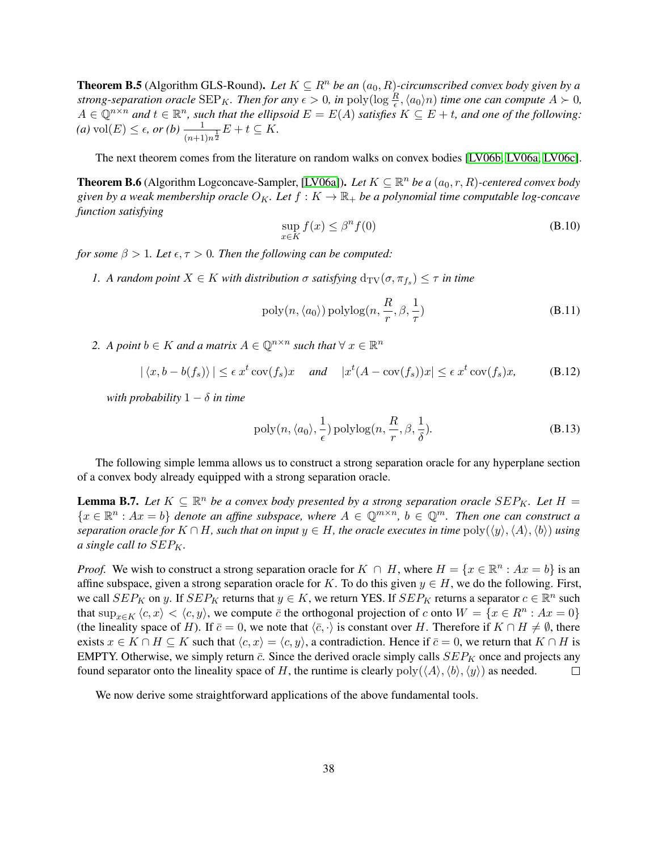**Theorem B.5** (Algorithm GLS-Round). Let  $K \subseteq R^n$  be an  $(a_0, R)$ -circumscribed convex body given by a *strong-separation oracle*  $\text{SEP}_K$ . Then for any  $\epsilon > 0$ , in  $\text{poly}(\log \frac{R}{\epsilon}, \langle a_0 \rangle n)$  time one can compute  $A \succ 0$ ,  $A \in \mathbb{Q}^{n \times n}$  and  $t \in \mathbb{R}^n$ , such that the ellipsoid  $E = E(A)$  satisfies  $K \subseteq E + t$ , and one of the following:  $f(a) \text{ vol}(E) \leq \epsilon, \text{ or } (b) \frac{1}{(n+1)n^{\frac{1}{2}}} E + t \subseteq K.$ 

The next theorem comes from the literature on random walks on convex bodies [\[LV06b,](#page-23-12) [LV06a,](#page-23-13) [LV06c\]](#page-23-14).

<span id="page-38-1"></span>**Theorem B.6** (Algorithm Logconcave-Sampler, [\[LV06a\]](#page-23-13)). Let  $K \subseteq \mathbb{R}^n$  be a  $(a_0, r, R)$ -centered convex body *given by a weak membership oracle*  $O_K$ . Let  $f: K \to \mathbb{R}_+$  *be a polynomial time computable log-concave function satisfying*

$$
\sup_{x \in K} f(x) \le \beta^n f(0) \tag{B.10}
$$

*for some*  $\beta > 1$ *. Let*  $\epsilon, \tau > 0$ *. Then the following can be computed:* 

*1.* A random point  $X \in K$  with distribution  $\sigma$  satisfying  $d_{TV}(\sigma, \pi_{f_s}) \leq \tau$  in time

$$
poly(n, \langle a_0 \rangle) \text{polylog}(n, \frac{R}{r}, \beta, \frac{1}{\tau})
$$
\n(B.11)

2. A point  $b \in K$  and a matrix  $A \in \mathbb{Q}^{n \times n}$  such that  $\forall x \in \mathbb{R}^n$ 

$$
|\langle x, b - b(f_s) \rangle| \le \epsilon x^t \operatorname{cov}(f_s) x \quad \text{and} \quad |x^t (A - \operatorname{cov}(f_s)) x| \le \epsilon x^t \operatorname{cov}(f_s) x, \tag{B.12}
$$

*with probability*  $1 - \delta$  *in time* 

$$
poly(n, \langle a_0 \rangle, \frac{1}{\epsilon}) polylog(n, \frac{R}{r}, \beta, \frac{1}{\delta}).
$$
\n(B.13)

The following simple lemma allows us to construct a strong separation oracle for any hyperplane section of a convex body already equipped with a strong separation oracle.

<span id="page-38-0"></span>**Lemma B.7.** Let  $K \subseteq \mathbb{R}^n$  be a convex body presented by a strong separation oracle  $SEP_K$ . Let  $H =$  $\{x \in \mathbb{R}^n : Ax = b\}$  denote an affine subspace, where  $A \in \mathbb{Q}^{m \times n}$ ,  $b \in \mathbb{Q}^m$ . Then one can construct a *separation oracle for*  $K \cap H$ *, such that on input*  $y \in H$ *, the oracle executes in time*  $poly(\langle y \rangle, \langle A \rangle, \langle b \rangle)$  *using a* single call to  $SEP_K$ .

*Proof.* We wish to construct a strong separation oracle for  $K \cap H$ , where  $H = \{x \in \mathbb{R}^n : Ax = b\}$  is an affine subspace, given a strong separation oracle for K. To do this given  $y \in H$ , we do the following. First, we call  $SEP_K$  on y. If  $SEP_K$  returns that  $y \in K$ , we return YES. If  $SEP_K$  returns a separator  $c \in \mathbb{R}^n$  such that  $\sup_{x \in K} \langle c, x \rangle < \langle c, y \rangle$ , we compute  $\overline{c}$  the orthogonal projection of c onto  $W = \{x \in R^n : Ax = 0\}$ (the lineality space of H). If  $\bar{c} = 0$ , we note that  $\langle \bar{c}, \cdot \rangle$  is constant over H. Therefore if  $K \cap H \neq \emptyset$ , there exists  $x \in K \cap H \subseteq K$  such that  $\langle c, x \rangle = \langle c, y \rangle$ , a contradiction. Hence if  $\bar{c} = 0$ , we return that  $K \cap H$  is EMPTY. Otherwise, we simply return  $\bar{c}$ . Since the derived oracle simply calls  $SEP_K$  once and projects any found separator onto the lineality space of H, the runtime is clearly  $poly(\langle A \rangle, \langle b \rangle, \langle y \rangle)$  as needed.  $\Box$ 

<span id="page-38-2"></span>We now derive some straightforward applications of the above fundamental tools.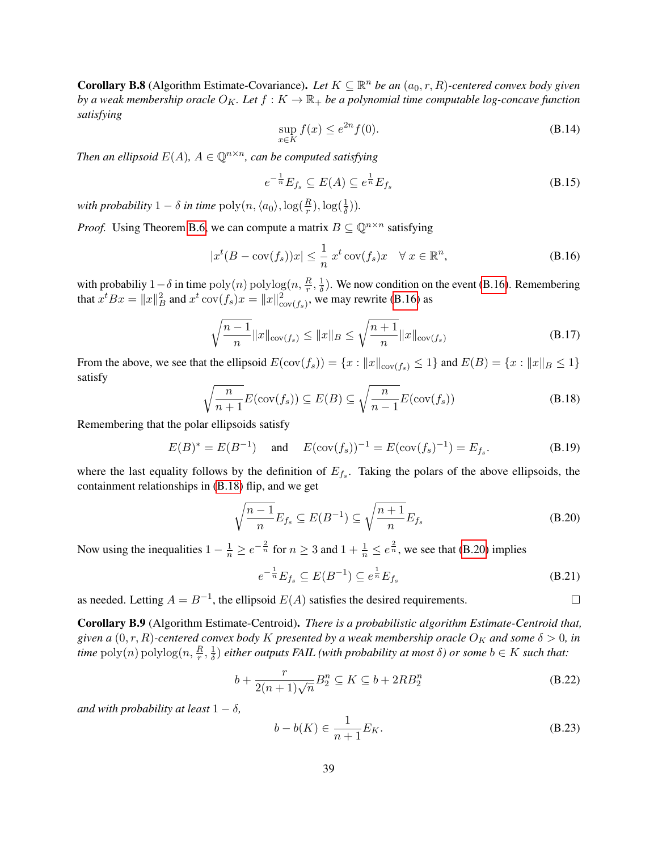**Corollary B.8** (Algorithm Estimate-Covariance). Let  $K \subseteq \mathbb{R}^n$  be an  $(a_0, r, R)$ -centered convex body given *by a weak membership oracle*  $O_K$ *. Let*  $f : K \to \mathbb{R}_+$  *be a polynomial time computable log-concave function satisfying*

$$
\sup_{x \in K} f(x) \le e^{2n} f(0). \tag{B.14}
$$

*Then an ellipsoid*  $E(A)$ ,  $A \in \mathbb{Q}^{n \times n}$ , can be computed satisfying

<span id="page-39-1"></span>
$$
e^{-\frac{1}{n}}E_{f_s} \subseteq E(A) \subseteq e^{\frac{1}{n}}E_{f_s}
$$
\n(B.15)

*with probability*  $1 - \delta$  *in time*  $\text{poly}(n, \langle a_0 \rangle, \log(\frac{R}{r}), \log(\frac{1}{\delta})).$ 

*Proof.* Using Theorem [B.6,](#page-38-1) we can compute a matrix  $B \subseteq \mathbb{Q}^{n \times n}$  satisfying

$$
|x^t(B - \text{cov}(f_s))x| \le \frac{1}{n} x^t \text{cov}(f_s)x \quad \forall \ x \in \mathbb{R}^n,
$$
\n(B.16)

with probabiliy  $1-\delta$  in time  $\text{poly}(n) \text{ polylog}(n, \frac{R}{r}, \frac{1}{\delta})$  $\frac{1}{\delta}$ ). We now condition on the event [\(B.16\)](#page-39-1). Remembering that  $x^t B x = ||x||_B^2$  and  $x^t \text{ cov}(f_s) x = ||x||_{cov(f_s)}^2$ , we may rewrite [\(B.16\)](#page-39-1) as

$$
\sqrt{\frac{n-1}{n}} \|x\|_{\text{cov}(f_s)} \le \|x\|_B \le \sqrt{\frac{n+1}{n}} \|x\|_{\text{cov}(f_s)}
$$
(B.17)

<span id="page-39-2"></span>From the above, we see that the ellipsoid  $E(\text{cov}(f_s)) = \{x : ||x||_{\text{cov}(f_s)} \le 1\}$  and  $E(B) = \{x : ||x||_B \le 1\}$ satisfy

$$
\sqrt{\frac{n}{n+1}}E(\text{cov}(f_s)) \subseteq E(B) \subseteq \sqrt{\frac{n}{n-1}}E(\text{cov}(f_s))
$$
\n(B.18)

Remembering that the polar ellipsoids satisfy

$$
E(B)^* = E(B^{-1})
$$
 and  $E(\text{cov}(f_s))^{-1} = E(\text{cov}(f_s)^{-1}) = E_{f_s}.$  (B.19)

where the last equality follows by the definition of  $E_{f_s}$ . Taking the polars of the above ellipsoids, the containment relationships in [\(B.18\)](#page-39-2) flip, and we get

<span id="page-39-3"></span>
$$
\sqrt{\frac{n-1}{n}}E_{f_s} \subseteq E(B^{-1}) \subseteq \sqrt{\frac{n+1}{n}}E_{f_s}
$$
\n(B.20)

Now using the inequalities  $1 - \frac{1}{n} \ge e^{-\frac{2}{n}}$  for  $n \ge 3$  and  $1 + \frac{1}{n} \le e^{\frac{2}{n}}$ , we see that [\(B.20\)](#page-39-3) implies

$$
e^{-\frac{1}{n}}E_{f_s} \subseteq E(B^{-1}) \subseteq e^{\frac{1}{n}}E_{f_s}
$$
\n(B.21)

as needed. Letting  $A = B^{-1}$ , the ellipsoid  $E(A)$  satisfies the desired requirements.

<span id="page-39-0"></span>Corollary B.9 (Algorithm Estimate-Centroid). *There is a probabilistic algorithm Estimate-Centroid that, given a*  $(0, r, R)$ -centered convex body K presented by a weak membership oracle  $O_K$  and some  $\delta > 0$ , in time  $\operatorname{poly}(n) \operatorname{polylog}(n, \frac{R}{r}, \frac{1}{\delta})$  $\frac{1}{\delta}$ ) *either outputs FAIL (with probability at most*  $\delta$ ) *or some*  $b \in K$  *such that:* 

$$
b + \frac{r}{2(n+1)\sqrt{n}} B_2^n \subseteq K \subseteq b + 2RB_2^n \tag{B.22}
$$

*and with probability at least*  $1 - \delta$ *,* 

$$
b - b(K) \in \frac{1}{n+1} E_K.
$$
\n(B.23)

 $\Box$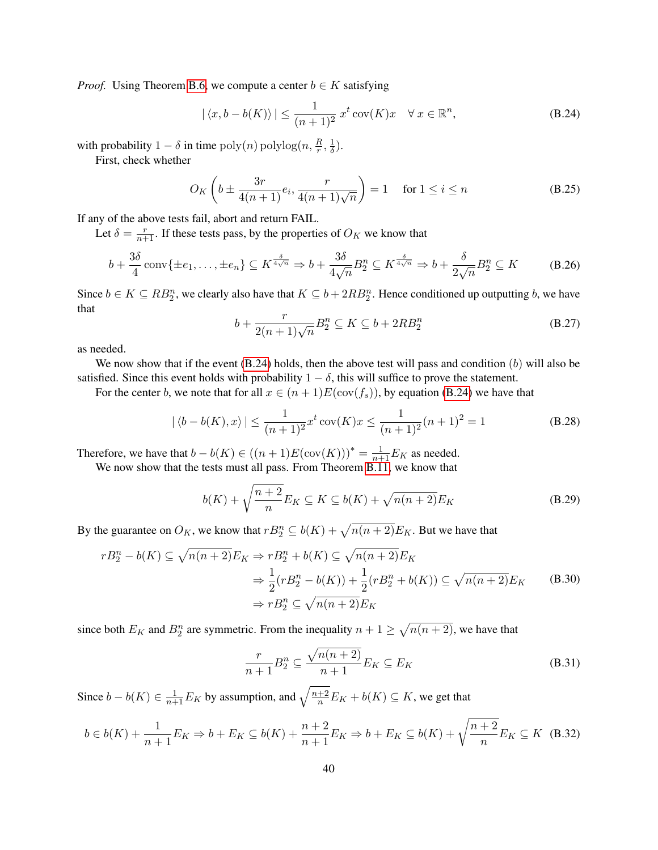*Proof.* Using Theorem [B.6,](#page-38-1) we compute a center  $b \in K$  satisfying

<span id="page-40-0"></span>
$$
|\langle x, b - b(K) \rangle| \le \frac{1}{(n+1)^2} x^t \operatorname{cov}(K) x \quad \forall \, x \in \mathbb{R}^n,
$$
 (B.24)

with probability  $1 - \delta$  in time  $\text{poly}(n) \text{ polylog}(n, \frac{R}{r}, \frac{1}{\delta})$  $\frac{1}{\delta}$ ).

First, check whether

<span id="page-40-2"></span>
$$
O_K\left(b \pm \frac{3r}{4(n+1)}e_i, \frac{r}{4(n+1)\sqrt{n}}\right) = 1 \quad \text{for } 1 \le i \le n
$$
 (B.25)

If any of the above tests fail, abort and return FAIL.

Let  $\delta = \frac{r}{n+1}$ . If these tests pass, by the properties of  $O_K$  we know that

$$
b + \frac{3\delta}{4}\operatorname{conv}\{\pm e_1, \dots, \pm e_n\} \subseteq K^{\frac{\delta}{4\sqrt{n}}} \Rightarrow b + \frac{3\delta}{4\sqrt{n}}B_2^n \subseteq K^{\frac{\delta}{4\sqrt{n}}} \Rightarrow b + \frac{\delta}{2\sqrt{n}}B_2^n \subseteq K \tag{B.26}
$$

Since  $b \in K \subseteq RB_2^n$ , we clearly also have that  $K \subseteq b + 2RB_2^n$ . Hence conditioned up outputting b, we have that

$$
b + \frac{r}{2(n+1)\sqrt{n}} B_2^n \subseteq K \subseteq b + 2RB_2^n \tag{B.27}
$$

as needed.

We now show that if the event  $(B.24)$  holds, then the above test will pass and condition  $(b)$  will also be satisfied. Since this event holds with probability  $1 - \delta$ , this will suffice to prove the statement.

For the center b, we note that for all  $x \in (n+1)E(\text{cov}(f_s))$ , by equation [\(B.24\)](#page-40-0) we have that

$$
|\langle b - b(K), x \rangle| \le \frac{1}{(n+1)^2} x^t \operatorname{cov}(K) x \le \frac{1}{(n+1)^2} (n+1)^2 = 1
$$
 (B.28)

Therefore, we have that  $b - b(K) \in ((n + 1)E(\text{cov}(K)))^* = \frac{1}{n+1}E_K$  as needed.

We now show that the tests must all pass. From Theorem [B.11,](#page-41-1) we know that

$$
b(K) + \sqrt{\frac{n+2}{n}} E_K \subseteq K \subseteq b(K) + \sqrt{n(n+2)} E_K
$$
 (B.29)

By the guarantee on  $O_K$ , we know that  $rB_2^n \subseteq b(K) + \sqrt{n(n+2)}E_K$ . But we have that

$$
rB_2^n - b(K) \subseteq \sqrt{n(n+2)}E_K \Rightarrow rB_2^n + b(K) \subseteq \sqrt{n(n+2)}E_K
$$
  
\n
$$
\Rightarrow \frac{1}{2}(rB_2^n - b(K)) + \frac{1}{2}(rB_2^n + b(K)) \subseteq \sqrt{n(n+2)}E_K
$$
  
\n
$$
\Rightarrow rB_2^n \subseteq \sqrt{n(n+2)}E_K
$$
 (B.30)

since both  $E_K$  and  $B_2^n$  are symmetric. From the inequality  $n + 1 \ge \sqrt{n(n+2)}$ , we have that

<span id="page-40-1"></span>
$$
\frac{r}{n+1}B_2^n \subseteq \frac{\sqrt{n(n+2)}}{n+1}E_K \subseteq E_K
$$
\n(B.31)

Since  $b - b(K) \in \frac{1}{n+1} E_K$  by assumption, and  $\sqrt{\frac{n+2}{n}} E_K + b(K) \subseteq K$ , we get that

$$
b \in b(K) + \frac{1}{n+1} E_K \Rightarrow b + E_K \subseteq b(K) + \frac{n+2}{n+1} E_K \Rightarrow b + E_K \subseteq b(K) + \sqrt{\frac{n+2}{n}} E_K \subseteq K \quad (B.32)
$$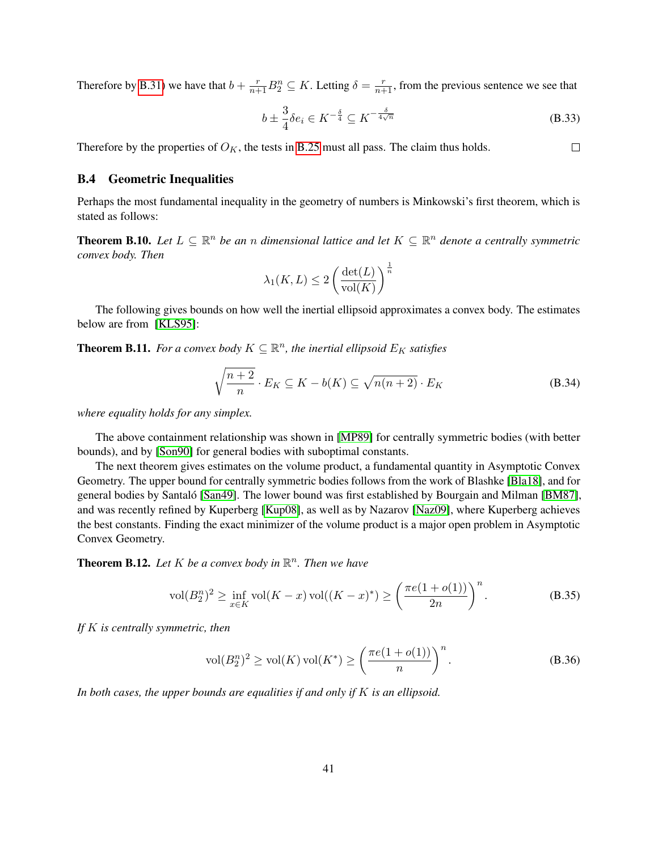Therefore by [B.31\)](#page-40-1) we have that  $b + \frac{r}{n+1}B_2^n \subseteq K$ . Letting  $\delta = \frac{r}{n+1}$ , from the previous sentence we see that

$$
b \pm \frac{3}{4}\delta e_i \in K^{-\frac{\delta}{4}} \subseteq K^{-\frac{\delta}{4\sqrt{n}}} \tag{B.33}
$$

 $\Box$ 

Therefore by the properties of  $O_K$ , the tests in [B.25](#page-40-2) must all pass. The claim thus holds.

#### B.4 Geometric Inequalities

Perhaps the most fundamental inequality in the geometry of numbers is Minkowski's first theorem, which is stated as follows:

<span id="page-41-0"></span>**Theorem B.10.** Let  $L \subseteq \mathbb{R}^n$  be an *n* dimensional lattice and let  $K \subseteq \mathbb{R}^n$  denote a centrally symmetric *convex body. Then*

$$
\lambda_1(K, L) \le 2 \left( \frac{\det(L)}{\text{vol}(K)} \right)^{\frac{1}{n}}
$$

The following gives bounds on how well the inertial ellipsoid approximates a convex body. The estimates below are from [\[KLS95\]](#page-23-15):

<span id="page-41-1"></span>**Theorem B.11.** For a convex body  $K \subseteq \mathbb{R}^n$ , the inertial ellipsoid  $E_K$  satisfies

$$
\sqrt{\frac{n+2}{n}} \cdot E_K \subseteq K - b(K) \subseteq \sqrt{n(n+2)} \cdot E_K
$$
 (B.34)

*where equality holds for any simplex.*

The above containment relationship was shown in [\[MP89\]](#page-24-12) for centrally symmetric bodies (with better bounds), and by [\[Son90\]](#page-24-13) for general bodies with suboptimal constants.

The next theorem gives estimates on the volume product, a fundamental quantity in Asymptotic Convex Geometry. The upper bound for centrally symmetric bodies follows from the work of Blashke [\[Bla18\]](#page-22-13), and for general bodies by Santaló [[San49\]](#page-24-14). The lower bound was first established by Bourgain and Milman [\[BM87\]](#page-22-14), and was recently refined by Kuperberg [\[Kup08\]](#page-23-16), as well as by Nazarov [\[Naz09\]](#page-24-15), where Kuperberg achieves the best constants. Finding the exact minimizer of the volume product is a major open problem in Asymptotic Convex Geometry.

<span id="page-41-2"></span>**Theorem B.12.** Let  $K$  be a convex body in  $\mathbb{R}^n$ . Then we have

$$
\text{vol}(B_2^n)^2 \ge \inf_{x \in K} \text{vol}(K - x) \cdot \text{vol}((K - x)^*) \ge \left(\frac{\pi e(1 + o(1))}{2n}\right)^n. \tag{B.35}
$$

*If* K *is centrally symmetric, then*

$$
\text{vol}(B_2^n)^2 \ge \text{vol}(K) \,\text{vol}(K^*) \ge \left(\frac{\pi e(1 + o(1))}{n}\right)^n. \tag{B.36}
$$

*In both cases, the upper bounds are equalities if and only if* K *is an ellipsoid.*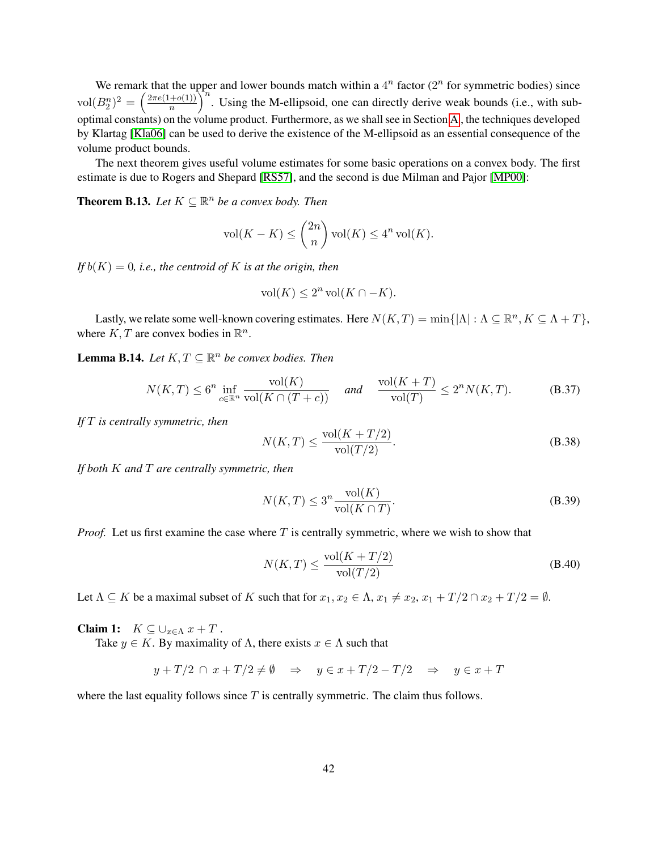We remark that the upper and lower bounds match within a  $4^n$  factor ( $2^n$  for symmetric bodies) since  $\text{vol}(B_2^n)^2 = \left(\frac{2\pi e(1+o(1))}{n}\right)$  $\left(\frac{+o(1)}{n}\right)^n$ . Using the M-ellipsoid, one can directly derive weak bounds (i.e., with suboptimal constants) on the volume product. Furthermore, as we shall see in Section [A](#page-25-0) , the techniques developed by Klartag [\[Kla06\]](#page-23-9) can be used to derive the existence of the M-ellipsoid as an essential consequence of the volume product bounds.

The next theorem gives useful volume estimates for some basic operations on a convex body. The first estimate is due to Rogers and Shepard [\[RS57\]](#page-24-16), and the second is due Milman and Pajor [\[MP00\]](#page-24-9):

<span id="page-42-0"></span>**Theorem B.13.** Let  $K \subseteq \mathbb{R}^n$  be a convex body. Then

$$
\text{vol}(K - K) \le \binom{2n}{n} \text{vol}(K) \le 4^n \text{vol}(K).
$$

*If*  $b(K) = 0$ *, i.e., the centroid of* K *is at the origin, then* 

$$
\text{vol}(K) \le 2^n \,\text{vol}(K \cap -K).
$$

Lastly, we relate some well-known covering estimates. Here  $N(K,T) = \min\{|\Lambda| : \Lambda \subseteq \mathbb{R}^n, K \subseteq \Lambda + T\}$ , where  $K, T$  are convex bodies in  $\mathbb{R}^n$ .

<span id="page-42-1"></span>**Lemma B.14.** Let  $K, T \subseteq \mathbb{R}^n$  be convex bodies. Then

$$
N(K,T) \le 6^n \inf_{c \in \mathbb{R}^n} \frac{\text{vol}(K)}{\text{vol}(K \cap (T+c))} \quad \text{and} \quad \frac{\text{vol}(K+T)}{\text{vol}(T)} \le 2^n N(K,T). \tag{B.37}
$$

*If* T *is centrally symmetric, then*

$$
N(K,T) \le \frac{\text{vol}(K+T/2)}{\text{vol}(T/2)}.
$$
\n(B.38)

*If both* K *and* T *are centrally symmetric, then*

$$
N(K,T) \le 3^n \frac{\text{vol}(K)}{\text{vol}(K \cap T)}.
$$
\n(B.39)

*Proof.* Let us first examine the case where T is centrally symmetric, where we wish to show that

<span id="page-42-2"></span>
$$
N(K,T) \le \frac{\text{vol}(K+T/2)}{\text{vol}(T/2)}\tag{B.40}
$$

Let  $\Lambda \subseteq K$  be a maximal subset of K such that for  $x_1, x_2 \in \Lambda$ ,  $x_1 \neq x_2, x_1 + T/2 \cap x_2 + T/2 = \emptyset$ .

Claim 1:  $K \subseteq \bigcup_{x \in \Lambda} x + T$ .

Take  $y \in K$ . By maximality of  $\Lambda$ , there exists  $x \in \Lambda$  such that

$$
y + T/2 \cap x + T/2 \neq \emptyset \Rightarrow y \in x + T/2 - T/2 \Rightarrow y \in x + T
$$

where the last equality follows since  $T$  is centrally symmetric. The claim thus follows.